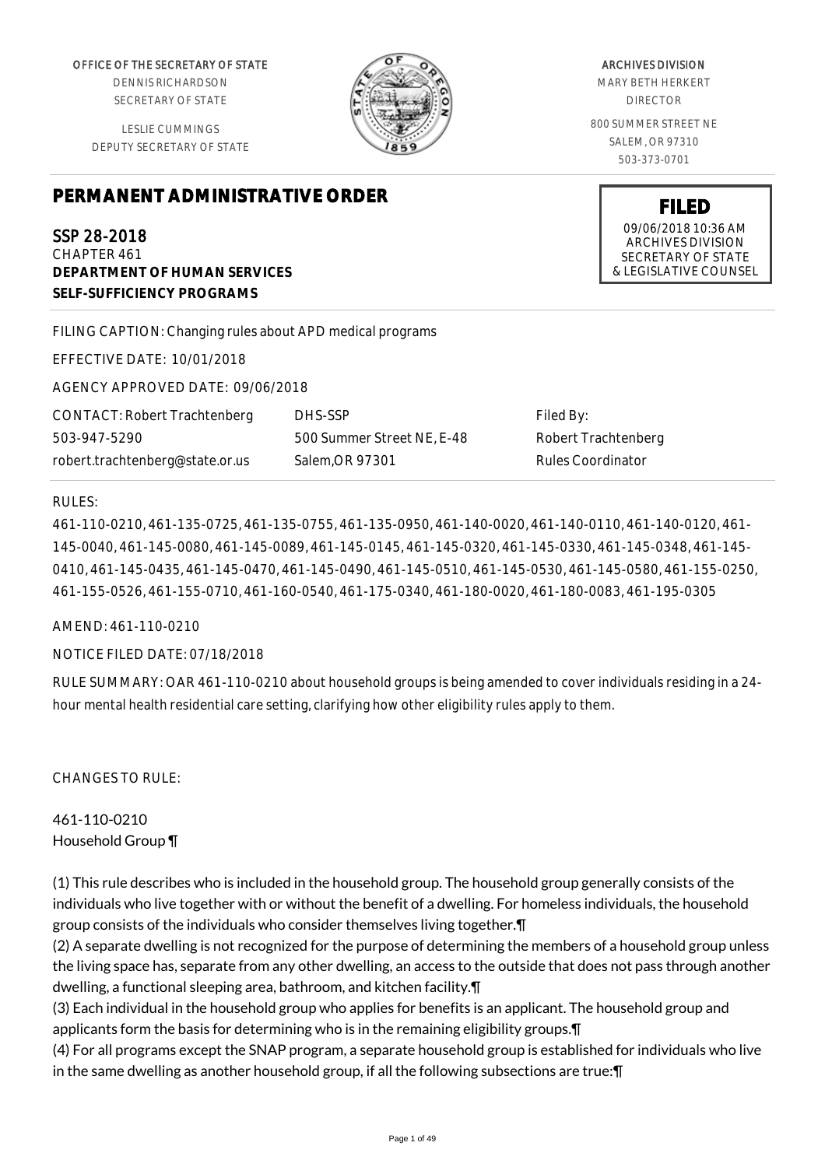OFFICE OF THE SECRETARY OF STATE

DENNIS RICHARDSON SECRETARY OF STATE

LESLIE CUMMINGS DEPUTY SECRETARY OF STATE

# **PERMANENT ADMINISTRATIVE ORDER**

SSP 28-2018 CHAPTER 461 **DEPARTMENT OF HUMAN SERVICES SELF-SUFFICIENCY PROGRAMS**

FILING CAPTION: Changing rules about APD medical programs

EFFECTIVE DATE: 10/01/2018

AGENCY APPROVED DATE: 09/06/2018

CONTACT: Robert Trachtenberg 503-947-5290 robert.trachtenberg@state.or.us

DHS-SSP 500 Summer Street NE, E-48 Salem,OR 97301

Filed By: Robert Trachtenberg Rules Coordinator

#### RULES:

461-110-0210, 461-135-0725, 461-135-0755, 461-135-0950, 461-140-0020, 461-140-0110, 461-140-0120, 461- 145-0040, 461-145-0080, 461-145-0089, 461-145-0145, 461-145-0320, 461-145-0330, 461-145-0348, 461-145- 0410, 461-145-0435, 461-145-0470, 461-145-0490, 461-145-0510, 461-145-0530, 461-145-0580, 461-155-0250, 461-155-0526, 461-155-0710, 461-160-0540, 461-175-0340, 461-180-0020, 461-180-0083, 461-195-0305

## AMEND: 461-110-0210

## NOTICE FILED DATE: 07/18/2018

RULE SUMMARY: OAR 461-110-0210 about household groups is being amended to cover individuals residing in a 24 hour mental health residential care setting, clarifying how other eligibility rules apply to them.

CHANGES TO RULE:

461-110-0210 Household Group ¶

(1) This rule describes who is included in the household group. The household group generally consists of the individuals who live together with or without the benefit of a dwelling. For homeless individuals, the household group consists of the individuals who consider themselves living together.¶

(2) A separate dwelling is not recognized for the purpose of determining the members of a household group unless the living space has, separate from any other dwelling, an access to the outside that does not pass through another dwelling, a functional sleeping area, bathroom, and kitchen facility.¶

(3) Each individual in the household group who applies for benefits is an applicant. The household group and applicants form the basis for determining who is in the remaining eligibility groups.¶

(4) For all programs except the SNAP program, a separate household group is established for individuals who live in the same dwelling as another household group, if all the following subsections are true:¶



MARY BETH HERKERT DIRECTOR 800 SUMMER STREET NE SALEM, OR 97310

503-373-0701

**FILED** 09/06/2018 10:36 AM ARCHIVES DIVISION SECRETARY OF STATE & LEGISLATIVE COUNSEL

#### ARCHIVES DIVISION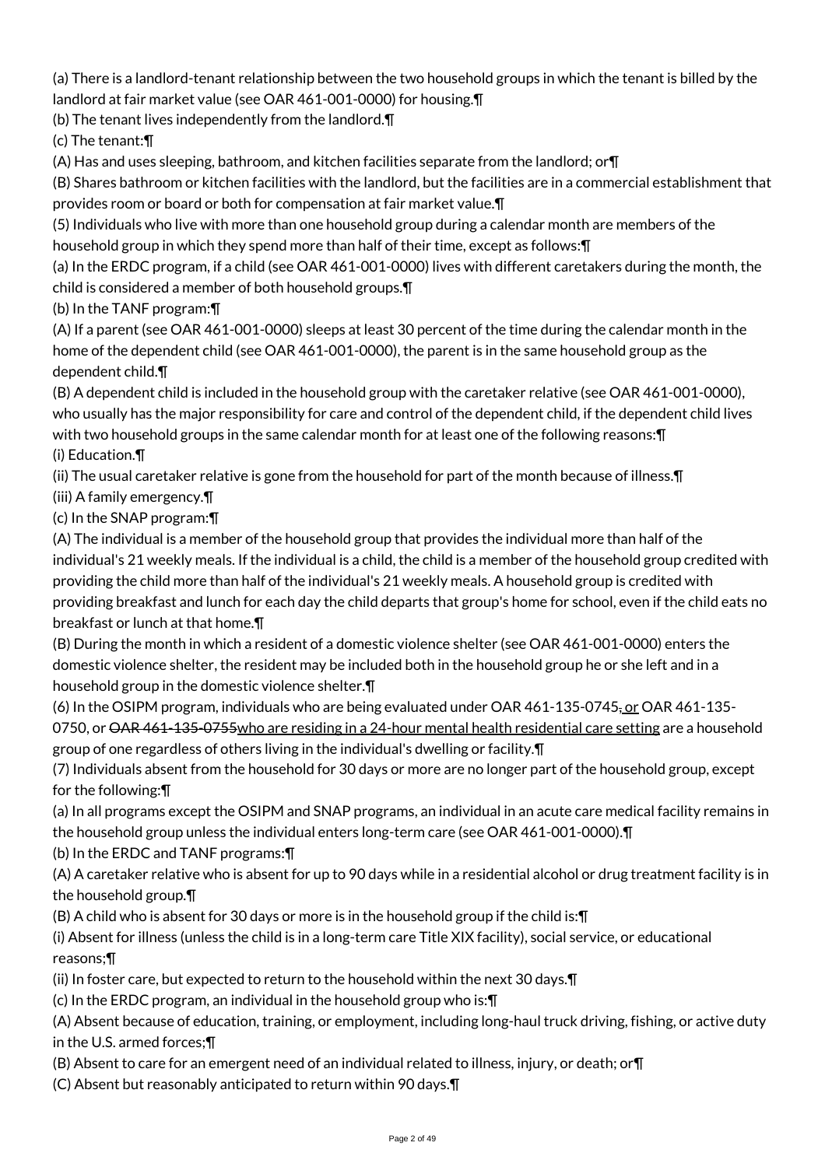(a) There is a landlord-tenant relationship between the two household groups in which the tenant is billed by the landlord at fair market value (see OAR 461-001-0000) for housing.¶

(b) The tenant lives independently from the landlord.¶

(c) The tenant:¶

(A) Has and uses sleeping, bathroom, and kitchen facilities separate from the landlord; or¶

(B) Shares bathroom or kitchen facilities with the landlord, but the facilities are in a commercial establishment that provides room or board or both for compensation at fair market value.¶

(5) Individuals who live with more than one household group during a calendar month are members of the household group in which they spend more than half of their time, except as follows:¶

(a) In the ERDC program, if a child (see OAR 461-001-0000) lives with different caretakers during the month, the child is considered a member of both household groups.¶

(b) In the TANF program:¶

(A) If a parent (see OAR 461-001-0000) sleeps at least 30 percent of the time during the calendar month in the home of the dependent child (see OAR 461-001-0000), the parent is in the same household group as the dependent child.¶

(B) A dependent child is included in the household group with the caretaker relative (see OAR 461-001-0000), who usually has the major responsibility for care and control of the dependent child, if the dependent child lives with two household groups in the same calendar month for at least one of the following reasons:¶

(i) Education.¶

(ii) The usual caretaker relative is gone from the household for part of the month because of illness.¶

(iii) A family emergency.¶

(c) In the SNAP program:¶

(A) The individual is a member of the household group that provides the individual more than half of the individual's 21 weekly meals. If the individual is a child, the child is a member of the household group credited with providing the child more than half of the individual's 21 weekly meals. A household group is credited with providing breakfast and lunch for each day the child departs that group's home for school, even if the child eats no breakfast or lunch at that home.¶

(B) During the month in which a resident of a domestic violence shelter (see OAR 461-001-0000) enters the domestic violence shelter, the resident may be included both in the household group he or she left and in a household group in the domestic violence shelter.¶

(6) In the OSIPM program, individuals who are being evaluated under OAR 461-135-0745, or OAR 461-135- 0750, or <del>OAR 461-135-0755 who are residing in a 24-hour mental health residential care setting are a household</del> group of one regardless of others living in the individual's dwelling or facility.¶

(7) Individuals absent from the household for 30 days or more are no longer part of the household group, except for the following:¶

(a) In all programs except the OSIPM and SNAP programs, an individual in an acute care medical facility remains in the household group unless the individual enters long-term care (see OAR 461-001-0000).¶

(b) In the ERDC and TANF programs:¶

(A) A caretaker relative who is absent for up to 90 days while in a residential alcohol or drug treatment facility is in the household group.¶

(B) A child who is absent for 30 days or more is in the household group if the child is:¶

(i) Absent for illness (unless the child is in a long-term care Title XIX facility), social service, or educational reasons;¶

(ii) In foster care, but expected to return to the household within the next 30 days.¶

(c) In the ERDC program, an individual in the household group who is:¶

(A) Absent because of education, training, or employment, including long-haul truck driving, fishing, or active duty in the U.S. armed forces;¶

(B) Absent to care for an emergent need of an individual related to illness, injury, or death; or¶

(C) Absent but reasonably anticipated to return within 90 days.¶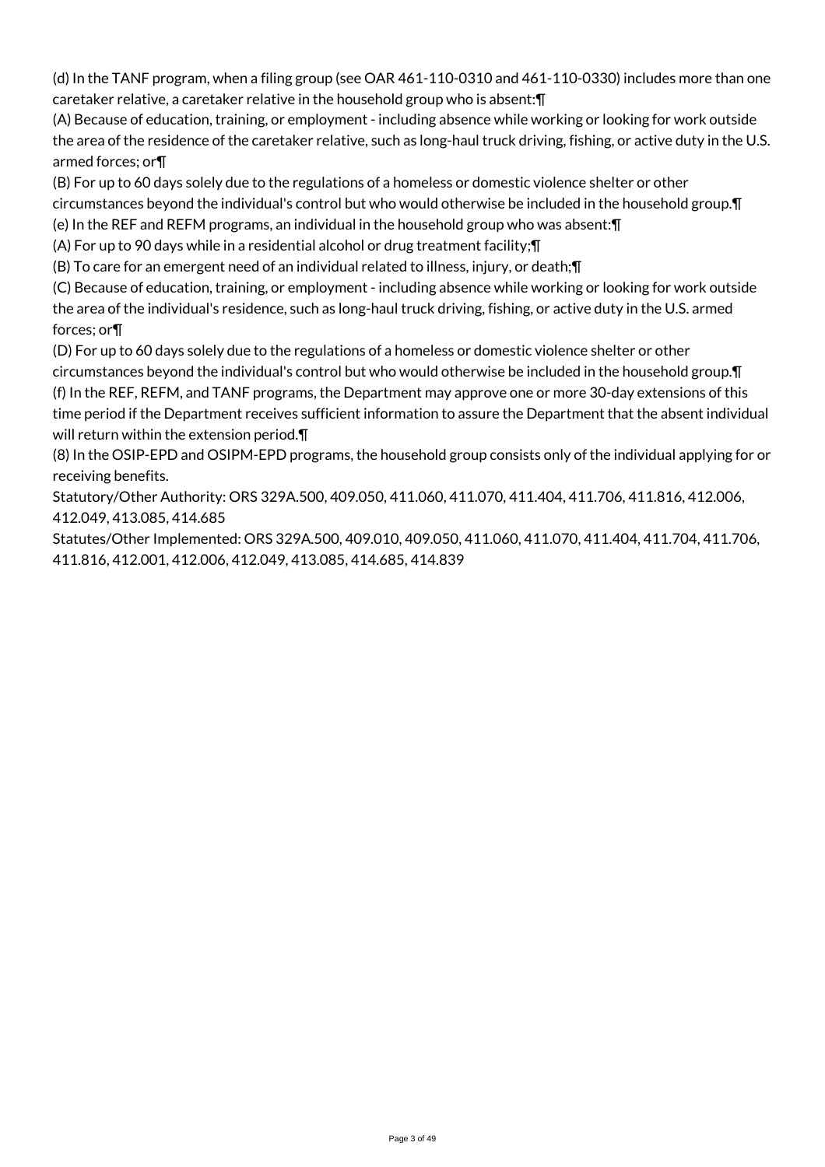(d) In the TANF program, when a filing group (see OAR 461-110-0310 and 461-110-0330) includes more than one caretaker relative, a caretaker relative in the household group who is absent:¶

(A) Because of education, training, or employment - including absence while working or looking for work outside the area of the residence of the caretaker relative, such as long-haul truck driving, fishing, or active duty in the U.S. armed forces; or¶

(B) For up to 60 days solely due to the regulations of a homeless or domestic violence shelter or other circumstances beyond the individual's control but who would otherwise be included in the household group.¶

(e) In the REF and REFM programs, an individual in the household group who was absent:¶

(A) For up to 90 days while in a residential alcohol or drug treatment facility;¶

(B) To care for an emergent need of an individual related to illness, injury, or death;¶

(C) Because of education, training, or employment - including absence while working or looking for work outside the area of the individual's residence, such as long-haul truck driving, fishing, or active duty in the U.S. armed forces; or¶

(D) For up to 60 days solely due to the regulations of a homeless or domestic violence shelter or other circumstances beyond the individual's control but who would otherwise be included in the household group.¶ (f) In the REF, REFM, and TANF programs, the Department may approve one or more 30-day extensions of this time period if the Department receives sufficient information to assure the Department that the absent individual will return within the extension period.¶

(8) In the OSIP-EPD and OSIPM-EPD programs, the household group consists only of the individual applying for or receiving benefits.

Statutory/Other Authority: ORS 329A.500, 409.050, 411.060, 411.070, 411.404, 411.706, 411.816, 412.006, 412.049, 413.085, 414.685

Statutes/Other Implemented: ORS 329A.500, 409.010, 409.050, 411.060, 411.070, 411.404, 411.704, 411.706, 411.816, 412.001, 412.006, 412.049, 413.085, 414.685, 414.839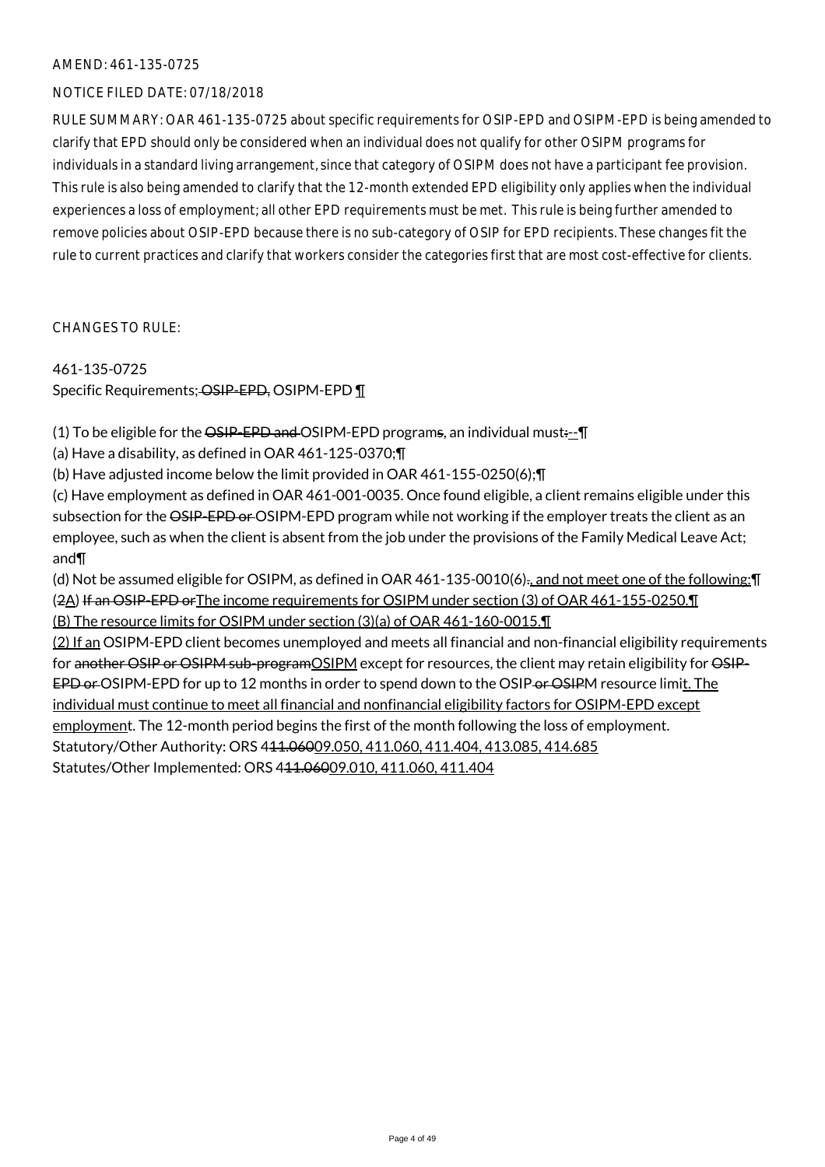#### NOTICE FILED DATE: 07/18/2018

RULE SUMMARY: OAR 461-135-0725 about specific requirements for OSIP-EPD and OSIPM-EPD is being amended to clarify that EPD should only be considered when an individual does not qualify for other OSIPM programs for individuals in a standard living arrangement, since that category of OSIPM does not have a participant fee provision. This rule is also being amended to clarify that the 12-month extended EPD eligibility only applies when the individual experiences a loss of employment; all other EPD requirements must be met. This rule is being further amended to remove policies about OSIP-EPD because there is no sub-category of OSIP for EPD recipients. These changes fit the rule to current practices and clarify that workers consider the categories first that are most cost-effective for clients.

CHANGES TO RULE:

#### 461-135-0725

Specific Requirements; OSIP-EPD, OSIPM-EPD 1

(1) To be eligible for the  $\overline{OSP-EPD}$  and  $\overline{O}SIPM-EPD$  programs, an individual must $:-\overline{P}$ 

(a) Have a disability, as defined in OAR 461-125-0370;¶

(b) Have adjusted income below the limit provided in OAR 461-155-0250(6);¶

(c) Have employment as defined in OAR 461-001-0035. Once found eligible, a client remains eligible under this subsection for the OSIP-EPD or OSIPM-EPD program while not working if the employer treats the client as an employee, such as when the client is absent from the job under the provisions of the Family Medical Leave Act; and¶

(d) Not be assumed eligible for OSIPM, as defined in OAR 461-135-0010(6)., and not meet one of the following:¶ (2A) If an OSIP-EPD orThe income requirements for OSIPM under section (3) of OAR 461-155-0250.¶ (B) The resource limits for OSIPM under section (3)(a) of OAR 461-160-0015.¶

(2) If an OSIPM-EPD client becomes unemployed and meets all financial and non-financial eligibility requirements for another OSIP or OSIPM sub-program OSIPM except for resources, the client may retain eligibility for OSIP-EPD or OSIPM-EPD for up to 12 months in order to spend down to the OSIP or OSIPM resource limit. The individual must continue to meet all financial and nonfinancial eligibility factors for OSIPM-EPD except employment. The 12-month period begins the first of the month following the loss of employment. Statutory/Other Authority: ORS 411.06009.050, 411.060, 411.404, 413.085, 414.685 Statutes/Other Implemented: ORS 411.06009.010, 411.060, 411.404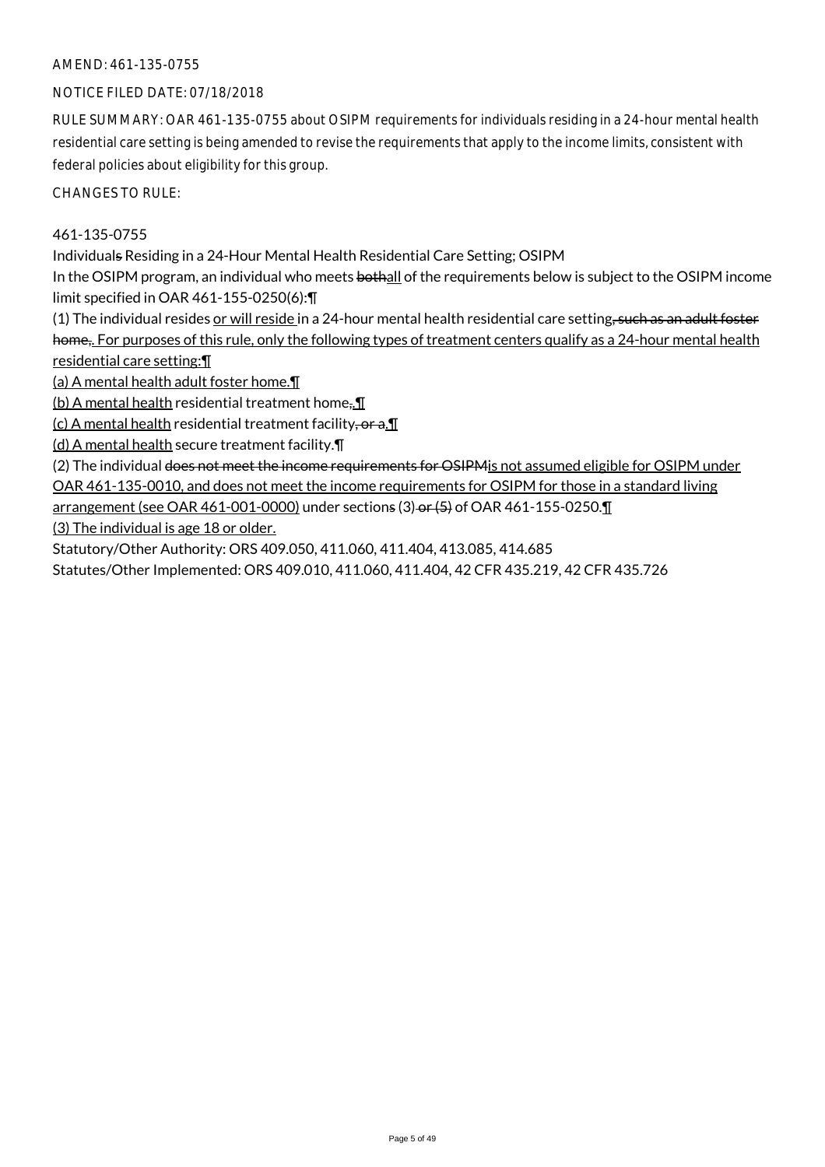### NOTICE FILED DATE: 07/18/2018

RULE SUMMARY: OAR 461-135-0755 about OSIPM requirements for individuals residing in a 24-hour mental health residential care setting is being amended to revise the requirements that apply to the income limits, consistent with federal policies about eligibility for this group.

CHANGES TO RULE:

### 461-135-0755

Individuals Residing in a 24-Hour Mental Health Residential Care Setting; OSIPM

In the OSIPM program, an individual who meets bothall of the requirements below is subject to the OSIPM income limit specified in OAR 461-155-0250(6):¶

(1) The individual resides or will reside in a 24-hour mental health residential care setting, such as an adult foster home,. For purposes of this rule, only the following types of treatment centers qualify as a 24-hour mental health residential care setting:¶

(a) A mental health adult foster home.¶

(b) A mental health residential treatment home<sub>5.</sub> $\P$ 

 $(c)$  A mental health residential treatment facility, or a. $\P$ 

(d) A mental health secure treatment facility.¶

(2) The individual does not meet the income requirements for OSIPM is not assumed eligible for OSIPM under OAR 461-135-0010, and does not meet the income requirements for OSIPM for those in a standard living

arrangement (see OAR 461-001-0000) under sections (3) or (5) of OAR 461-155-0250.

(3) The individual is age 18 or older.

Statutory/Other Authority: ORS 409.050, 411.060, 411.404, 413.085, 414.685

Statutes/Other Implemented: ORS 409.010, 411.060, 411.404, 42 CFR 435.219, 42 CFR 435.726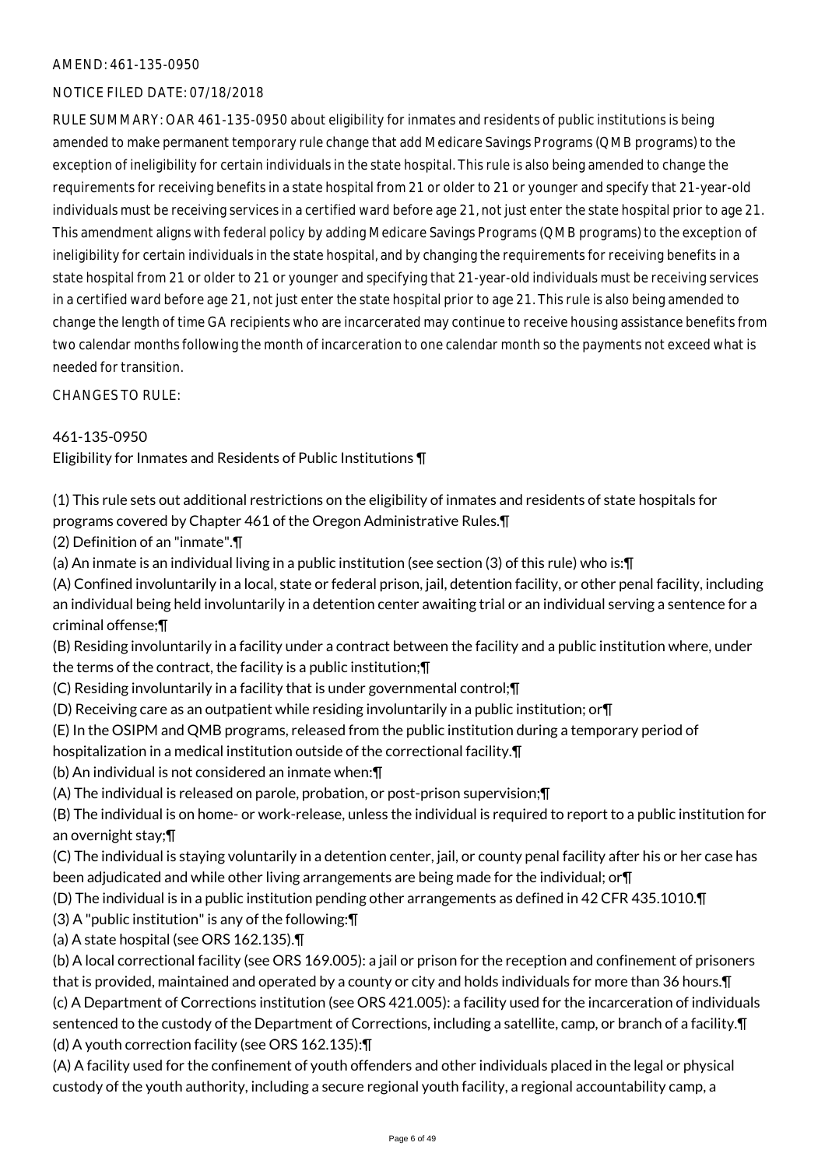#### NOTICE FILED DATE: 07/18/2018

RULE SUMMARY: OAR 461-135-0950 about eligibility for inmates and residents of public institutions is being amended to make permanent temporary rule change that add Medicare Savings Programs (QMB programs) to the exception of ineligibility for certain individuals in the state hospital. This rule is also being amended to change the requirements for receiving benefits in a state hospital from 21 or older to 21 or younger and specify that 21-year-old individuals must be receiving services in a certified ward before age 21, not just enter the state hospital prior to age 21. This amendment aligns with federal policy by adding Medicare Savings Programs (QMB programs) to the exception of ineligibility for certain individuals in the state hospital, and by changing the requirements for receiving benefits in a state hospital from 21 or older to 21 or younger and specifying that 21-year-old individuals must be receiving services in a certified ward before age 21, not just enter the state hospital prior to age 21. This rule is also being amended to change the length of time GA recipients who are incarcerated may continue to receive housing assistance benefits from two calendar months following the month of incarceration to one calendar month so the payments not exceed what is needed for transition.

CHANGES TO RULE:

## 461-135-0950

Eligibility for Inmates and Residents of Public Institutions ¶

(1) This rule sets out additional restrictions on the eligibility of inmates and residents of state hospitals for programs covered by Chapter 461 of the Oregon Administrative Rules.¶

(2) Definition of an "inmate".¶

(a) An inmate is an individual living in a public institution (see section (3) of this rule) who is:¶

(A) Confined involuntarily in a local, state or federal prison, jail, detention facility, or other penal facility, including an individual being held involuntarily in a detention center awaiting trial or an individual serving a sentence for a criminal offense;¶

(B) Residing involuntarily in a facility under a contract between the facility and a public institution where, under the terms of the contract, the facility is a public institution;¶

- (C) Residing involuntarily in a facility that is under governmental control;¶
- (D) Receiving care as an outpatient while residing involuntarily in a public institution; or¶
- (E) In the OSIPM and QMB programs, released from the public institution during a temporary period of
- hospitalization in a medical institution outside of the correctional facility.¶
- (b) An individual is not considered an inmate when:¶
- (A) The individual is released on parole, probation, or post-prison supervision;¶

(B) The individual is on home- or work-release, unless the individual is required to report to a public institution for an overnight stay;¶

(C) The individual is staying voluntarily in a detention center, jail, or county penal facility after his or her case has been adjudicated and while other living arrangements are being made for the individual; or¶

(D) The individual is in a public institution pending other arrangements as defined in 42 CFR 435.1010.¶

(3) A "public institution" is any of the following:¶

(a) A state hospital (see ORS 162.135).¶

(b) A local correctional facility (see ORS 169.005): a jail or prison for the reception and confinement of prisoners that is provided, maintained and operated by a county or city and holds individuals for more than 36 hours.¶ (c) A Department of Corrections institution (see ORS 421.005): a facility used for the incarceration of individuals sentenced to the custody of the Department of Corrections, including a satellite, camp, or branch of a facility.¶ (d) A youth correction facility (see ORS 162.135):¶

(A) A facility used for the confinement of youth offenders and other individuals placed in the legal or physical custody of the youth authority, including a secure regional youth facility, a regional accountability camp, a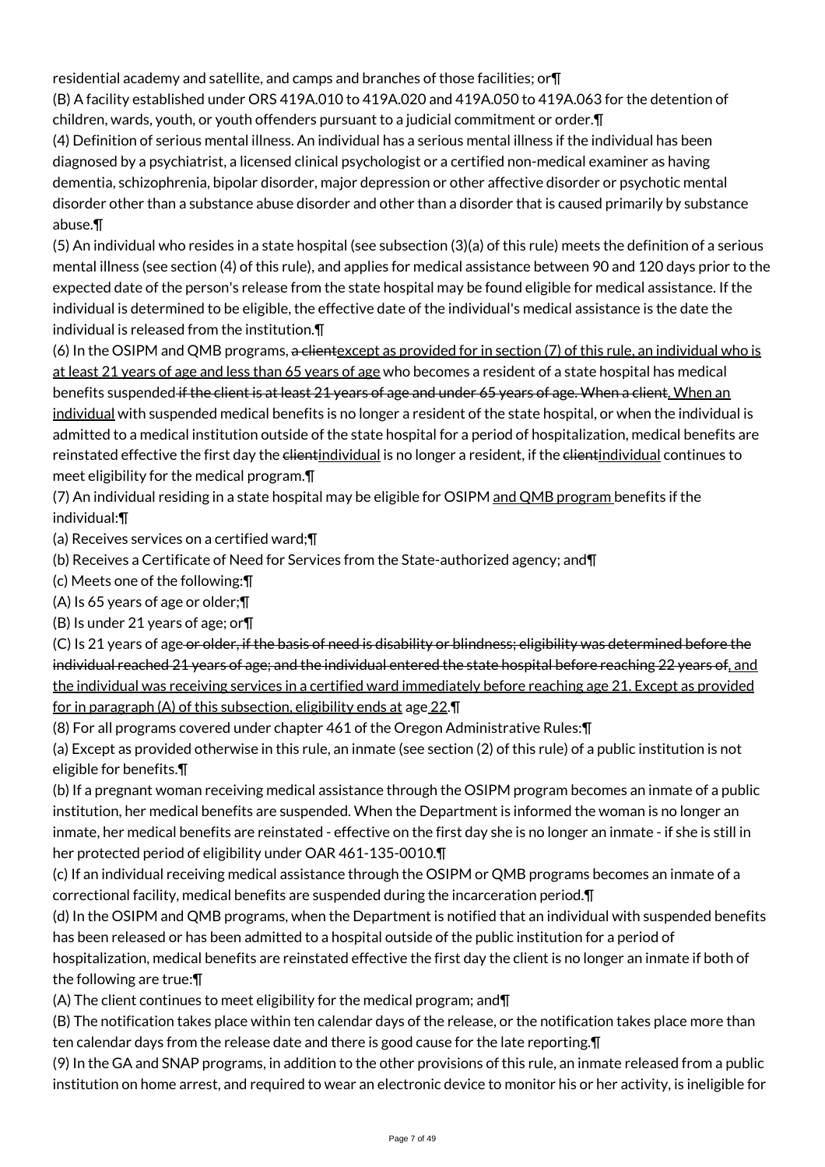residential academy and satellite, and camps and branches of those facilities; or¶

(B) A facility established under ORS 419A.010 to 419A.020 and 419A.050 to 419A.063 for the detention of children, wards, youth, or youth offenders pursuant to a judicial commitment or order.¶

(4) Definition of serious mental illness. An individual has a serious mental illness if the individual has been diagnosed by a psychiatrist, a licensed clinical psychologist or a certified non-medical examiner as having dementia, schizophrenia, bipolar disorder, major depression or other affective disorder or psychotic mental disorder other than a substance abuse disorder and other than a disorder that is caused primarily by substance abuse.¶

(5) An individual who resides in a state hospital (see subsection (3)(a) of this rule) meets the definition of a serious mental illness (see section (4) of this rule), and applies for medical assistance between 90 and 120 days prior to the expected date of the person's release from the state hospital may be found eligible for medical assistance. If the individual is determined to be eligible, the effective date of the individual's medical assistance is the date the individual is released from the institution.¶

(6) In the OSIPM and QMB programs, a client except as provided for in section (7) of this rule, an individual who is at least 21 years of age and less than 65 years of age who becomes a resident of a state hospital has medical benefits suspended if the client is at least 21 years of age and under 65 years of age. When a client. When an individual with suspended medical benefits is no longer a resident of the state hospital, or when the individual is admitted to a medical institution outside of the state hospital for a period of hospitalization, medical benefits are reinstated effective the first day the clientindividual is no longer a resident, if the clientindividual continues to meet eligibility for the medical program.¶

(7) An individual residing in a state hospital may be eligible for OSIPM and QMB program benefits if the individual:¶

(a) Receives services on a certified ward;¶

(b) Receives a Certificate of Need for Services from the State-authorized agency; and¶

(c) Meets one of the following:¶

(A) Is 65 years of age or older;¶

(B) Is under 21 years of age; or¶

(C) Is 21 years of age or older, if the basis of need is disability or blindness; eligibility was determined before the individual reached 21 years of age; and the individual entered the state hospital before reaching 22 years of, and the individual was receiving services in a certified ward immediately before reaching age 21. Except as provided for in paragraph (A) of this subsection, eligibility ends at age 22.¶

(8) For all programs covered under chapter 461 of the Oregon Administrative Rules:¶

(a) Except as provided otherwise in this rule, an inmate (see section (2) of this rule) of a public institution is not eligible for benefits.¶

(b) If a pregnant woman receiving medical assistance through the OSIPM program becomes an inmate of a public institution, her medical benefits are suspended. When the Department is informed the woman is no longer an inmate, her medical benefits are reinstated - effective on the first day she is no longer an inmate - if she is still in her protected period of eligibility under OAR 461-135-0010.¶

(c) If an individual receiving medical assistance through the OSIPM or QMB programs becomes an inmate of a correctional facility, medical benefits are suspended during the incarceration period.¶

(d) In the OSIPM and QMB programs, when the Department is notified that an individual with suspended benefits has been released or has been admitted to a hospital outside of the public institution for a period of hospitalization, medical benefits are reinstated effective the first day the client is no longer an inmate if both of

the following are true:¶

(A) The client continues to meet eligibility for the medical program; and¶

(B) The notification takes place within ten calendar days of the release, or the notification takes place more than ten calendar days from the release date and there is good cause for the late reporting.¶

(9) In the GA and SNAP programs, in addition to the other provisions of this rule, an inmate released from a public institution on home arrest, and required to wear an electronic device to monitor his or her activity, is ineligible for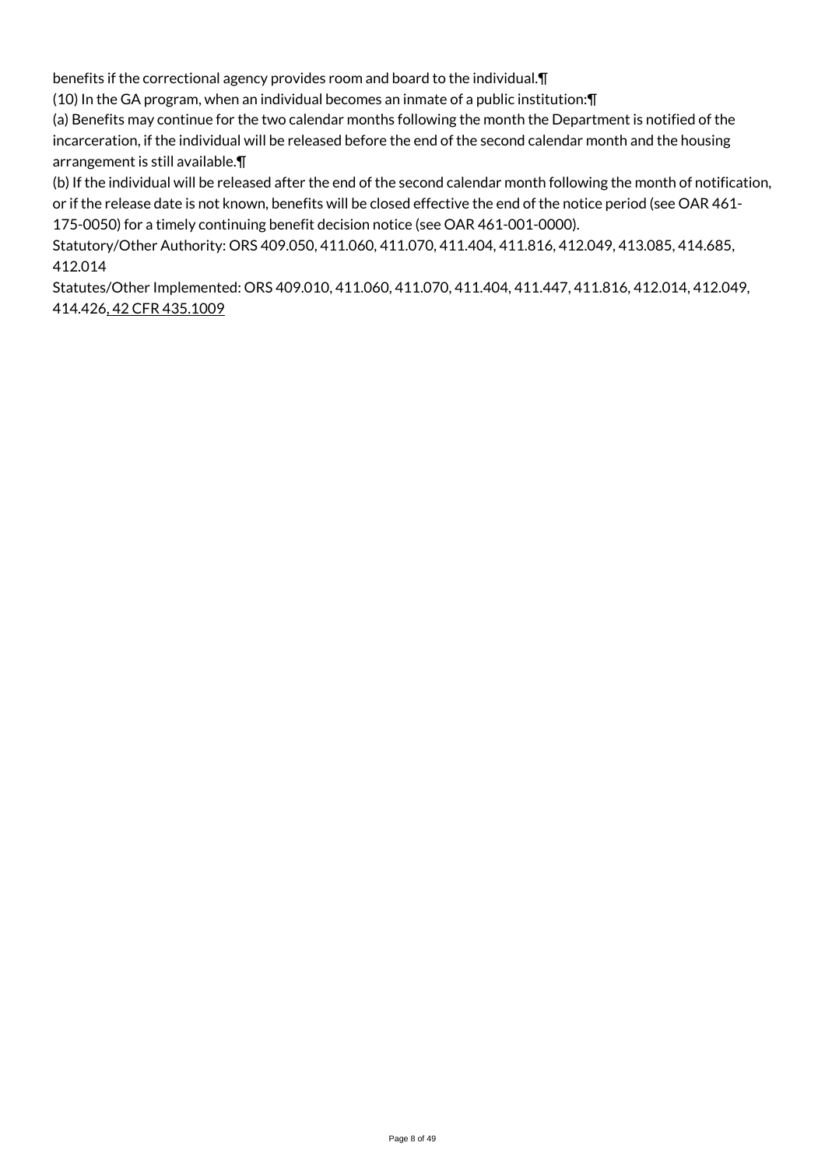benefits if the correctional agency provides room and board to the individual.¶

(10) In the GA program, when an individual becomes an inmate of a public institution:¶

(a) Benefits may continue for the two calendar months following the month the Department is notified of the incarceration, if the individual will be released before the end of the second calendar month and the housing arrangement is still available.¶

(b) If the individual will be released after the end of the second calendar month following the month of notification, or if the release date is not known, benefits will be closed effective the end of the notice period (see OAR 461- 175-0050) for a timely continuing benefit decision notice (see OAR 461-001-0000).

Statutory/Other Authority: ORS 409.050, 411.060, 411.070, 411.404, 411.816, 412.049, 413.085, 414.685, 412.014

Statutes/Other Implemented: ORS 409.010, 411.060, 411.070, 411.404, 411.447, 411.816, 412.014, 412.049, 414.426, 42 CFR 435.1009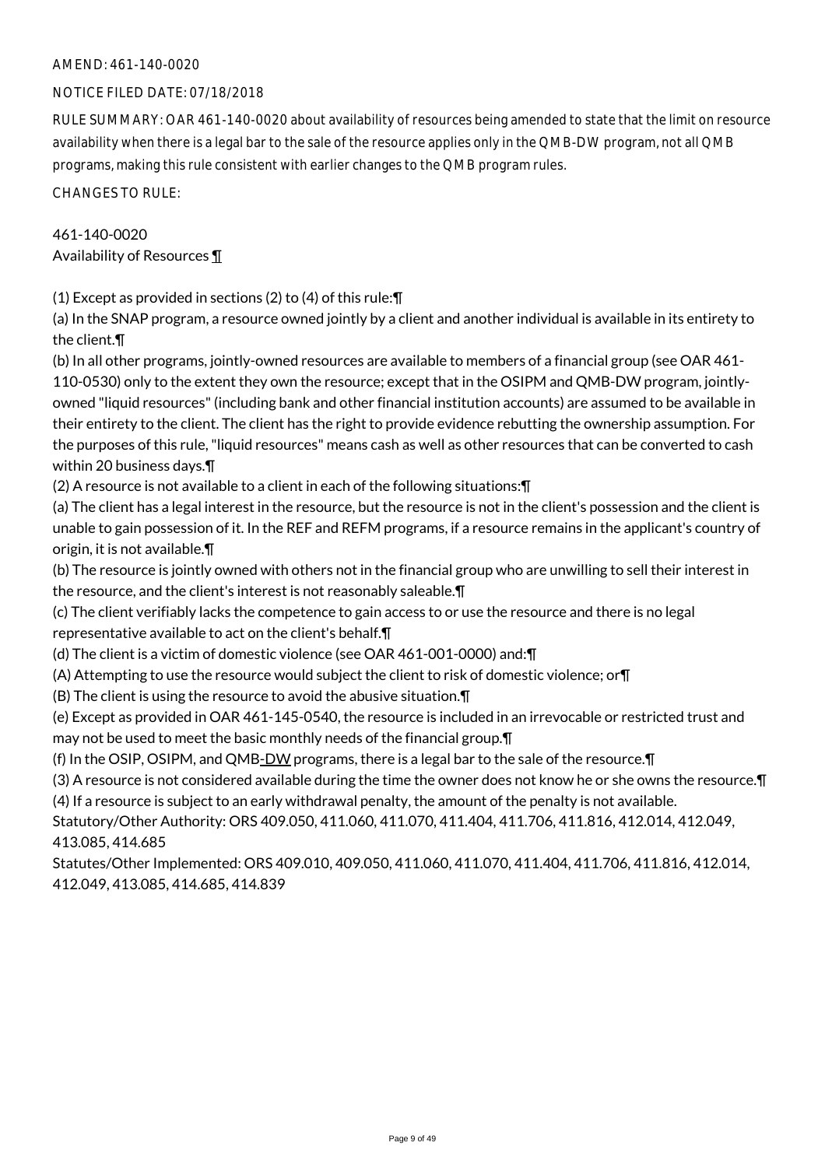#### NOTICE FILED DATE: 07/18/2018

RULE SUMMARY: OAR 461-140-0020 about availability of resources being amended to state that the limit on resource availability when there is a legal bar to the sale of the resource applies only in the QMB-DW program, not all QMB programs, making this rule consistent with earlier changes to the QMB program rules.

CHANGES TO RULE:

## 461-140-0020 Availability of Resources ¶

(1) Except as provided in sections (2) to (4) of this rule:¶

(a) In the SNAP program, a resource owned jointly by a client and another individual is available in its entirety to the client.¶

(b) In all other programs, jointly-owned resources are available to members of a financial group (see OAR 461- 110-0530) only to the extent they own the resource; except that in the OSIPM and QMB-DW program, jointlyowned "liquid resources" (including bank and other financial institution accounts) are assumed to be available in their entirety to the client. The client has the right to provide evidence rebutting the ownership assumption. For the purposes of this rule, "liquid resources" means cash as well as other resources that can be converted to cash within 20 business days.¶

(2) A resource is not available to a client in each of the following situations:¶

(a) The client has a legal interest in the resource, but the resource is not in the client's possession and the client is unable to gain possession of it. In the REF and REFM programs, if a resource remains in the applicant's country of origin, it is not available.¶

(b) The resource is jointly owned with others not in the financial group who are unwilling to sell their interest in the resource, and the client's interest is not reasonably saleable.¶

(c) The client verifiably lacks the competence to gain access to or use the resource and there is no legal

representative available to act on the client's behalf.¶

(d) The client is a victim of domestic violence (see OAR 461-001-0000) and:¶

(A) Attempting to use the resource would subject the client to risk of domestic violence; or¶

(B) The client is using the resource to avoid the abusive situation.¶

(e) Except as provided in OAR 461-145-0540, the resource is included in an irrevocable or restricted trust and may not be used to meet the basic monthly needs of the financial group.¶

(f) In the OSIP, OSIPM, and QMB-DW programs, there is a legal bar to the sale of the resource.¶

(3) A resource is not considered available during the time the owner does not know he or she owns the resource.¶ (4) If a resource is subject to an early withdrawal penalty, the amount of the penalty is not available.

Statutory/Other Authority: ORS 409.050, 411.060, 411.070, 411.404, 411.706, 411.816, 412.014, 412.049, 413.085, 414.685

Statutes/Other Implemented: ORS 409.010, 409.050, 411.060, 411.070, 411.404, 411.706, 411.816, 412.014, 412.049, 413.085, 414.685, 414.839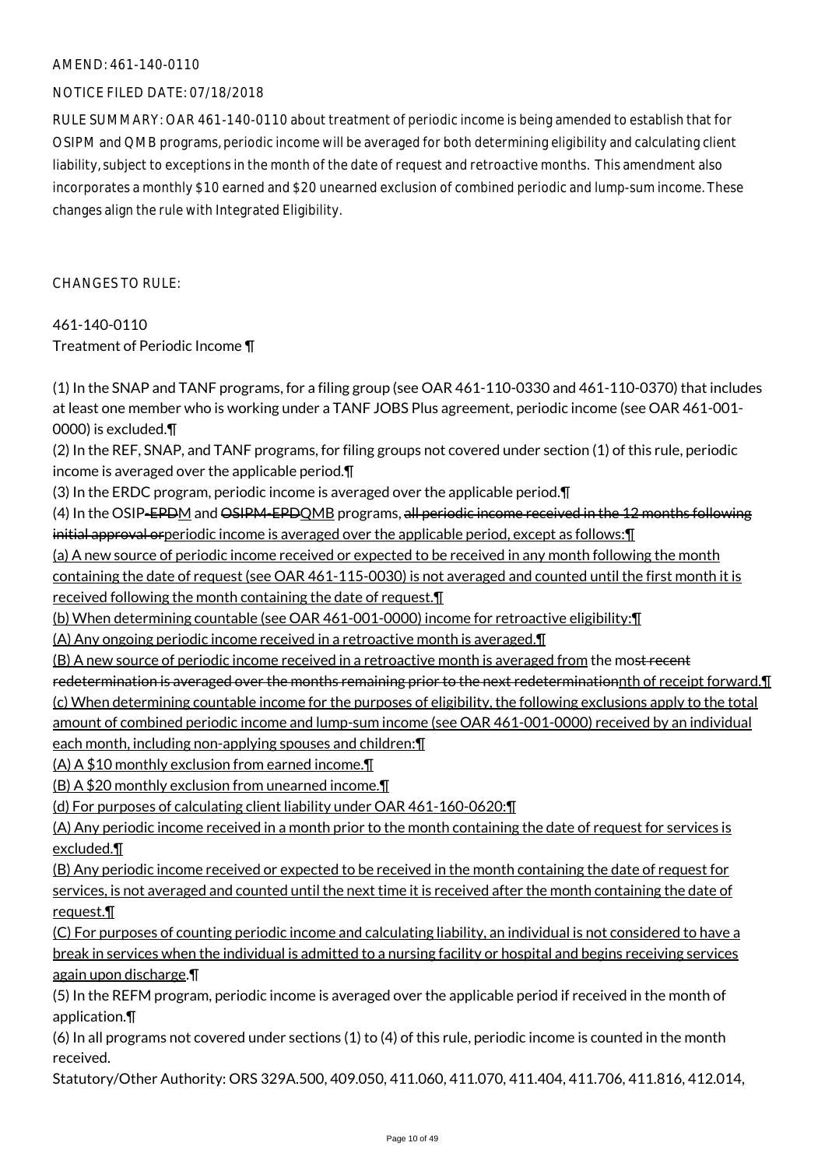#### NOTICE FILED DATE: 07/18/2018

RULE SUMMARY: OAR 461-140-0110 about treatment of periodic income is being amended to establish that for OSIPM and QMB programs, periodic income will be averaged for both determining eligibility and calculating client liability, subject to exceptions in the month of the date of request and retroactive months. This amendment also incorporates a monthly \$10 earned and \$20 unearned exclusion of combined periodic and lump-sum income. These changes align the rule with Integrated Eligibility.

CHANGES TO RULE:

461-140-0110 Treatment of Periodic Income ¶

(1) In the SNAP and TANF programs, for a filing group (see OAR 461-110-0330 and 461-110-0370) that includes at least one member who is working under a TANF JOBS Plus agreement, periodic income (see OAR 461-001- 0000) is excluded.¶ (2) In the REF, SNAP, and TANF programs, for filing groups not covered under section (1) of this rule, periodic income is averaged over the applicable period.¶ (3) In the ERDC program, periodic income is averaged over the applicable period.¶ (4) In the OSIP-EPDM and OSIPM-EPDQMB programs, all periodic income received in the 12 months following initial approval orperiodic income is averaged over the applicable period, except as follows:¶ (a) A new source of periodic income received or expected to be received in any month following the month containing the date of request (see OAR 461-115-0030) is not averaged and counted until the first month it is received following the month containing the date of request.¶ (b) When determining countable (see OAR 461-001-0000) income for retroactive eligibility:¶ (A) Any ongoing periodic income received in a retroactive month is averaged.¶ (B) A new source of periodic income received in a retroactive month is averaged from the most recent redetermination is averaged over the months remaining prior to the next redeterminationnth of receipt forward.¶ (c) When determining countable income for the purposes of eligibility, the following exclusions apply to the total amount of combined periodic income and lump-sum income (see OAR 461-001-0000) received by an individual each month, including non-applying spouses and children:¶ (A) A \$10 monthly exclusion from earned income.¶ (B) A \$20 monthly exclusion from unearned income.¶ (d) For purposes of calculating client liability under OAR 461-160-0620:¶ (A) Any periodic income received in a month prior to the month containing the date of request for services is excluded.¶ (B) Any periodic income received or expected to be received in the month containing the date of request for services, is not averaged and counted until the next time it is received after the month containing the date of request.¶

(C) For purposes of counting periodic income and calculating liability, an individual is not considered to have a break in services when the individual is admitted to a nursing facility or hospital and begins receiving services again upon discharge.¶

(5) In the REFM program, periodic income is averaged over the applicable period if received in the month of application.¶

(6) In all programs not covered under sections (1) to (4) of this rule, periodic income is counted in the month received.

Statutory/Other Authority: ORS 329A.500, 409.050, 411.060, 411.070, 411.404, 411.706, 411.816, 412.014,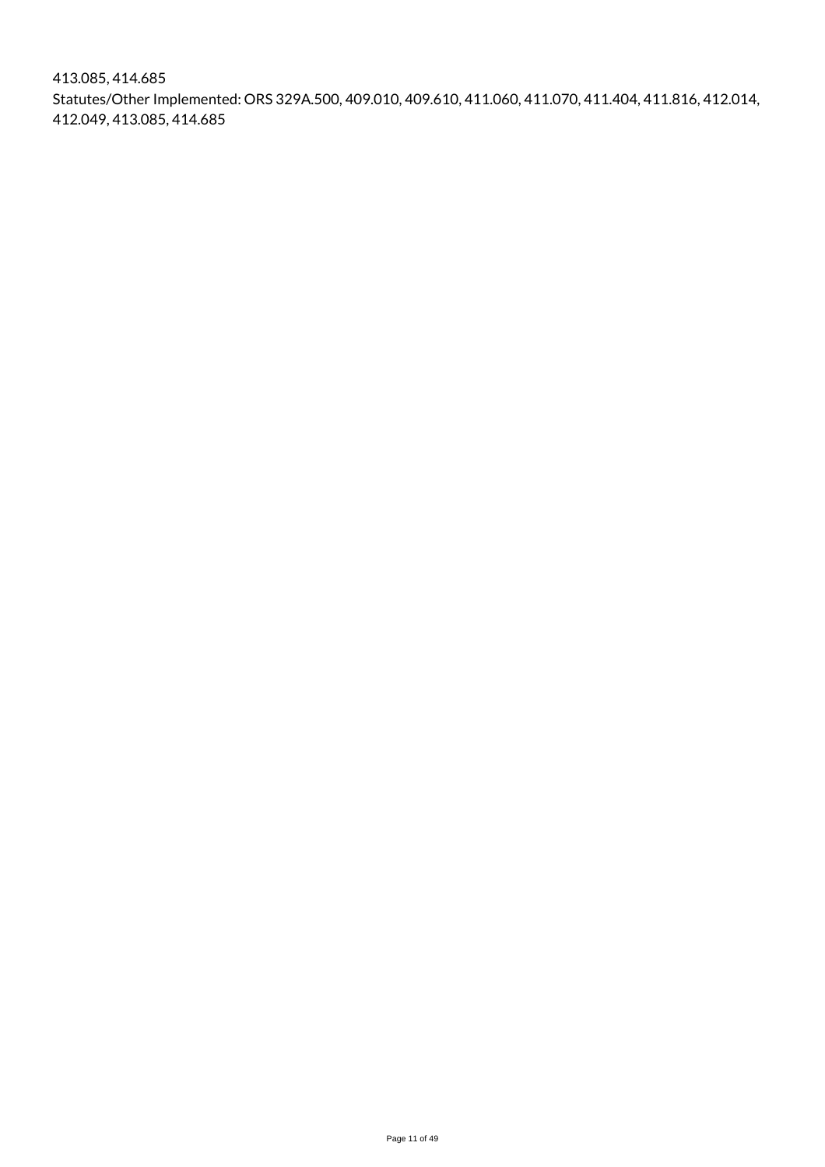413.085, 414.685 Statutes/Other Implemented: ORS 329A.500, 409.010, 409.610, 411.060, 411.070, 411.404, 411.816, 412.014, 412.049, 413.085, 414.685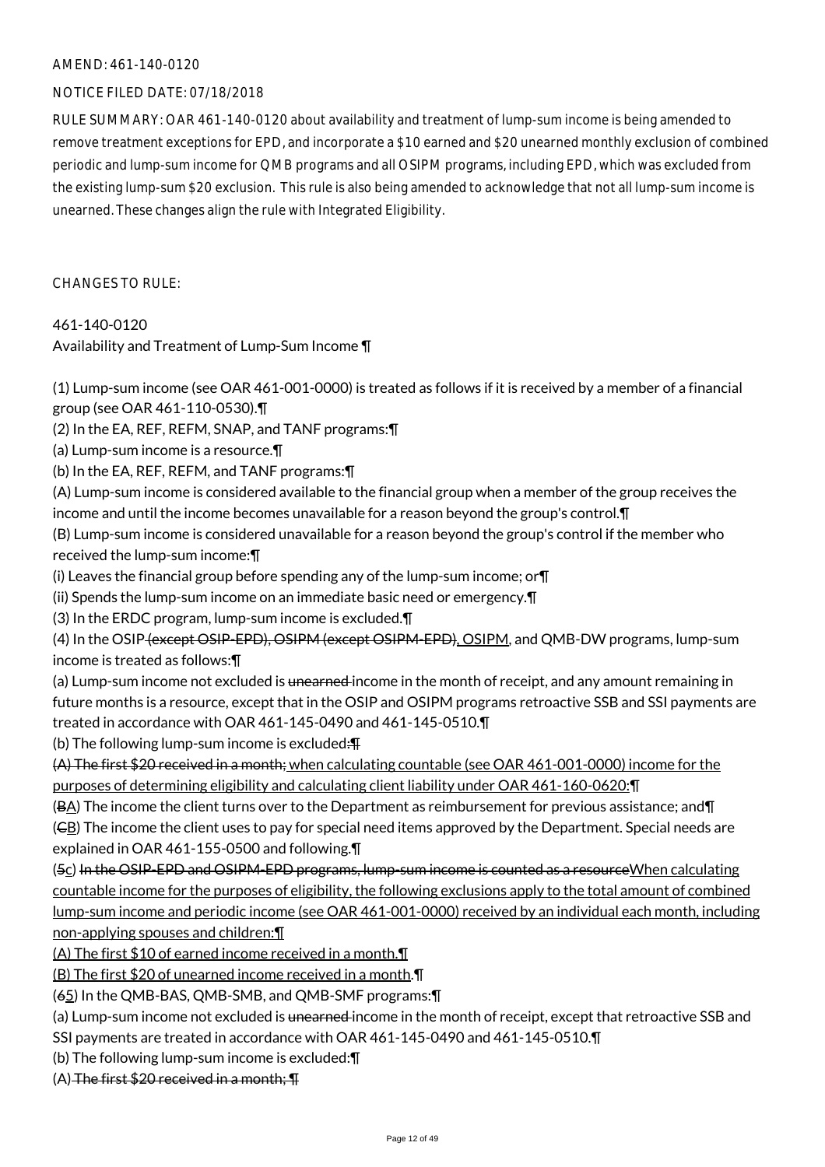#### NOTICE FILED DATE: 07/18/2018

RULE SUMMARY: OAR 461-140-0120 about availability and treatment of lump-sum income is being amended to remove treatment exceptions for EPD, and incorporate a \$10 earned and \$20 unearned monthly exclusion of combined periodic and lump-sum income for QMB programs and all OSIPM programs, including EPD, which was excluded from the existing lump-sum \$20 exclusion. This rule is also being amended to acknowledge that not all lump-sum income is unearned. These changes align the rule with Integrated Eligibility.

CHANGES TO RULE:

#### 461-140-0120

Availability and Treatment of Lump-Sum Income ¶

(1) Lump-sum income (see OAR 461-001-0000) is treated as follows if it is received by a member of a financial group (see OAR 461-110-0530).¶

(2) In the EA, REF, REFM, SNAP, and TANF programs:¶

(a) Lump-sum income is a resource.¶

(b) In the EA, REF, REFM, and TANF programs:¶

(A) Lump-sum income is considered available to the financial group when a member of the group receives the income and until the income becomes unavailable for a reason beyond the group's control.¶

(B) Lump-sum income is considered unavailable for a reason beyond the group's control if the member who received the lump-sum income:¶

(i) Leaves the financial group before spending any of the lump-sum income; or¶

(ii) Spends the lump-sum income on an immediate basic need or emergency.¶

(3) In the ERDC program, lump-sum income is excluded.¶

(4) In the OSIP (except OSIP-EPD), OSIPM (except OSIPM-EPD), OSIPM, and QMB-DW programs, lump-sum income is treated as follows:¶

(a) Lump-sum income not excluded is <del>unearned</del> income in the month of receipt, and any amount remaining in future months is a resource, except that in the OSIP and OSIPM programs retroactive SSB and SSI payments are treated in accordance with OAR 461-145-0490 and 461-145-0510.¶

(b) The following lump-sum income is excluded:¶

(A) The first \$20 received in a month; when calculating countable (see OAR 461-001-0000) income for the purposes of determining eligibility and calculating client liability under OAR 461-160-0620:¶

(BA) The income the client turns over to the Department as reimbursement for previous assistance; and¶

(CB) The income the client uses to pay for special need items approved by the Department. Special needs are explained in OAR 461-155-0500 and following.¶

(5c) In the OSIP-EPD and OSIPM-EPD programs, lump-sum income is counted as a resource When calculating countable income for the purposes of eligibility, the following exclusions apply to the total amount of combined lump-sum income and periodic income (see OAR 461-001-0000) received by an individual each month, including non-applying spouses and children:¶

(A) The first \$10 of earned income received in a month.¶

(B) The first \$20 of unearned income received in a month.¶

(65) In the QMB-BAS, QMB-SMB, and QMB-SMF programs:¶

(a) Lump-sum income not excluded is <del>unearned</del> income in the month of receipt, except that retroactive SSB and

SSI payments are treated in accordance with OAR 461-145-0490 and 461-145-0510.¶

(b) The following lump-sum income is excluded:¶

 $(A)$  The first \$20 received in a month;  $\P$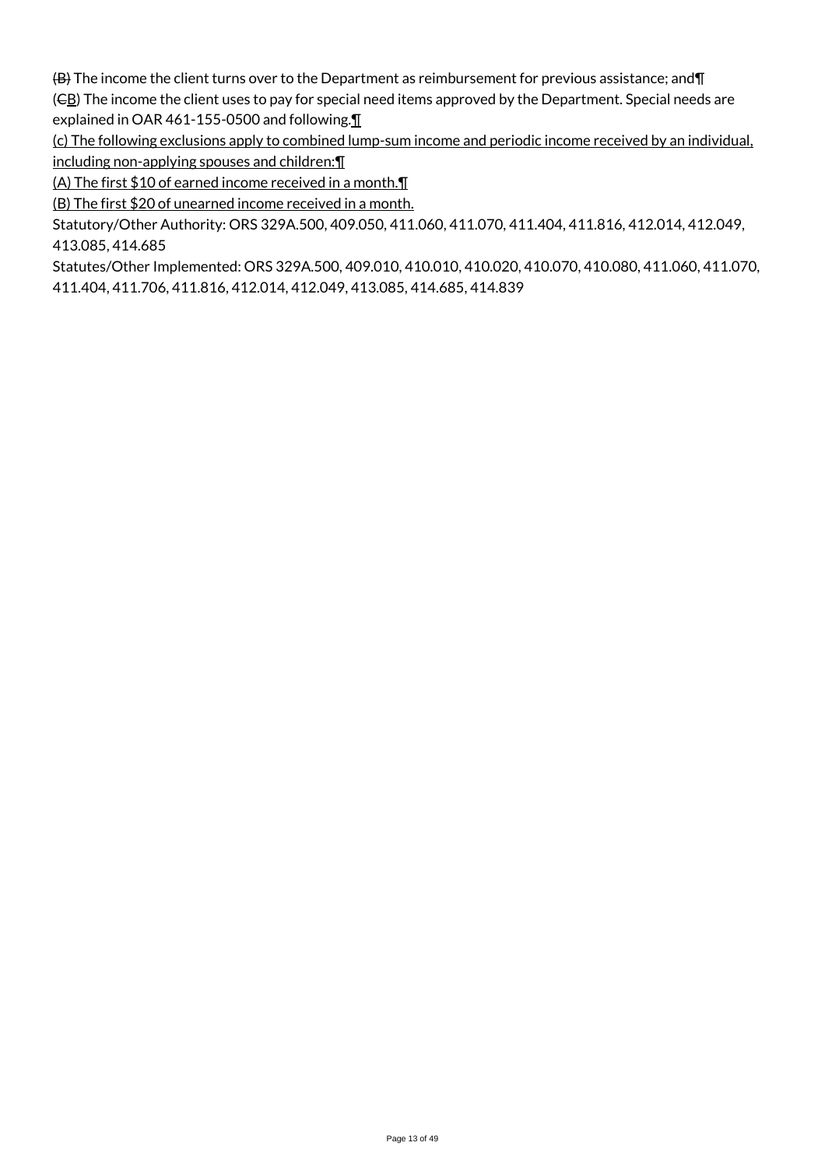(B) The income the client turns over to the Department as reimbursement for previous assistance; and¶ (CB) The income the client uses to pay for special need items approved by the Department. Special needs are explained in OAR 461-155-0500 and following.¶

(c) The following exclusions apply to combined lump-sum income and periodic income received by an individual, including non-applying spouses and children:¶

(A) The first \$10 of earned income received in a month.¶

(B) The first \$20 of unearned income received in a month.

Statutory/Other Authority: ORS 329A.500, 409.050, 411.060, 411.070, 411.404, 411.816, 412.014, 412.049, 413.085, 414.685

Statutes/Other Implemented: ORS 329A.500, 409.010, 410.010, 410.020, 410.070, 410.080, 411.060, 411.070, 411.404, 411.706, 411.816, 412.014, 412.049, 413.085, 414.685, 414.839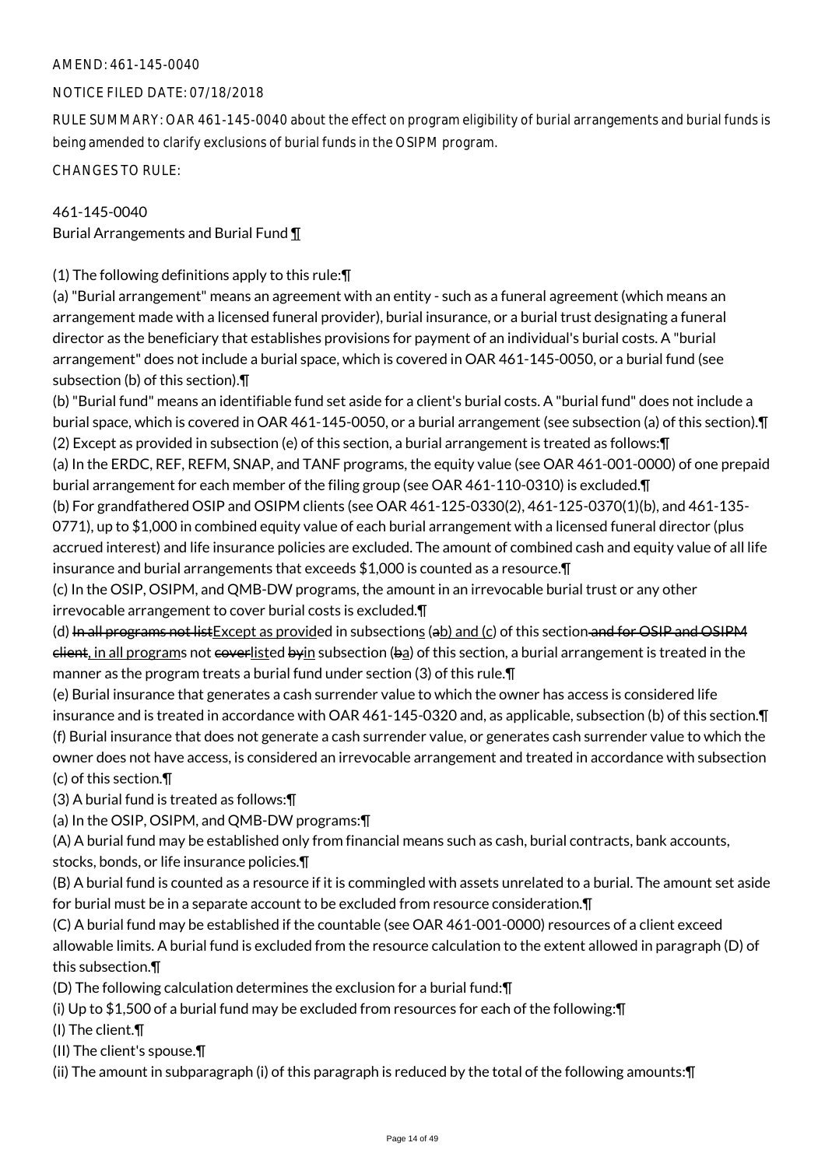## NOTICE FILED DATE: 07/18/2018

RULE SUMMARY: OAR 461-145-0040 about the effect on program eligibility of burial arrangements and burial funds is being amended to clarify exclusions of burial funds in the OSIPM program.

CHANGES TO RULE:

## 461-145-0040

Burial Arrangements and Burial Fund ¶

(1) The following definitions apply to this rule:¶

(a) "Burial arrangement" means an agreement with an entity - such as a funeral agreement (which means an arrangement made with a licensed funeral provider), burial insurance, or a burial trust designating a funeral director as the beneficiary that establishes provisions for payment of an individual's burial costs. A "burial arrangement" does not include a burial space, which is covered in OAR 461-145-0050, or a burial fund (see subsection (b) of this section).¶

(b) "Burial fund" means an identifiable fund set aside for a client's burial costs. A "burial fund" does not include a burial space, which is covered in OAR 461-145-0050, or a burial arrangement (see subsection (a) of this section).¶ (2) Except as provided in subsection (e) of this section, a burial arrangement is treated as follows:¶

(a) In the ERDC, REF, REFM, SNAP, and TANF programs, the equity value (see OAR 461-001-0000) of one prepaid burial arrangement for each member of the filing group (see OAR 461-110-0310) is excluded.¶

(b) For grandfathered OSIP and OSIPM clients (see OAR 461-125-0330(2), 461-125-0370(1)(b), and 461-135- 0771), up to \$1,000 in combined equity value of each burial arrangement with a licensed funeral director (plus accrued interest) and life insurance policies are excluded. The amount of combined cash and equity value of all life insurance and burial arrangements that exceeds \$1,000 is counted as a resource.¶

(c) In the OSIP, OSIPM, and QMB-DW programs, the amount in an irrevocable burial trust or any other irrevocable arrangement to cover burial costs is excluded.¶

(d) In all programs not list Except as provided in subsections (ab) and (c) of this section and for OSIP and OSIPM  $e$  elient, in all programs not  $e$  vertisted byin subsection (ba) of this section, a burial arrangement is treated in the manner as the program treats a burial fund under section (3) of this rule.¶

(e) Burial insurance that generates a cash surrender value to which the owner has access is considered life insurance and is treated in accordance with OAR 461-145-0320 and, as applicable, subsection (b) of this section.¶ (f) Burial insurance that does not generate a cash surrender value, or generates cash surrender value to which the owner does not have access, is considered an irrevocable arrangement and treated in accordance with subsection (c) of this section.¶

(3) A burial fund is treated as follows:¶

(a) In the OSIP, OSIPM, and QMB-DW programs:¶

(A) A burial fund may be established only from financial means such as cash, burial contracts, bank accounts, stocks, bonds, or life insurance policies.¶

(B) A burial fund is counted as a resource if it is commingled with assets unrelated to a burial. The amount set aside for burial must be in a separate account to be excluded from resource consideration.¶

(C) A burial fund may be established if the countable (see OAR 461-001-0000) resources of a client exceed allowable limits. A burial fund is excluded from the resource calculation to the extent allowed in paragraph (D) of this subsection.¶

(D) The following calculation determines the exclusion for a burial fund:¶

(i) Up to \$1,500 of a burial fund may be excluded from resources for each of the following:¶

(I) The client.¶

(II) The client's spouse.¶

(ii) The amount in subparagraph (i) of this paragraph is reduced by the total of the following amounts:¶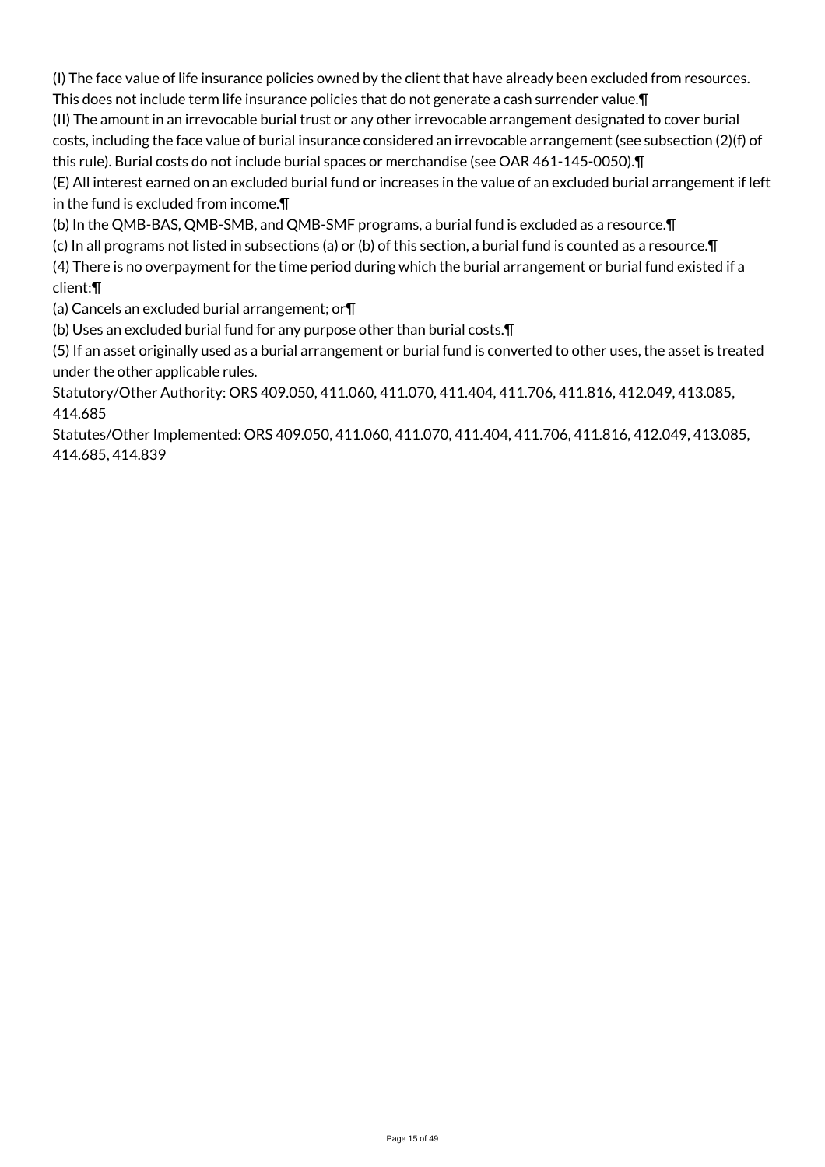(I) The face value of life insurance policies owned by the client that have already been excluded from resources. This does not include term life insurance policies that do not generate a cash surrender value.¶

(II) The amount in an irrevocable burial trust or any other irrevocable arrangement designated to cover burial costs, including the face value of burial insurance considered an irrevocable arrangement (see subsection (2)(f) of this rule). Burial costs do not include burial spaces or merchandise (see OAR 461-145-0050).¶

(E) All interest earned on an excluded burial fund or increases in the value of an excluded burial arrangement if left in the fund is excluded from income.¶

(b) In the QMB-BAS, QMB-SMB, and QMB-SMF programs, a burial fund is excluded as a resource.¶

(c) In all programs not listed in subsections (a) or (b) of this section, a burial fund is counted as a resource.¶

(4) There is no overpayment for the time period during which the burial arrangement or burial fund existed if a client:¶

(a) Cancels an excluded burial arrangement; or¶

(b) Uses an excluded burial fund for any purpose other than burial costs.¶

(5) If an asset originally used as a burial arrangement or burial fund is converted to other uses, the asset is treated under the other applicable rules.

Statutory/Other Authority: ORS 409.050, 411.060, 411.070, 411.404, 411.706, 411.816, 412.049, 413.085, 414.685

Statutes/Other Implemented: ORS 409.050, 411.060, 411.070, 411.404, 411.706, 411.816, 412.049, 413.085, 414.685, 414.839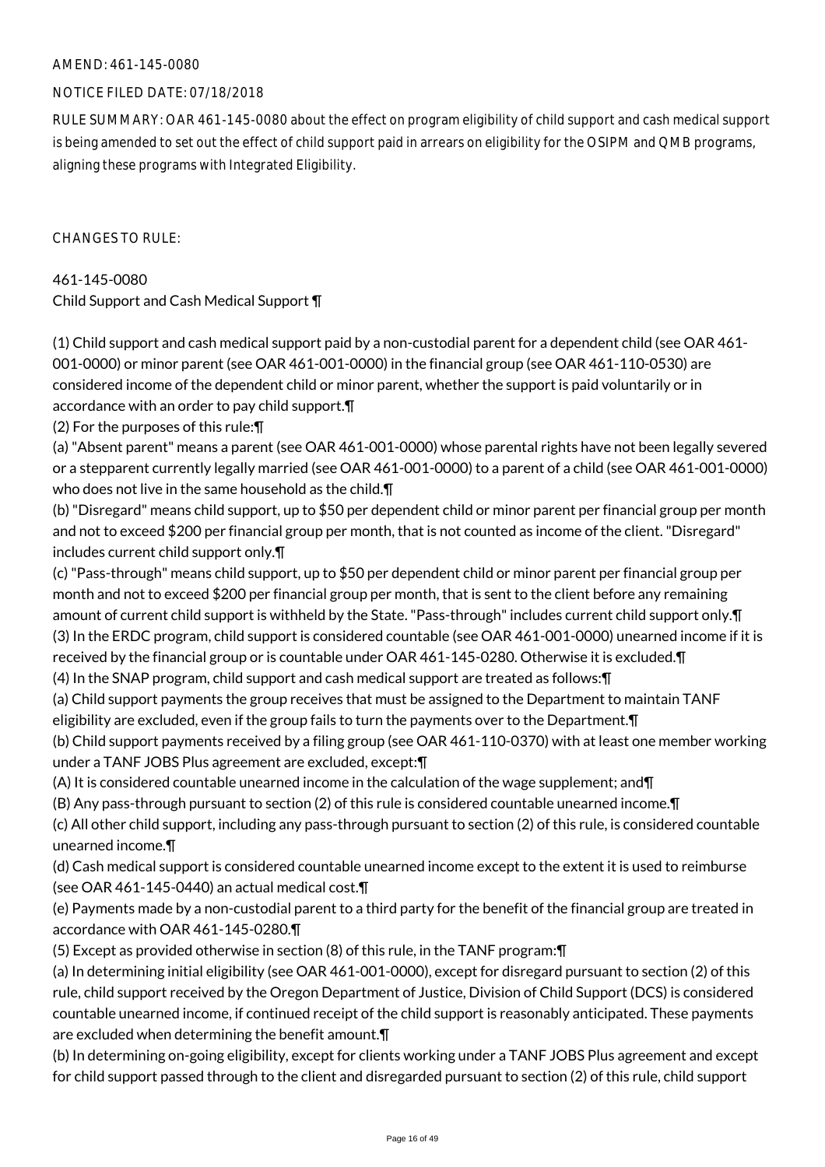## NOTICE FILED DATE: 07/18/2018

RULE SUMMARY: OAR 461-145-0080 about the effect on program eligibility of child support and cash medical support is being amended to set out the effect of child support paid in arrears on eligibility for the OSIPM and QMB programs, aligning these programs with Integrated Eligibility.

 $CHANGFS TO RIIF$ 

461-145-0080 Child Support and Cash Medical Support ¶

(1) Child support and cash medical support paid by a non-custodial parent for a dependent child (see OAR 461- 001-0000) or minor parent (see OAR 461-001-0000) in the financial group (see OAR 461-110-0530) are considered income of the dependent child or minor parent, whether the support is paid voluntarily or in accordance with an order to pay child support.¶

(2) For the purposes of this rule:¶

(a) "Absent parent" means a parent (see OAR 461-001-0000) whose parental rights have not been legally severed or a stepparent currently legally married (see OAR 461-001-0000) to a parent of a child (see OAR 461-001-0000) who does not live in the same household as the child.¶

(b) "Disregard" means child support, up to \$50 per dependent child or minor parent per financial group per month and not to exceed \$200 per financial group per month, that is not counted as income of the client. "Disregard" includes current child support only.¶

(c) "Pass-through" means child support, up to \$50 per dependent child or minor parent per financial group per month and not to exceed \$200 per financial group per month, that is sent to the client before any remaining amount of current child support is withheld by the State. "Pass-through" includes current child support only.¶ (3) In the ERDC program, child support is considered countable (see OAR 461-001-0000) unearned income if it is received by the financial group or is countable under OAR 461-145-0280. Otherwise it is excluded.¶

(4) In the SNAP program, child support and cash medical support are treated as follows:¶

(a) Child support payments the group receives that must be assigned to the Department to maintain TANF eligibility are excluded, even if the group fails to turn the payments over to the Department.¶

(b) Child support payments received by a filing group (see OAR 461-110-0370) with at least one member working under a TANF JOBS Plus agreement are excluded, except:¶

(A) It is considered countable unearned income in the calculation of the wage supplement; and¶

(B) Any pass-through pursuant to section (2) of this rule is considered countable unearned income.¶

(c) All other child support, including any pass-through pursuant to section (2) of this rule, is considered countable unearned income.¶

(d) Cash medical support is considered countable unearned income except to the extent it is used to reimburse (see OAR 461-145-0440) an actual medical cost.¶

(e) Payments made by a non-custodial parent to a third party for the benefit of the financial group are treated in accordance with OAR 461-145-0280.¶

(5) Except as provided otherwise in section (8) of this rule, in the TANF program:¶

(a) In determining initial eligibility (see OAR 461-001-0000), except for disregard pursuant to section (2) of this rule, child support received by the Oregon Department of Justice, Division of Child Support (DCS) is considered countable unearned income, if continued receipt of the child support is reasonably anticipated. These payments are excluded when determining the benefit amount.¶

(b) In determining on-going eligibility, except for clients working under a TANF JOBS Plus agreement and except for child support passed through to the client and disregarded pursuant to section (2) of this rule, child support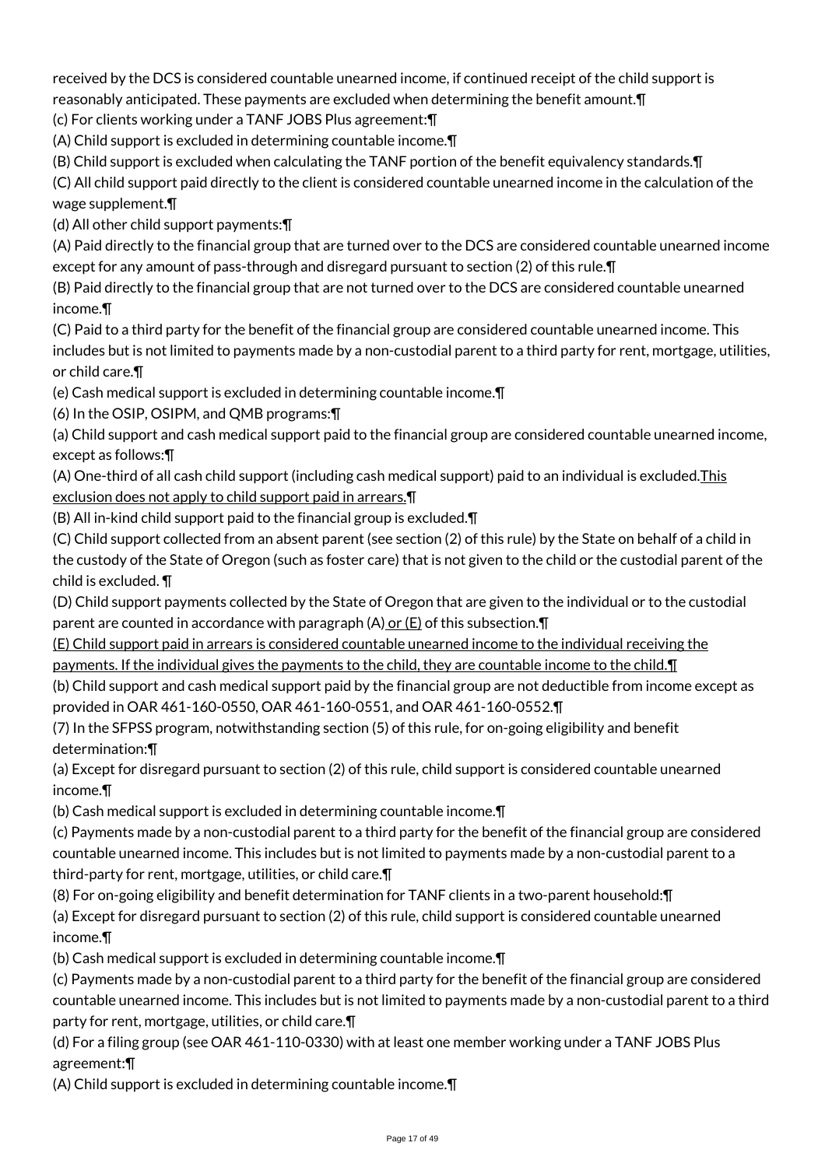received by the DCS is considered countable unearned income, if continued receipt of the child support is reasonably anticipated. These payments are excluded when determining the benefit amount.¶

(c) For clients working under a TANF JOBS Plus agreement:¶

(A) Child support is excluded in determining countable income.¶

(B) Child support is excluded when calculating the TANF portion of the benefit equivalency standards.¶

(C) All child support paid directly to the client is considered countable unearned income in the calculation of the wage supplement.¶

(d) All other child support payments:¶

(A) Paid directly to the financial group that are turned over to the DCS are considered countable unearned income except for any amount of pass-through and disregard pursuant to section (2) of this rule.¶

(B) Paid directly to the financial group that are not turned over to the DCS are considered countable unearned income.¶

(C) Paid to a third party for the benefit of the financial group are considered countable unearned income. This includes but is not limited to payments made by a non-custodial parent to a third party for rent, mortgage, utilities, or child care.¶

(e) Cash medical support is excluded in determining countable income.¶

(6) In the OSIP, OSIPM, and QMB programs:¶

(a) Child support and cash medical support paid to the financial group are considered countable unearned income, except as follows:¶

(A) One-third of all cash child support (including cash medical support) paid to an individual is excluded.This exclusion does not apply to child support paid in arrears.¶

(B) All in-kind child support paid to the financial group is excluded.¶

(C) Child support collected from an absent parent (see section (2) of this rule) by the State on behalf of a child in the custody of the State of Oregon (such as foster care) that is not given to the child or the custodial parent of the child is excluded. ¶

(D) Child support payments collected by the State of Oregon that are given to the individual or to the custodial parent are counted in accordance with paragraph  $(A)$  or  $(E)$  of this subsection. $\P$ 

(E) Child support paid in arrears is considered countable unearned income to the individual receiving the payments. If the individual gives the payments to the child, they are countable income to the child. I

(b) Child support and cash medical support paid by the financial group are not deductible from income except as provided in OAR 461-160-0550, OAR 461-160-0551, and OAR 461-160-0552.¶

(7) In the SFPSS program, notwithstanding section (5) of this rule, for on-going eligibility and benefit determination:¶

(a) Except for disregard pursuant to section (2) of this rule, child support is considered countable unearned income.¶

(b) Cash medical support is excluded in determining countable income.¶

(c) Payments made by a non-custodial parent to a third party for the benefit of the financial group are considered countable unearned income. This includes but is not limited to payments made by a non-custodial parent to a third-party for rent, mortgage, utilities, or child care.¶

(8) For on-going eligibility and benefit determination for TANF clients in a two-parent household:¶

(a) Except for disregard pursuant to section (2) of this rule, child support is considered countable unearned income.¶

(b) Cash medical support is excluded in determining countable income.¶

(c) Payments made by a non-custodial parent to a third party for the benefit of the financial group are considered countable unearned income. This includes but is not limited to payments made by a non-custodial parent to a third party for rent, mortgage, utilities, or child care.¶

(d) For a filing group (see OAR 461-110-0330) with at least one member working under a TANF JOBS Plus agreement:¶

(A) Child support is excluded in determining countable income.¶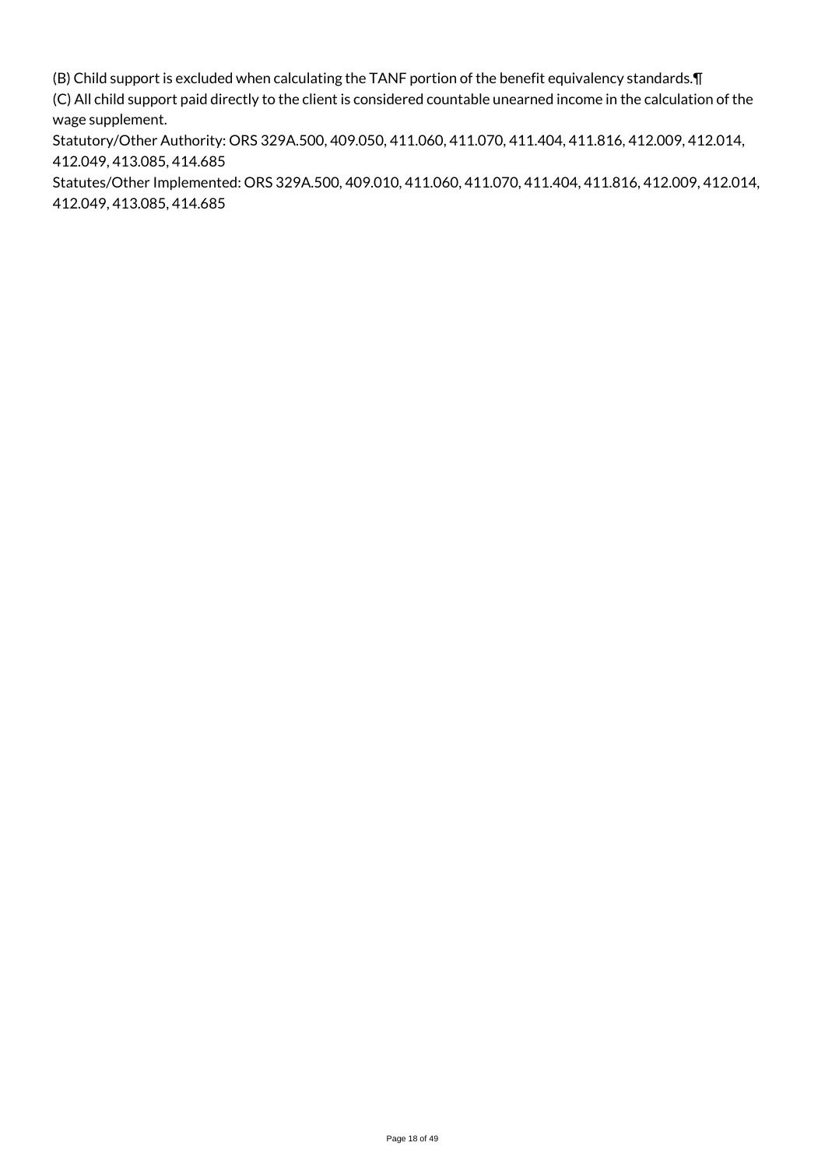(B) Child support is excluded when calculating the TANF portion of the benefit equivalency standards.¶ (C) All child support paid directly to the client is considered countable unearned income in the calculation of the wage supplement.

Statutory/Other Authority: ORS 329A.500, 409.050, 411.060, 411.070, 411.404, 411.816, 412.009, 412.014, 412.049, 413.085, 414.685

Statutes/Other Implemented: ORS 329A.500, 409.010, 411.060, 411.070, 411.404, 411.816, 412.009, 412.014, 412.049, 413.085, 414.685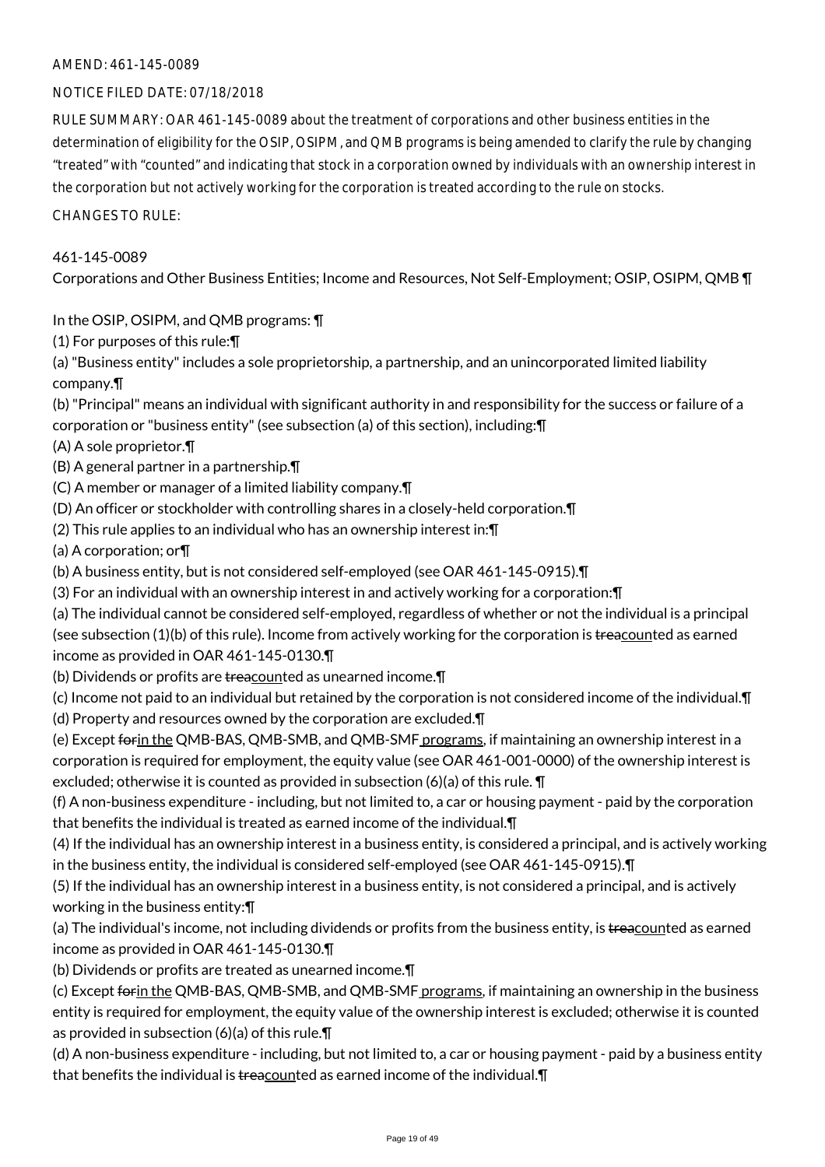### NOTICE FILED DATE: 07/18/2018

RULE SUMMARY: OAR 461-145-0089 about the treatment of corporations and other business entities in the determination of eligibility for the OSIP, OSIPM, and QMB programs is being amended to clarify the rule by changing "treated" with "counted" and indicating that stock in a corporation owned by individuals with an ownership interest in the corporation but not actively working for the corporation is treated according to the rule on stocks.

CHANGES TO RULE:

### 461-145-0089

Corporations and Other Business Entities; Income and Resources, Not Self-Employment; OSIP, OSIPM, QMB ¶

In the OSIP, OSIPM, and QMB programs: ¶

(1) For purposes of this rule:¶

(a) "Business entity" includes a sole proprietorship, a partnership, and an unincorporated limited liability company.¶

(b) "Principal" means an individual with significant authority in and responsibility for the success or failure of a corporation or "business entity" (see subsection (a) of this section), including:¶

- (A) A sole proprietor.¶
- (B) A general partner in a partnership.¶
- (C) A member or manager of a limited liability company.¶
- (D) An officer or stockholder with controlling shares in a closely-held corporation.¶
- (2) This rule applies to an individual who has an ownership interest in:¶
- (a) A corporation; or¶
- (b) A business entity, but is not considered self-employed (see OAR 461-145-0915).¶
- (3) For an individual with an ownership interest in and actively working for a corporation:¶

(a) The individual cannot be considered self-employed, regardless of whether or not the individual is a principal (see subsection (1)(b) of this rule). Income from actively working for the corporation is treacounted as earned income as provided in OAR 461-145-0130.¶

- (b) Dividends or profits are treacounted as unearned income.¶
- (c) Income not paid to an individual but retained by the corporation is not considered income of the individual.¶ (d) Property and resources owned by the corporation are excluded.¶

(e) Except forin the QMB-BAS, QMB-SMB, and QMB-SMF programs, if maintaining an ownership interest in a corporation is required for employment, the equity value (see OAR 461-001-0000) of the ownership interest is excluded; otherwise it is counted as provided in subsection (6)(a) of this rule. ¶

(f) A non-business expenditure - including, but not limited to, a car or housing payment - paid by the corporation that benefits the individual is treated as earned income of the individual.¶

(4) If the individual has an ownership interest in a business entity, is considered a principal, and is actively working in the business entity, the individual is considered self-employed (see OAR 461-145-0915).¶

(5) If the individual has an ownership interest in a business entity, is not considered a principal, and is actively working in the business entity:¶

(a) The individual's income, not including dividends or profits from the business entity, is treacounted as earned income as provided in OAR 461-145-0130.¶

(b) Dividends or profits are treated as unearned income.¶

(c) Except forin the QMB-BAS, QMB-SMB, and QMB-SMF programs, if maintaining an ownership in the business entity is required for employment, the equity value of the ownership interest is excluded; otherwise it is counted as provided in subsection (6)(a) of this rule.¶

(d) A non-business expenditure - including, but not limited to, a car or housing payment - paid by a business entity that benefits the individual is treacounted as earned income of the individual. [1]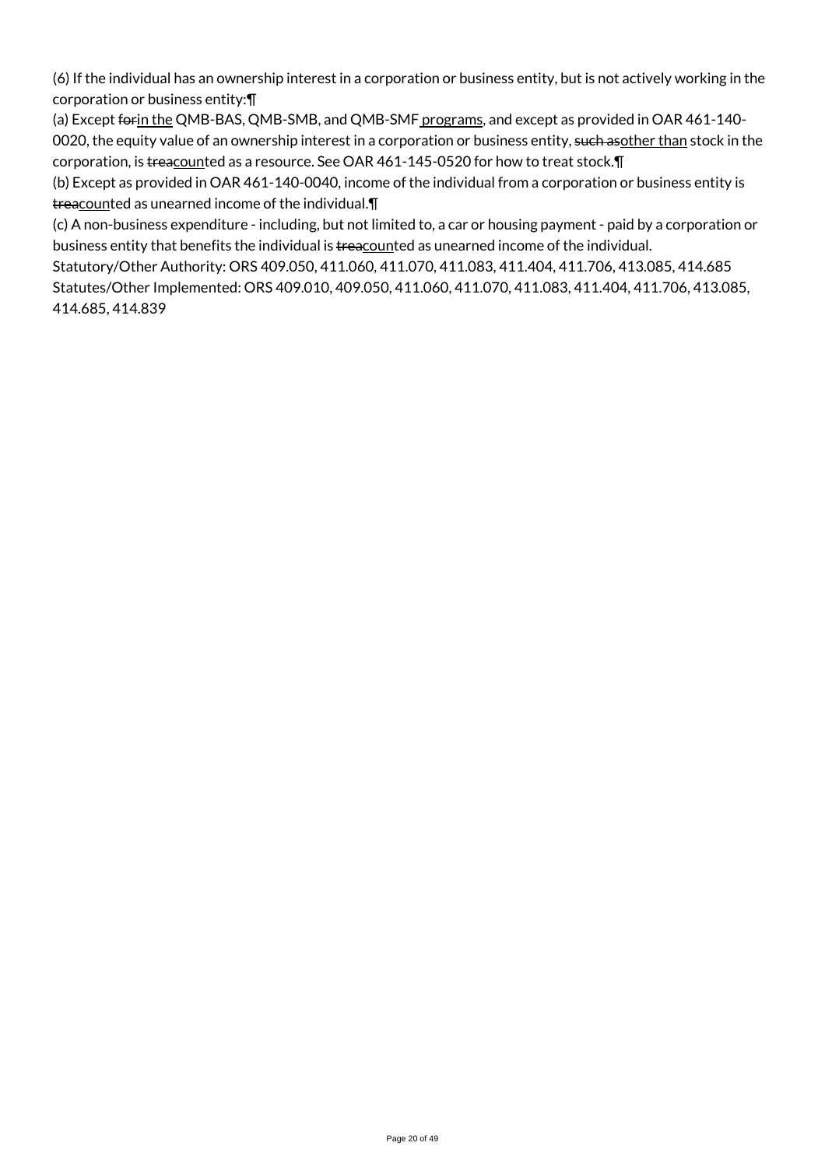(6) If the individual has an ownership interest in a corporation or business entity, but is not actively working in the corporation or business entity:¶

(a) Except forin the QMB-BAS, QMB-SMB, and QMB-SMF programs, and except as provided in OAR 461-140-0020, the equity value of an ownership interest in a corporation or business entity, such asother than stock in the corporation, is treacounted as a resource. See OAR 461-145-0520 for how to treat stock.¶

(b) Except as provided in OAR 461-140-0040, income of the individual from a corporation or business entity is treacounted as unearned income of the individual.¶

(c) A non-business expenditure - including, but not limited to, a car or housing payment - paid by a corporation or business entity that benefits the individual is treacounted as unearned income of the individual.

Statutory/Other Authority: ORS 409.050, 411.060, 411.070, 411.083, 411.404, 411.706, 413.085, 414.685 Statutes/Other Implemented: ORS 409.010, 409.050, 411.060, 411.070, 411.083, 411.404, 411.706, 413.085, 414.685, 414.839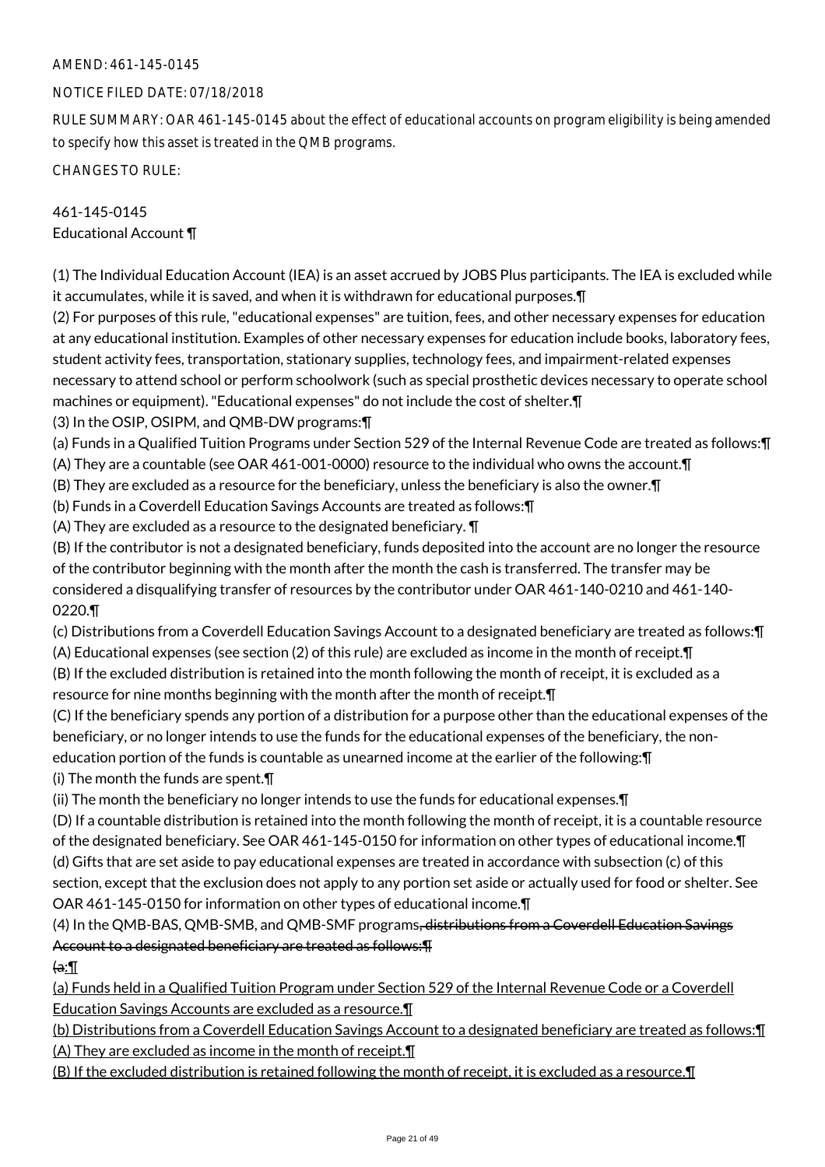## NOTICE FILED DATE: 07/18/2018

RULE SUMMARY: OAR 461-145-0145 about the effect of educational accounts on program eligibility is being amended to specify how this asset is treated in the QMB programs.

CHANGES TO RULE:

## 461-145-0145 Educational Account ¶

(1) The Individual Education Account (IEA) is an asset accrued by JOBS Plus participants. The IEA is excluded while it accumulates, while it is saved, and when it is withdrawn for educational purposes.¶

(2) For purposes of this rule, "educational expenses" are tuition, fees, and other necessary expenses for education at any educational institution. Examples of other necessary expenses for education include books, laboratory fees, student activity fees, transportation, stationary supplies, technology fees, and impairment-related expenses necessary to attend school or perform schoolwork (such as special prosthetic devices necessary to operate school machines or equipment). "Educational expenses" do not include the cost of shelter.¶

(3) In the OSIP, OSIPM, and QMB-DW programs:¶

- (a) Funds in a Qualified Tuition Programs under Section 529 of the Internal Revenue Code are treated as follows:¶ (A) They are a countable (see OAR 461-001-0000) resource to the individual who owns the account.¶
- (B) They are excluded as a resource for the beneficiary, unless the beneficiary is also the owner.¶
- (b) Funds in a Coverdell Education Savings Accounts are treated as follows:¶

(A) They are excluded as a resource to the designated beneficiary. ¶

(B) If the contributor is not a designated beneficiary, funds deposited into the account are no longer the resource of the contributor beginning with the month after the month the cash is transferred. The transfer may be considered a disqualifying transfer of resources by the contributor under OAR 461-140-0210 and 461-140- 0220.¶

(c) Distributions from a Coverdell Education Savings Account to a designated beneficiary are treated as follows:¶

(A) Educational expenses (see section (2) of this rule) are excluded as income in the month of receipt.¶

(B) If the excluded distribution is retained into the month following the month of receipt, it is excluded as a resource for nine months beginning with the month after the month of receipt.¶

(C) If the beneficiary spends any portion of a distribution for a purpose other than the educational expenses of the beneficiary, or no longer intends to use the funds for the educational expenses of the beneficiary, the noneducation portion of the funds is countable as unearned income at the earlier of the following:¶ (i) The month the funds are spent.¶

(ii) The month the beneficiary no longer intends to use the funds for educational expenses.¶

(D) If a countable distribution is retained into the month following the month of receipt, it is a countable resource of the designated beneficiary. See OAR 461-145-0150 for information on other types of educational income.¶ (d) Gifts that are set aside to pay educational expenses are treated in accordance with subsection (c) of this section, except that the exclusion does not apply to any portion set aside or actually used for food or shelter. See OAR 461-145-0150 for information on other types of educational income.¶

## (4) In the QMB-BAS, QMB-SMB, and QMB-SMF programs, distributions from a Coverdell Education Savings Account to a designated beneficiary are treated as follows:¶

 $\mathbf{a}$ :

(a) Funds held in a Qualified Tuition Program under Section 529 of the Internal Revenue Code or a Coverdell Education Savings Accounts are excluded as a resource.¶

(b) Distributions from a Coverdell Education Savings Account to a designated beneficiary are treated as follows:¶ (A) They are excluded as income in the month of receipt.¶

(B) If the excluded distribution is retained following the month of receipt, it is excluded as a resource.¶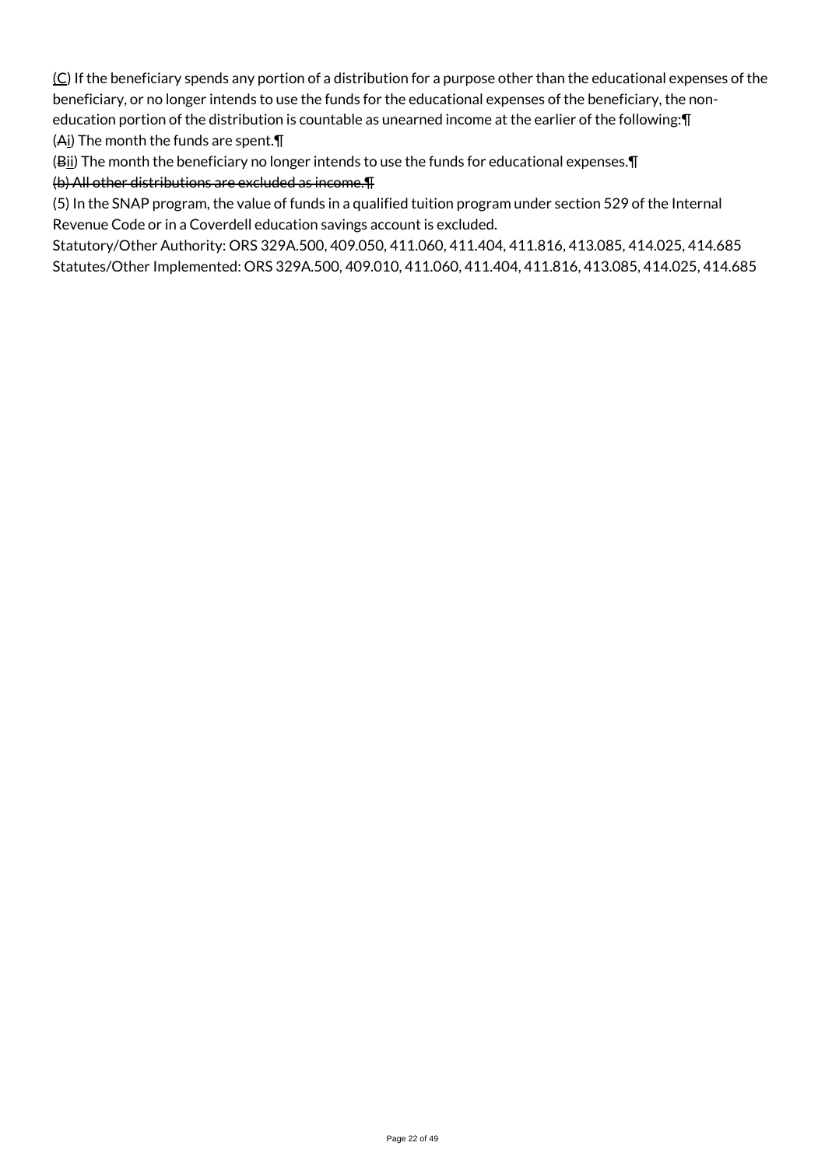$(C)$  If the beneficiary spends any portion of a distribution for a purpose other than the educational expenses of the beneficiary, or no longer intends to use the funds for the educational expenses of the beneficiary, the noneducation portion of the distribution is countable as unearned income at the earlier of the following:¶ (Ai) The month the funds are spent.¶

(Bii) The month the beneficiary no longer intends to use the funds for educational expenses. [1] (b) All other distributions are excluded as income.¶

(5) In the SNAP program, the value of funds in a qualified tuition program under section 529 of the Internal Revenue Code or in a Coverdell education savings account is excluded.

Statutory/Other Authority: ORS 329A.500, 409.050, 411.060, 411.404, 411.816, 413.085, 414.025, 414.685 Statutes/Other Implemented: ORS 329A.500, 409.010, 411.060, 411.404, 411.816, 413.085, 414.025, 414.685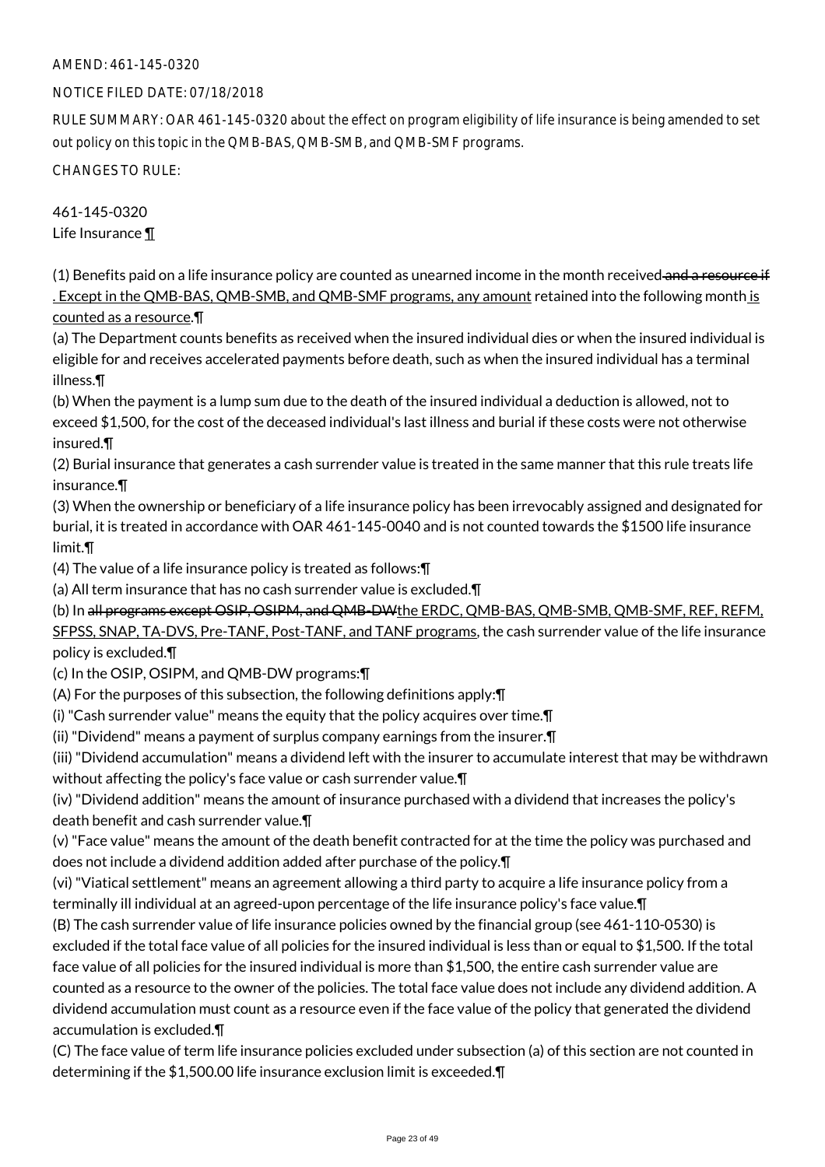### NOTICE FILED DATE: 07/18/2018

RULE SUMMARY: OAR 461-145-0320 about the effect on program eligibility of life insurance is being amended to set out policy on this topic in the QMB-BAS, QMB-SMB, and QMB-SMF programs.

CHANGES TO RULE:

461-145-0320 Life Insurance ¶

 $(1)$  Benefits paid on a life insurance policy are counted as unearned income in the month received and a resource if . Except in the QMB-BAS, QMB-SMB, and QMB-SMF programs, any amount retained into the following month is counted as a resource.¶

(a) The Department counts benefits as received when the insured individual dies or when the insured individual is eligible for and receives accelerated payments before death, such as when the insured individual has a terminal illness.¶

(b) When the payment is a lump sum due to the death of the insured individual a deduction is allowed, not to exceed \$1,500, for the cost of the deceased individual's last illness and burial if these costs were not otherwise insured.¶

(2) Burial insurance that generates a cash surrender value is treated in the same manner that this rule treats life insurance.¶

(3) When the ownership or beneficiary of a life insurance policy has been irrevocably assigned and designated for burial, it is treated in accordance with OAR 461-145-0040 and is not counted towards the \$1500 life insurance limit.¶

(4) The value of a life insurance policy is treated as follows:¶

(a) All term insurance that has no cash surrender value is excluded.¶

(b) In all programs except OSIP, OSIPM, and QMB-DWthe ERDC, QMB-BAS, QMB-SMB, QMB-SMF, REF, REFM,

SFPSS, SNAP, TA-DVS, Pre-TANF, Post-TANF, and TANF programs, the cash surrender value of the life insurance policy is excluded.¶

(c) In the OSIP, OSIPM, and QMB-DW programs:¶

(A) For the purposes of this subsection, the following definitions apply:¶

(i) "Cash surrender value" means the equity that the policy acquires over time.¶

(ii) "Dividend" means a payment of surplus company earnings from the insurer.¶

(iii) "Dividend accumulation" means a dividend left with the insurer to accumulate interest that may be withdrawn without affecting the policy's face value or cash surrender value.¶

(iv) "Dividend addition" means the amount of insurance purchased with a dividend that increases the policy's death benefit and cash surrender value.¶

(v) "Face value" means the amount of the death benefit contracted for at the time the policy was purchased and does not include a dividend addition added after purchase of the policy.¶

(vi) "Viatical settlement" means an agreement allowing a third party to acquire a life insurance policy from a terminally ill individual at an agreed-upon percentage of the life insurance policy's face value.¶

(B) The cash surrender value of life insurance policies owned by the financial group (see 461-110-0530) is excluded if the total face value of all policies for the insured individual is less than or equal to \$1,500. If the total face value of all policies for the insured individual is more than \$1,500, the entire cash surrender value are counted as a resource to the owner of the policies. The total face value does not include any dividend addition. A dividend accumulation must count as a resource even if the face value of the policy that generated the dividend accumulation is excluded.¶

(C) The face value of term life insurance policies excluded under subsection (a) of this section are not counted in determining if the \$1,500.00 life insurance exclusion limit is exceeded.¶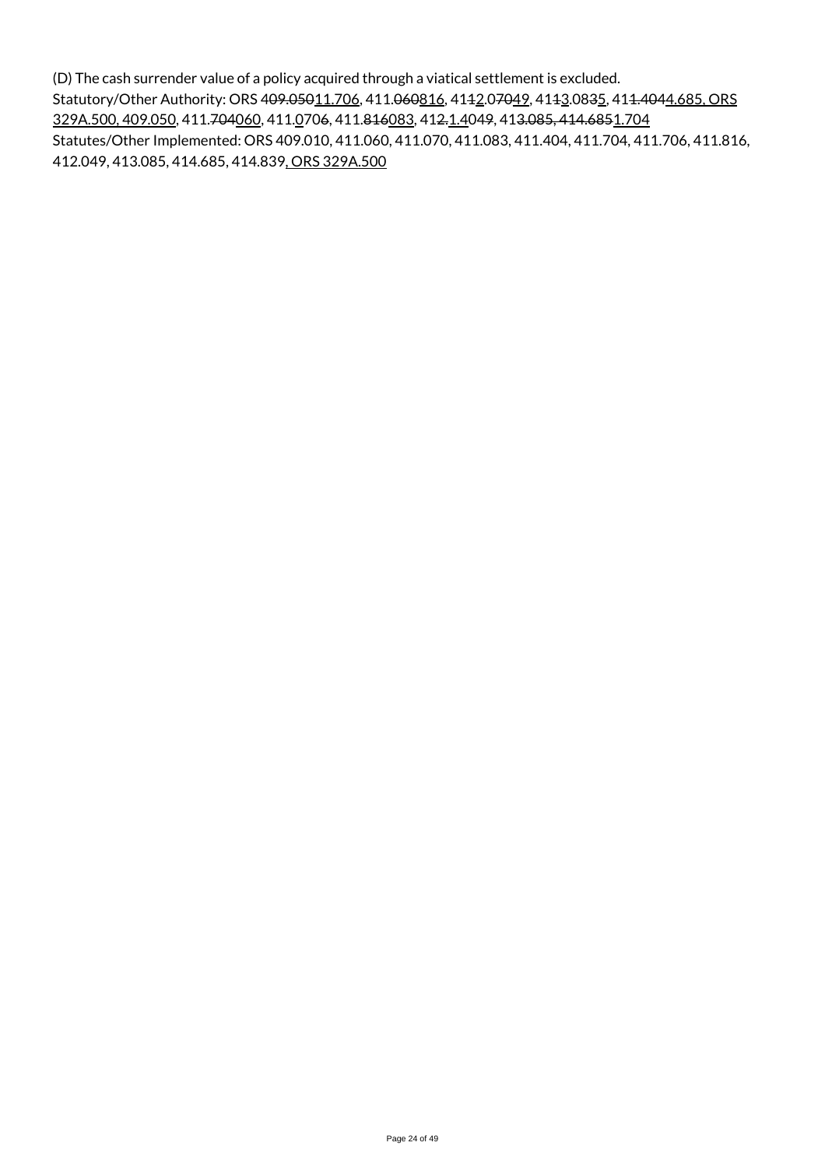(D) The cash surrender value of a policy acquired through a viatical settlement is excluded. Statutory/Other Authority: ORS 409.05011.706, 411.060816, 4142.07049, 4143.0835, 411.4044.685, ORS 329A.500, 409.050, 411.704060, 411.0706, 411.816083, 412.1.4049, 413.085, 414.6851.704 Statutes/Other Implemented: ORS 409.010, 411.060, 411.070, 411.083, 411.404, 411.704, 411.706, 411.816, 412.049, 413.085, 414.685, 414.839, ORS 329A.500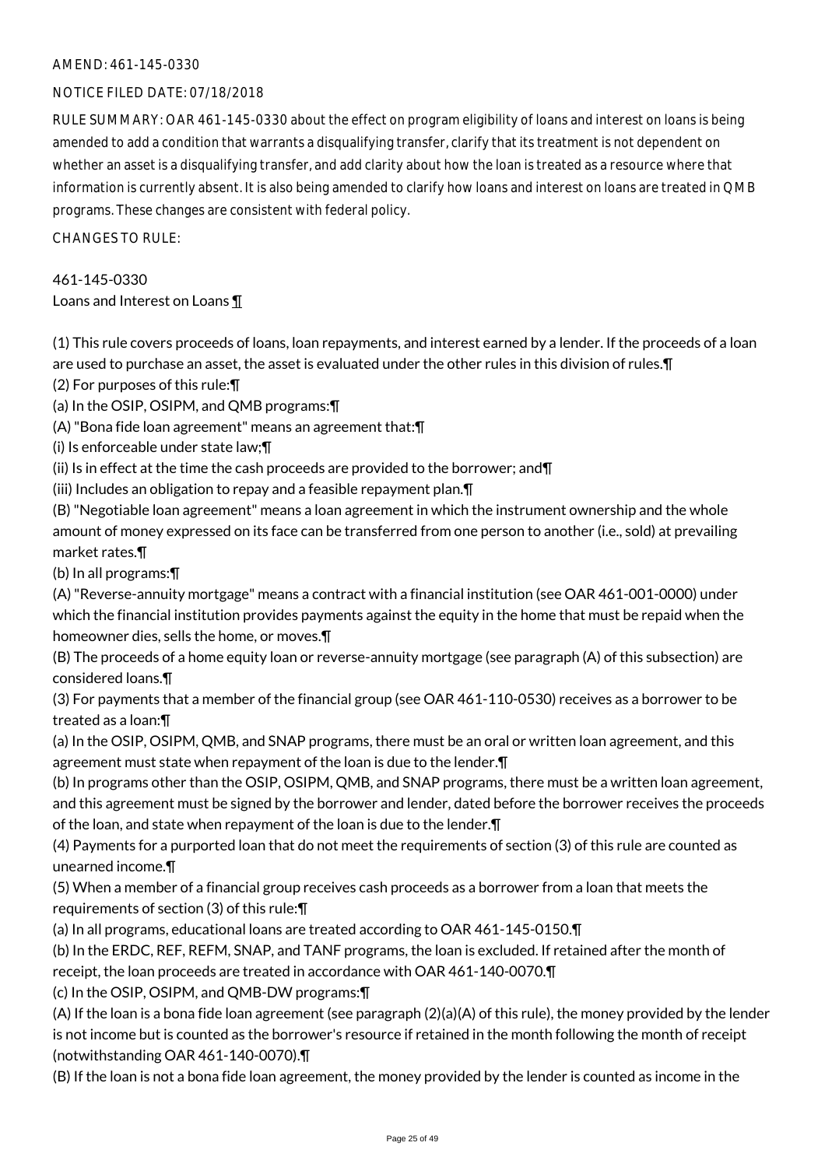#### NOTICE FILED DATE: 07/18/2018

RULE SUMMARY: OAR 461-145-0330 about the effect on program eligibility of loans and interest on loans is being amended to add a condition that warrants a disqualifying transfer, clarify that its treatment is not dependent on whether an asset is a disqualifying transfer, and add clarity about how the loan is treated as a resource where that information is currently absent. It is also being amended to clarify how loans and interest on loans are treated in QMB programs. These changes are consistent with federal policy.

 $CHANGESTORUIF$ 

461-145-0330 Loans and Interest on Loans ¶

(1) This rule covers proceeds of loans, loan repayments, and interest earned by a lender. If the proceeds of a loan are used to purchase an asset, the asset is evaluated under the other rules in this division of rules.¶

(2) For purposes of this rule:¶

(a) In the OSIP, OSIPM, and QMB programs:¶

(A) "Bona fide loan agreement" means an agreement that:¶

(i) Is enforceable under state law;¶

(ii) Is in effect at the time the cash proceeds are provided to the borrower; and  $\P$ 

(iii) Includes an obligation to repay and a feasible repayment plan.¶

(B) "Negotiable loan agreement" means a loan agreement in which the instrument ownership and the whole amount of money expressed on its face can be transferred from one person to another (i.e., sold) at prevailing market rates.¶

(b) In all programs:¶

(A) "Reverse-annuity mortgage" means a contract with a financial institution (see OAR 461-001-0000) under which the financial institution provides payments against the equity in the home that must be repaid when the homeowner dies, sells the home, or moves.¶

(B) The proceeds of a home equity loan or reverse-annuity mortgage (see paragraph (A) of this subsection) are considered loans.¶

(3) For payments that a member of the financial group (see OAR 461-110-0530) receives as a borrower to be treated as a loan:¶

(a) In the OSIP, OSIPM, QMB, and SNAP programs, there must be an oral or written loan agreement, and this agreement must state when repayment of the loan is due to the lender.¶

(b) In programs other than the OSIP, OSIPM, QMB, and SNAP programs, there must be a written loan agreement, and this agreement must be signed by the borrower and lender, dated before the borrower receives the proceeds of the loan, and state when repayment of the loan is due to the lender.¶

(4) Payments for a purported loan that do not meet the requirements of section (3) of this rule are counted as unearned income.¶

(5) When a member of a financial group receives cash proceeds as a borrower from a loan that meets the requirements of section (3) of this rule:¶

(a) In all programs, educational loans are treated according to OAR 461-145-0150.¶

(b) In the ERDC, REF, REFM, SNAP, and TANF programs, the loan is excluded. If retained after the month of receipt, the loan proceeds are treated in accordance with OAR 461-140-0070.¶

(c) In the OSIP, OSIPM, and QMB-DW programs:¶

(A) If the loan is a bona fide loan agreement (see paragraph (2)(a)(A) of this rule), the money provided by the lender is not income but is counted as the borrower's resource if retained in the month following the month of receipt (notwithstanding OAR 461-140-0070).¶

(B) If the loan is not a bona fide loan agreement, the money provided by the lender is counted as income in the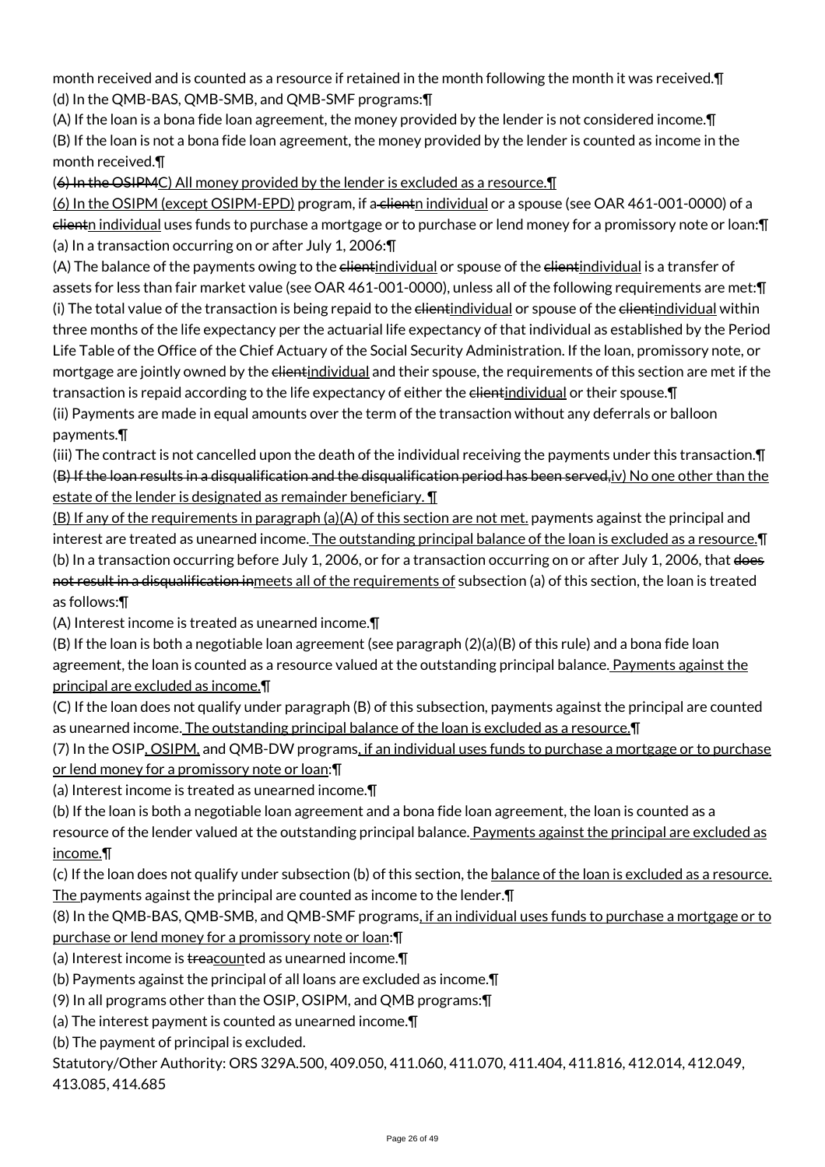month received and is counted as a resource if retained in the month following the month it was received.¶ (d) In the QMB-BAS, QMB-SMB, and QMB-SMF programs:¶

(A) If the loan is a bona fide loan agreement, the money provided by the lender is not considered income.¶ (B) If the loan is not a bona fide loan agreement, the money provided by the lender is counted as income in the month received.¶

(6) In the OSIPMC) All money provided by the lender is excluded as a resource.¶

(6) In the OSIPM (except OSIPM-EPD) program, if a clientn individual or a spouse (see OAR 461-001-0000) of a clientn individual uses funds to purchase a mortgage or to purchase or lend money for a promissory note or loan:¶ (a) In a transaction occurring on or after July 1, 2006:¶

(A) The balance of the payments owing to the elientindividual or spouse of the elientindividual is a transfer of assets for less than fair market value (see OAR 461-001-0000), unless all of the following requirements are met:¶ (i) The total value of the transaction is being repaid to the elientindividual or spouse of the elientindividual within three months of the life expectancy per the actuarial life expectancy of that individual as established by the Period Life Table of the Office of the Chief Actuary of the Social Security Administration. If the loan, promissory note, or mortgage are jointly owned by the elientindividual and their spouse, the requirements of this section are met if the transaction is repaid according to the life expectancy of either the elientindividual or their spouse. T (ii) Payments are made in equal amounts over the term of the transaction without any deferrals or balloon payments.¶

(iii) The contract is not cancelled upon the death of the individual receiving the payments under this transaction.¶ (B) If the loan results in a disqualification and the disqualification period has been served, iv) No one other than the estate of the lender is designated as remainder beneficiary. ¶

(B) If any of the requirements in paragraph (a)(A) of this section are not met. payments against the principal and interest are treated as unearned income. The outstanding principal balance of the loan is excluded as a resource.¶ (b) In a transaction occurring before July 1, 2006, or for a transaction occurring on or after July 1, 2006, that does not result in a disqualification inmeets all of the requirements of subsection (a) of this section, the loan is treated as follows:¶

(A) Interest income is treated as unearned income.¶

(B) If the loan is both a negotiable loan agreement (see paragraph (2)(a)(B) of this rule) and a bona fide loan agreement, the loan is counted as a resource valued at the outstanding principal balance. Payments against the principal are excluded as income.¶

(C) If the loan does not qualify under paragraph (B) of this subsection, payments against the principal are counted as unearned income. The outstanding principal balance of the loan is excluded as a resource.¶

(7) In the OSIP, OSIPM, and QMB-DW programs, if an individual uses funds to purchase a mortgage or to purchase or lend money for a promissory note or loan:¶

(a) Interest income is treated as unearned income.¶

(b) If the loan is both a negotiable loan agreement and a bona fide loan agreement, the loan is counted as a resource of the lender valued at the outstanding principal balance. Payments against the principal are excluded as income.¶

(c) If the loan does not qualify under subsection (b) of this section, the balance of the loan is excluded as a resource. The payments against the principal are counted as income to the lender.¶

(8) In the QMB-BAS, QMB-SMB, and QMB-SMF programs, if an individual uses funds to purchase a mortgage or to purchase or lend money for a promissory note or loan:¶

(a) Interest income is treacounted as unearned income.

(b) Payments against the principal of all loans are excluded as income.¶

(9) In all programs other than the OSIP, OSIPM, and QMB programs:¶

(a) The interest payment is counted as unearned income.¶

(b) The payment of principal is excluded.

Statutory/Other Authority: ORS 329A.500, 409.050, 411.060, 411.070, 411.404, 411.816, 412.014, 412.049, 413.085, 414.685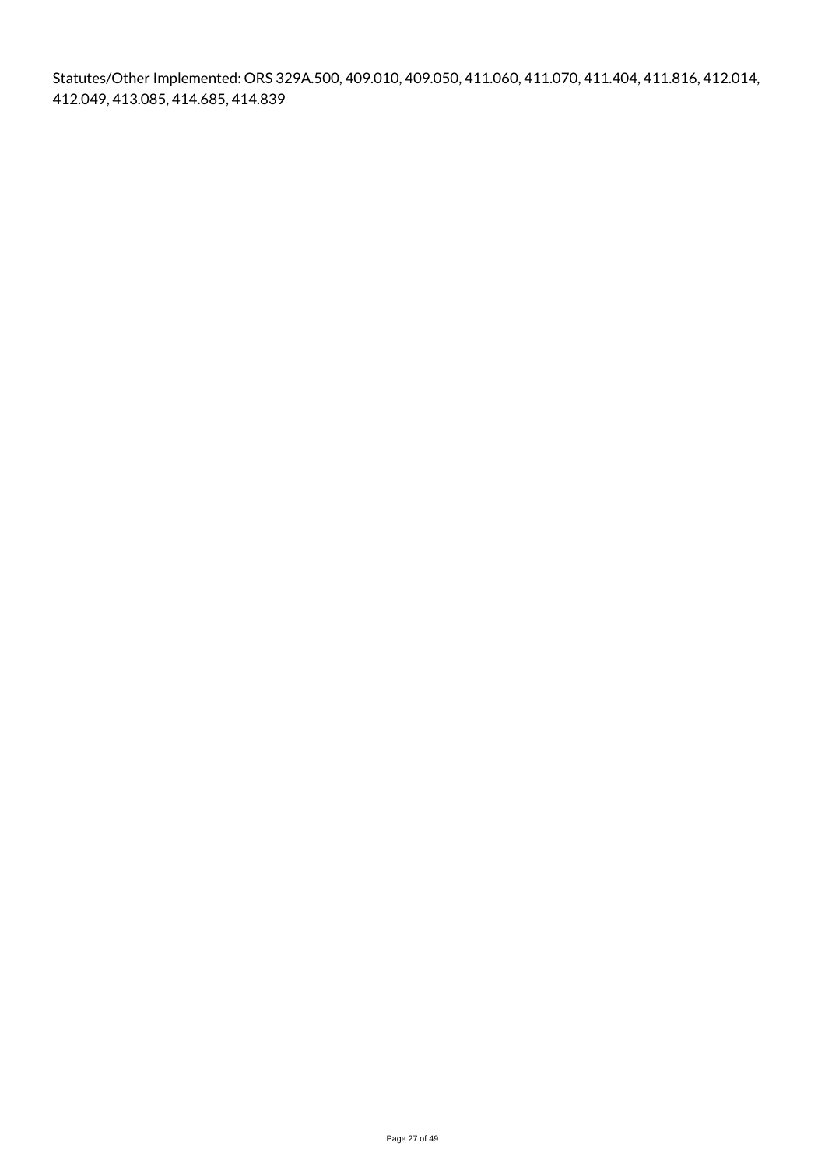Statutes/Other Implemented: ORS 329A.500, 409.010, 409.050, 411.060, 411.070, 411.404, 411.816, 412.014, 412.049, 413.085, 414.685, 414.839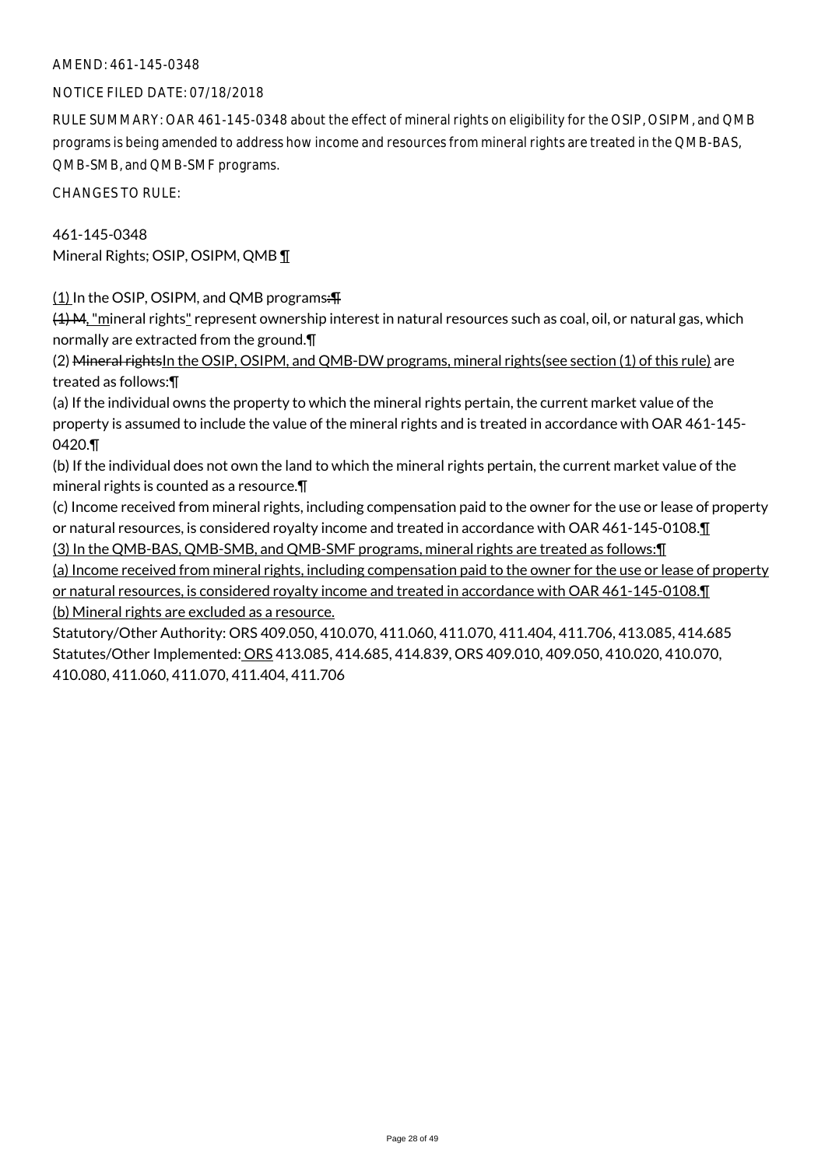#### NOTICE FILED DATE: 07/18/2018

RULE SUMMARY: OAR 461-145-0348 about the effect of mineral rights on eligibility for the OSIP, OSIPM, and QMB programs is being amended to address how income and resources from mineral rights are treated in the QMB-BAS, QMB-SMB, and QMB-SMF programs.

CHANGES TO RULE:

### 461-145-0348

Mineral Rights; OSIP, OSIPM, QMB ¶

(1) In the OSIP, OSIPM, and QMB programs:¶

(4) M, "mineral rights" represent ownership interest in natural resources such as coal, oil, or natural gas, which normally are extracted from the ground.¶

(2) Mineral rightsIn the OSIP, OSIPM, and QMB-DW programs, mineral rights(see section (1) of this rule) are treated as follows:¶

(a) If the individual owns the property to which the mineral rights pertain, the current market value of the property is assumed to include the value of the mineral rights and is treated in accordance with OAR 461-145- 0420.¶

(b) If the individual does not own the land to which the mineral rights pertain, the current market value of the mineral rights is counted as a resource.¶

(c) Income received from mineral rights, including compensation paid to the owner for the use or lease of property or natural resources, is considered royalty income and treated in accordance with OAR 461-145-0108.¶ (3) In the QMB-BAS, QMB-SMB, and QMB-SMF programs, mineral rights are treated as follows:¶

(a) Income received from mineral rights, including compensation paid to the owner for the use or lease of property or natural resources, is considered royalty income and treated in accordance with OAR 461-145-0108.¶ (b) Mineral rights are excluded as a resource.

Statutory/Other Authority: ORS 409.050, 410.070, 411.060, 411.070, 411.404, 411.706, 413.085, 414.685 Statutes/Other Implemented: ORS 413.085, 414.685, 414.839, ORS 409.010, 409.050, 410.020, 410.070, 410.080, 411.060, 411.070, 411.404, 411.706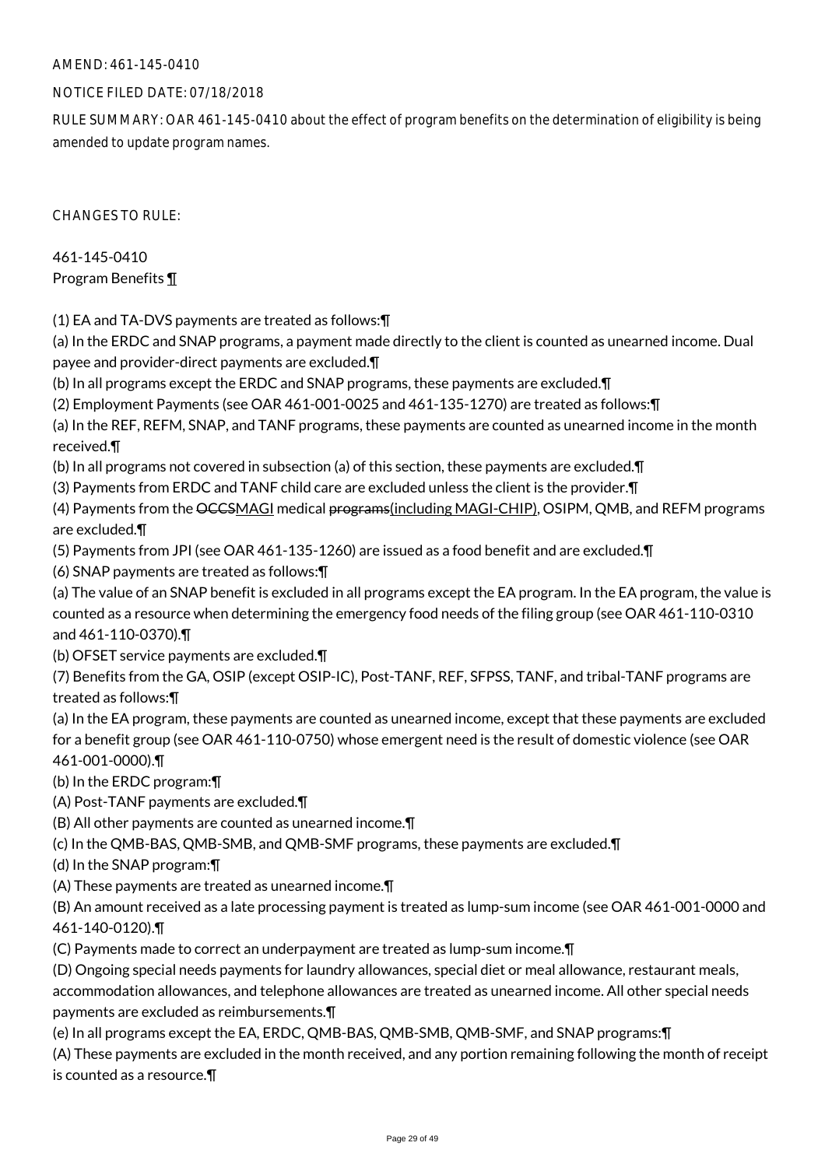### NOTICE FILED DATE: 07/18/2018

RULE SUMMARY: OAR 461-145-0410 about the effect of program benefits on the determination of eligibility is being amended to update program names.

CHANGES TO RULE:

461-145-0410 Program Benefits ¶

(1) EA and TA-DVS payments are treated as follows:¶

(a) In the ERDC and SNAP programs, a payment made directly to the client is counted as unearned income. Dual payee and provider-direct payments are excluded.¶

(b) In all programs except the ERDC and SNAP programs, these payments are excluded.¶

(2) Employment Payments (see OAR 461-001-0025 and 461-135-1270) are treated as follows:¶

(a) In the REF, REFM, SNAP, and TANF programs, these payments are counted as unearned income in the month received.¶

(b) In all programs not covered in subsection (a) of this section, these payments are excluded.¶

(3) Payments from ERDC and TANF child care are excluded unless the client is the provider.¶

(4) Payments from the OCCSMAGI medical programs(including MAGI-CHIP), OSIPM, QMB, and REFM programs are excluded.¶

(5) Payments from JPI (see OAR 461-135-1260) are issued as a food benefit and are excluded.¶

(6) SNAP payments are treated as follows:¶

(a) The value of an SNAP benefit is excluded in all programs except the EA program. In the EA program, the value is counted as a resource when determining the emergency food needs of the filing group (see OAR 461-110-0310 and 461-110-0370).¶

(b) OFSET service payments are excluded.¶

(7) Benefits from the GA, OSIP (except OSIP-IC), Post-TANF, REF, SFPSS, TANF, and tribal-TANF programs are treated as follows:¶

(a) In the EA program, these payments are counted as unearned income, except that these payments are excluded for a benefit group (see OAR 461-110-0750) whose emergent need is the result of domestic violence (see OAR 461-001-0000).¶

(b) In the ERDC program:¶

(A) Post-TANF payments are excluded.¶

(B) All other payments are counted as unearned income.¶

(c) In the QMB-BAS, QMB-SMB, and QMB-SMF programs, these payments are excluded.¶

(d) In the SNAP program:¶

(A) These payments are treated as unearned income.¶

(B) An amount received as a late processing payment is treated as lump-sum income (see OAR 461-001-0000 and 461-140-0120).¶

(C) Payments made to correct an underpayment are treated as lump-sum income.¶

(D) Ongoing special needs payments for laundry allowances, special diet or meal allowance, restaurant meals,

accommodation allowances, and telephone allowances are treated as unearned income. All other special needs payments are excluded as reimbursements.¶

(e) In all programs except the EA, ERDC, QMB-BAS, QMB-SMB, QMB-SMF, and SNAP programs:¶

(A) These payments are excluded in the month received, and any portion remaining following the month of receipt is counted as a resource.¶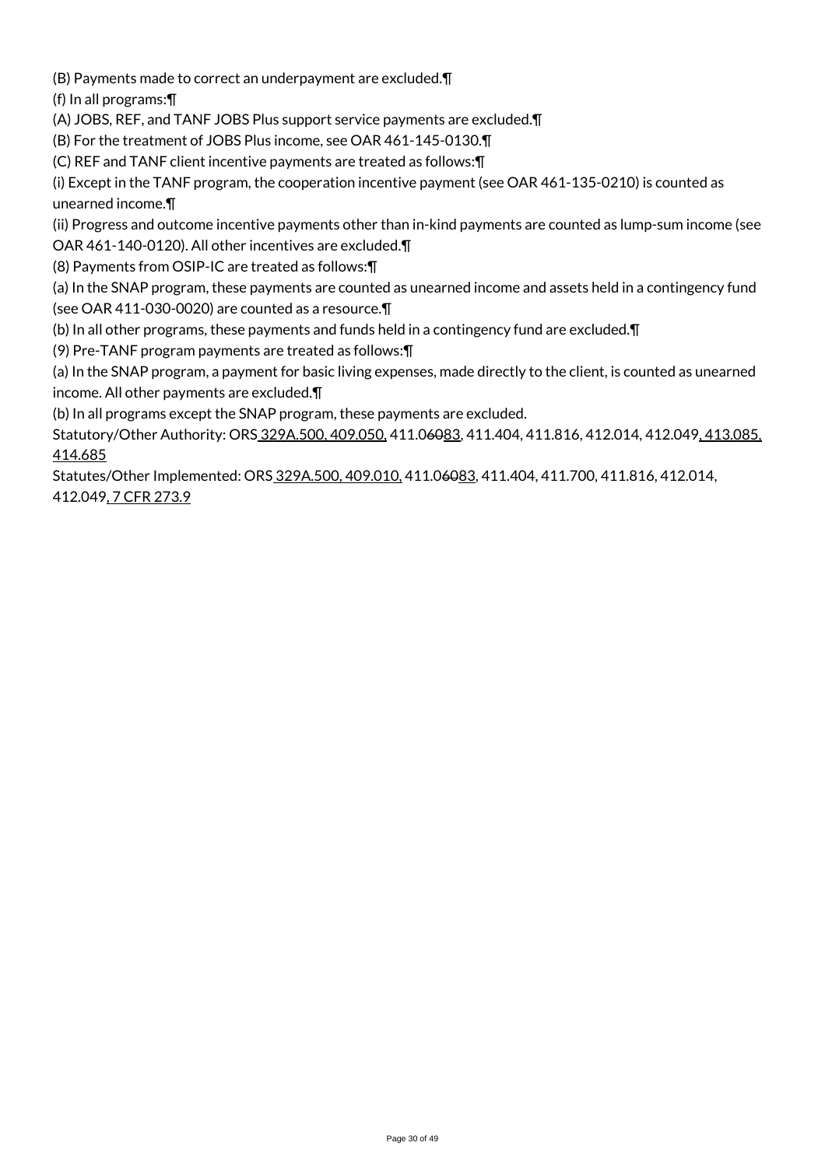(B) Payments made to correct an underpayment are excluded.¶

(f) In all programs:¶

(A) JOBS, REF, and TANF JOBS Plus support service payments are excluded.¶

(B) For the treatment of JOBS Plus income, see OAR 461-145-0130.¶

(C) REF and TANF client incentive payments are treated as follows:¶

(i) Except in the TANF program, the cooperation incentive payment (see OAR 461-135-0210) is counted as unearned income.¶

(ii) Progress and outcome incentive payments other than in-kind payments are counted as lump-sum income (see

OAR 461-140-0120). All other incentives are excluded.¶

(8) Payments from OSIP-IC are treated as follows:¶

(a) In the SNAP program, these payments are counted as unearned income and assets held in a contingency fund (see OAR 411-030-0020) are counted as a resource.¶

(b) In all other programs, these payments and funds held in a contingency fund are excluded.¶

(9) Pre-TANF program payments are treated as follows:¶

(a) In the SNAP program, a payment for basic living expenses, made directly to the client, is counted as unearned income. All other payments are excluded.¶

(b) In all programs except the SNAP program, these payments are excluded.

Statutory/Other Authority: ORS 329A.500, 409.050, 411.06083, 411.404, 411.816, 412.014, 412.049, 413.085, 414.685

Statutes/Other Implemented: ORS 329A.500, 409.010, 411.06083, 411.404, 411.700, 411.816, 412.014, 412.049, 7 CFR 273.9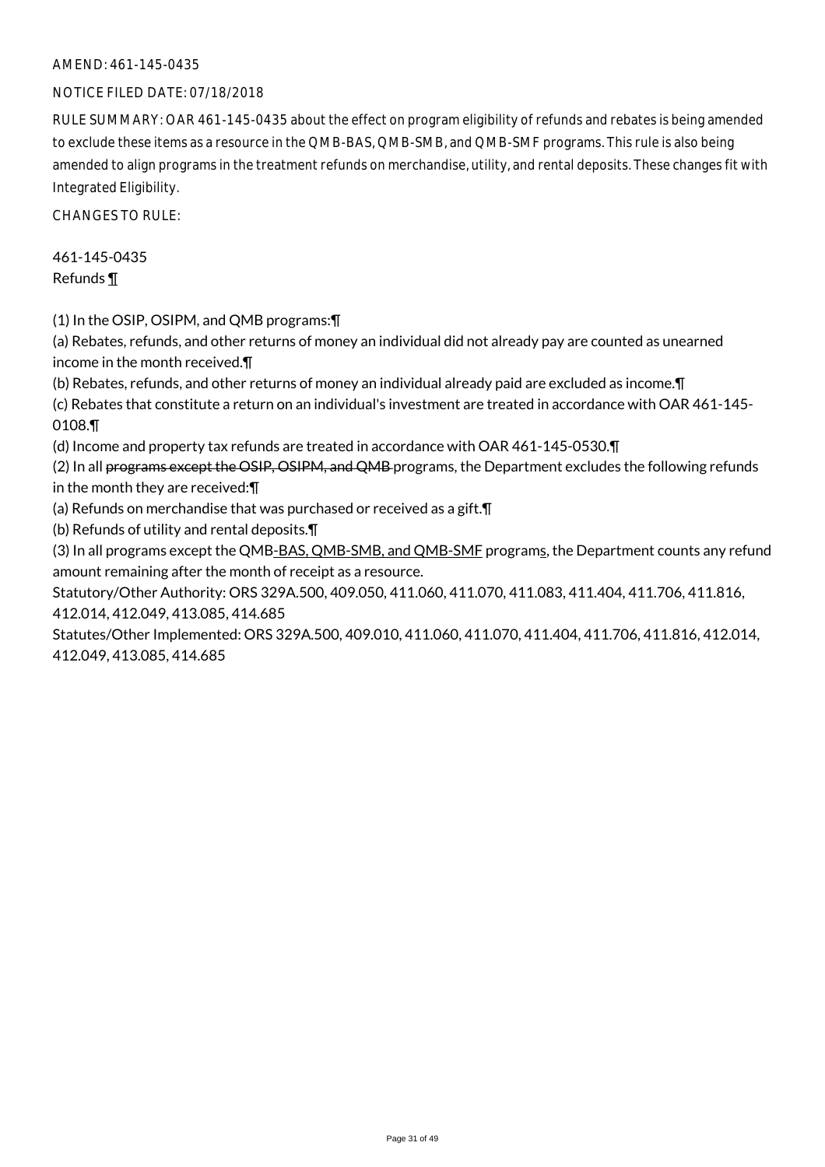#### NOTICE FILED DATE: 07/18/2018

RULE SUMMARY: OAR 461-145-0435 about the effect on program eligibility of refunds and rebates is being amended to exclude these items as a resource in the QMB-BAS, QMB-SMB, and QMB-SMF programs. This rule is also being amended to align programs in the treatment refunds on merchandise, utility, and rental deposits. These changes fit with Integrated Eligibility.

CHANGES TO RULE:

461-145-0435 Refunds ¶

(1) In the OSIP, OSIPM, and QMB programs:¶

(a) Rebates, refunds, and other returns of money an individual did not already pay are counted as unearned income in the month received.¶

(b) Rebates, refunds, and other returns of money an individual already paid are excluded as income.¶

(c) Rebates that constitute a return on an individual's investment are treated in accordance with OAR 461-145- 0108.¶

(d) Income and property tax refunds are treated in accordance with OAR 461-145-0530.¶

(2) In all programs except the OSIP, OSIPM, and QMB programs, the Department excludes the following refunds in the month they are received:¶

(a) Refunds on merchandise that was purchased or received as a gift.¶

(b) Refunds of utility and rental deposits.¶

(3) In all programs except the QMB-BAS, QMB-SMB, and QMB-SMF programs, the Department counts any refund amount remaining after the month of receipt as a resource.

Statutory/Other Authority: ORS 329A.500, 409.050, 411.060, 411.070, 411.083, 411.404, 411.706, 411.816, 412.014, 412.049, 413.085, 414.685

Statutes/Other Implemented: ORS 329A.500, 409.010, 411.060, 411.070, 411.404, 411.706, 411.816, 412.014, 412.049, 413.085, 414.685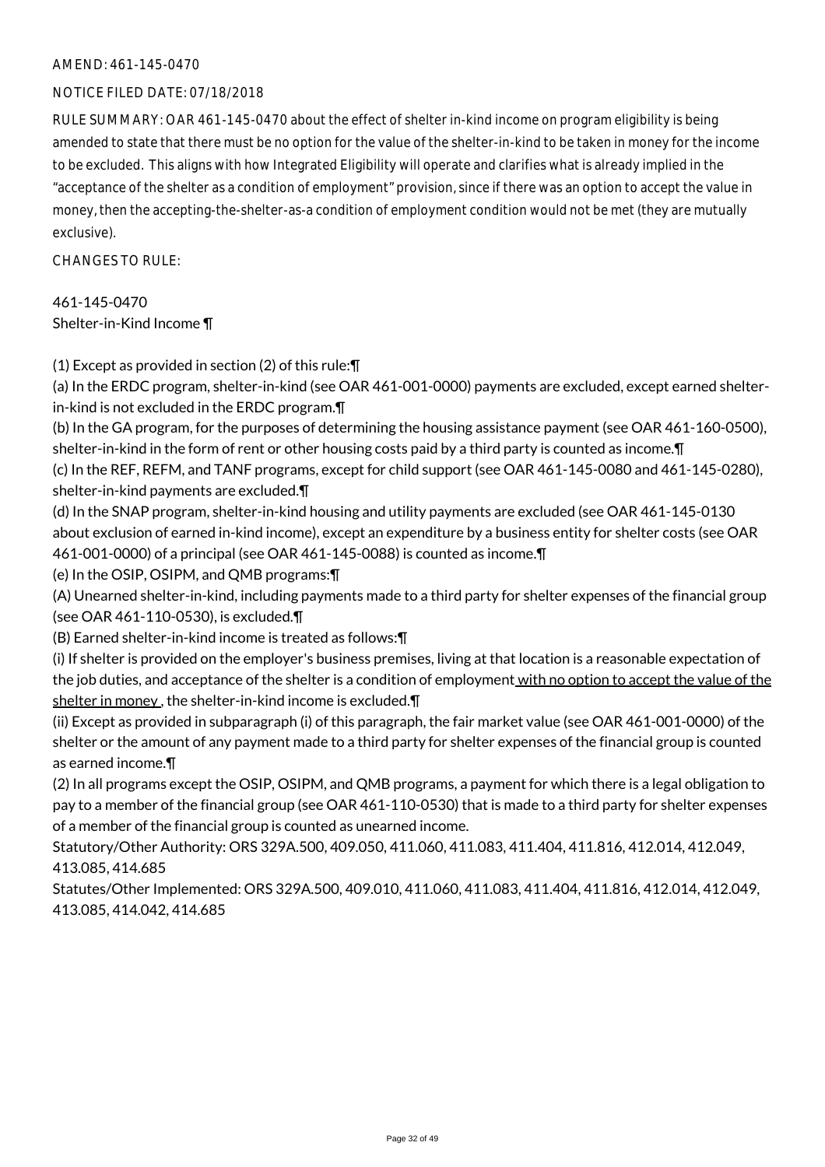#### NOTICE FILED DATE: 07/18/2018

RULE SUMMARY: OAR 461-145-0470 about the effect of shelter in-kind income on program eligibility is being amended to state that there must be no option for the value of the shelter-in-kind to be taken in money for the income to be excluded. This aligns with how Integrated Eligibility will operate and clarifies what is already implied in the "acceptance of the shelter as a condition of employment" provision, since if there was an option to accept the value in money, then the accepting-the-shelter-as-a condition of employment condition would not be met (they are mutually exclusive).

CHANGES TO RULE:

461-145-0470 Shelter-in-Kind Income ¶

(1) Except as provided in section (2) of this rule:¶

(a) In the ERDC program, shelter-in-kind (see OAR 461-001-0000) payments are excluded, except earned shelterin-kind is not excluded in the ERDC program.¶

(b) In the GA program, for the purposes of determining the housing assistance payment (see OAR 461-160-0500), shelter-in-kind in the form of rent or other housing costs paid by a third party is counted as income.¶

(c) In the REF, REFM, and TANF programs, except for child support (see OAR 461-145-0080 and 461-145-0280), shelter-in-kind payments are excluded.¶

(d) In the SNAP program, shelter-in-kind housing and utility payments are excluded (see OAR 461-145-0130 about exclusion of earned in-kind income), except an expenditure by a business entity for shelter costs (see OAR 461-001-0000) of a principal (see OAR 461-145-0088) is counted as income.¶

(e) In the OSIP, OSIPM, and QMB programs:¶

(A) Unearned shelter-in-kind, including payments made to a third party for shelter expenses of the financial group (see OAR 461-110-0530), is excluded.¶

(B) Earned shelter-in-kind income is treated as follows:¶

(i) If shelter is provided on the employer's business premises, living at that location is a reasonable expectation of the job duties, and acceptance of the shelter is a condition of employment with no option to accept the value of the shelter in money, the shelter-in-kind income is excluded. \[

(ii) Except as provided in subparagraph (i) of this paragraph, the fair market value (see OAR 461-001-0000) of the shelter or the amount of any payment made to a third party for shelter expenses of the financial group is counted as earned income.¶

(2) In all programs except the OSIP, OSIPM, and QMB programs, a payment for which there is a legal obligation to pay to a member of the financial group (see OAR 461-110-0530) that is made to a third party for shelter expenses of a member of the financial group is counted as unearned income.

Statutory/Other Authority: ORS 329A.500, 409.050, 411.060, 411.083, 411.404, 411.816, 412.014, 412.049, 413.085, 414.685

Statutes/Other Implemented: ORS 329A.500, 409.010, 411.060, 411.083, 411.404, 411.816, 412.014, 412.049, 413.085, 414.042, 414.685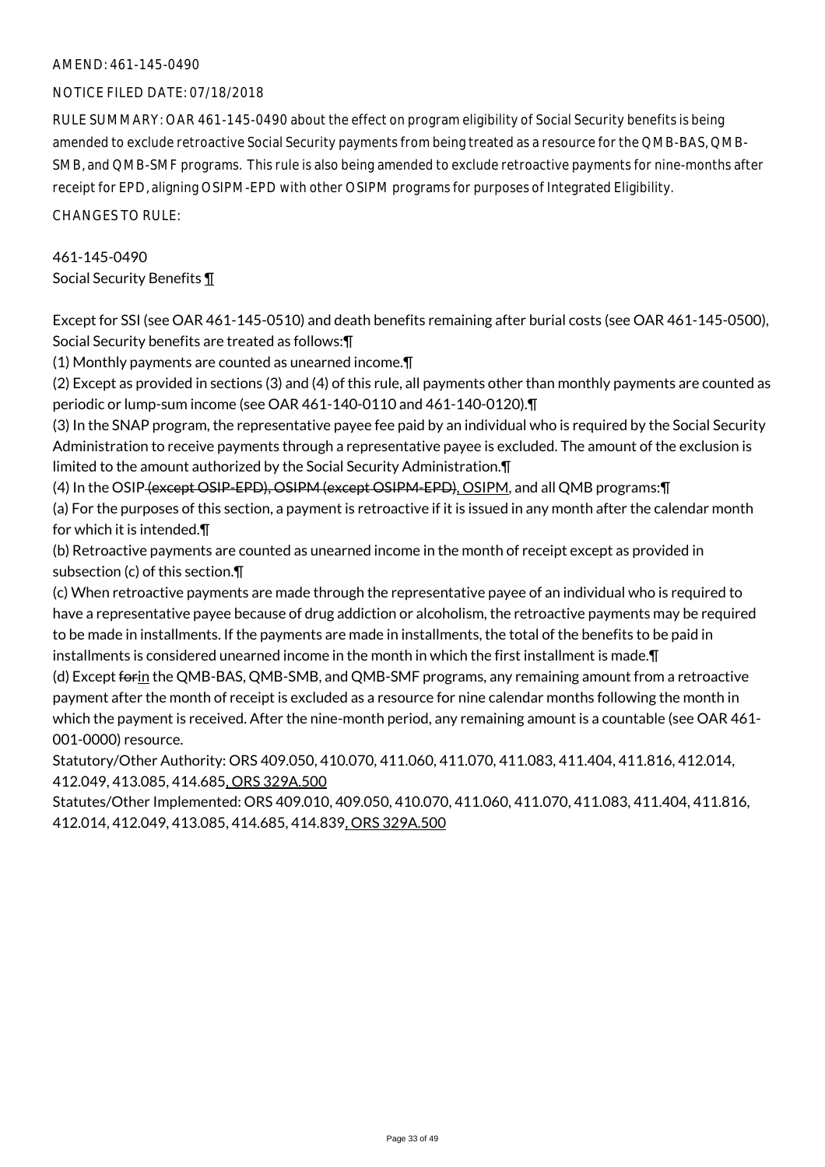#### NOTICE FILED DATE: 07/18/2018

RULE SUMMARY: OAR 461-145-0490 about the effect on program eligibility of Social Security benefits is being amended to exclude retroactive Social Security payments from being treated as a resource for the QMB-BAS, QMB-SMB, and QMB-SMF programs. This rule is also being amended to exclude retroactive payments for nine-months after receipt for EPD, aligning OSIPM-EPD with other OSIPM programs for purposes of Integrated Eligibility.

CHANGES TO RULE:

## 461-145-0490 Social Security Benefits ¶

Except for SSI (see OAR 461-145-0510) and death benefits remaining after burial costs (see OAR 461-145-0500), Social Security benefits are treated as follows:¶

(1) Monthly payments are counted as unearned income.¶

(2) Except as provided in sections (3) and (4) of this rule, all payments other than monthly payments are counted as periodic or lump-sum income (see OAR 461-140-0110 and 461-140-0120).¶

(3) In the SNAP program, the representative payee fee paid by an individual who is required by the Social Security Administration to receive payments through a representative payee is excluded. The amount of the exclusion is limited to the amount authorized by the Social Security Administration.¶

(4) In the OSIP (except OSIP-EPD), OSIPM (except OSIPM-EPD), OSIPM, and all QMB programs:¶

(a) For the purposes of this section, a payment is retroactive if it is issued in any month after the calendar month for which it is intended.¶

(b) Retroactive payments are counted as unearned income in the month of receipt except as provided in subsection (c) of this section.¶

(c) When retroactive payments are made through the representative payee of an individual who is required to have a representative payee because of drug addiction or alcoholism, the retroactive payments may be required to be made in installments. If the payments are made in installments, the total of the benefits to be paid in installments is considered unearned income in the month in which the first installment is made.¶

(d) Except forin the QMB-BAS, QMB-SMB, and QMB-SMF programs, any remaining amount from a retroactive payment after the month of receipt is excluded as a resource for nine calendar months following the month in which the payment is received. After the nine-month period, any remaining amount is a countable (see OAR 461- 001-0000) resource.

Statutory/Other Authority: ORS 409.050, 410.070, 411.060, 411.070, 411.083, 411.404, 411.816, 412.014, 412.049, 413.085, 414.685, ORS 329A.500

Statutes/Other Implemented: ORS 409.010, 409.050, 410.070, 411.060, 411.070, 411.083, 411.404, 411.816, 412.014, 412.049, 413.085, 414.685, 414.839, ORS 329A.500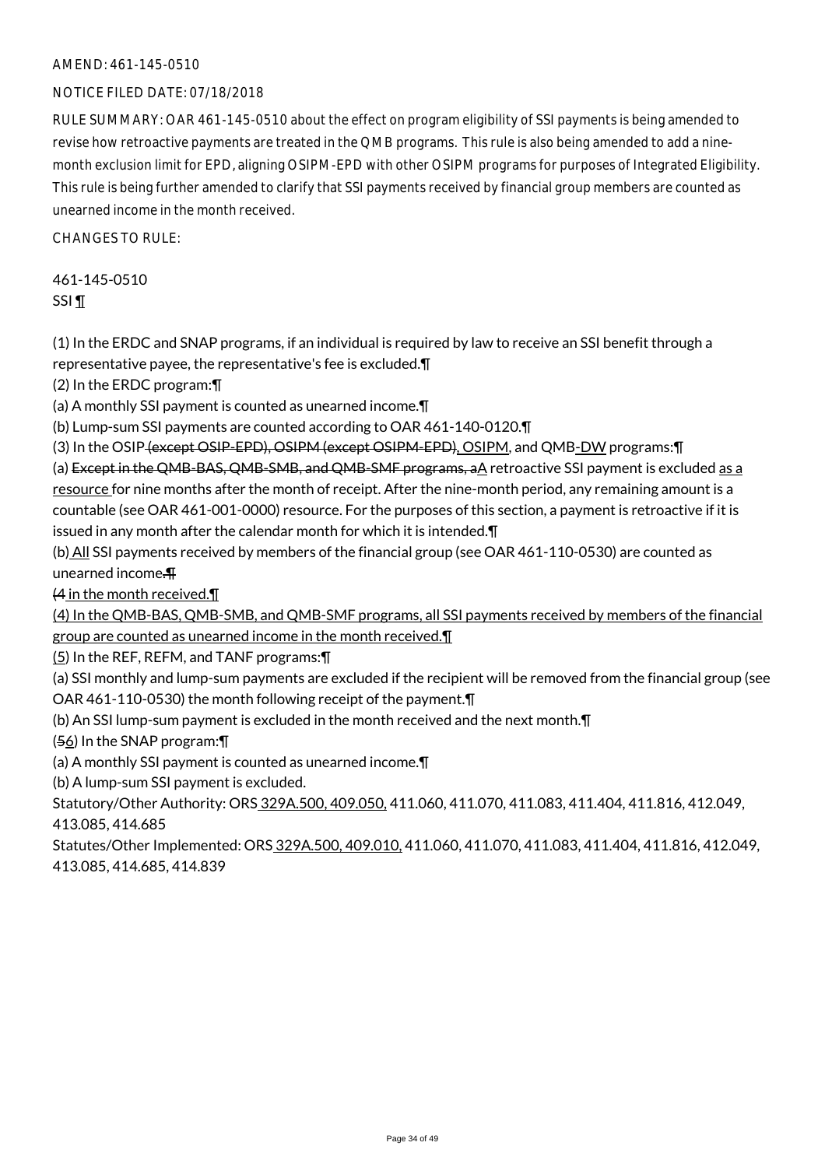#### NOTICE FILED DATE: 07/18/2018

RULE SUMMARY: OAR 461-145-0510 about the effect on program eligibility of SSI payments is being amended to revise how retroactive payments are treated in the QMB programs. This rule is also being amended to add a ninemonth exclusion limit for EPD, aligning OSIPM-EPD with other OSIPM programs for purposes of Integrated Eligibility. This rule is being further amended to clarify that SSI payments received by financial group members are counted as unearned income in the month received.

 $CHANGFS TO RIIF$ 

461-145-0510 SSI ¶

(1) In the ERDC and SNAP programs, if an individual is required by law to receive an SSI benefit through a representative payee, the representative's fee is excluded.¶

(2) In the ERDC program:¶

(a) A monthly SSI payment is counted as unearned income.¶

(b) Lump-sum SSI payments are counted according to OAR 461-140-0120.¶

(3) In the OSIP (except OSIP-EPD), OSIPM (except OSIPM-EPD), OSIPM, and QMB-DW programs:¶

(a) Except in the QMB-BAS, QMB-SMB, and QMB-SMF programs, aA retroactive SSI payment is excluded as a resource for nine months after the month of receipt. After the nine-month period, any remaining amount is a countable (see OAR 461-001-0000) resource. For the purposes of this section, a payment is retroactive if it is issued in any month after the calendar month for which it is intended.¶

(b) All SSI payments received by members of the financial group (see OAR 461-110-0530) are counted as unearned income.¶

(4 in the month received.¶

(4) In the QMB-BAS, QMB-SMB, and QMB-SMF programs, all SSI payments received by members of the financial group are counted as unearned income in the month received.¶

(5) In the REF, REFM, and TANF programs:¶

(a) SSI monthly and lump-sum payments are excluded if the recipient will be removed from the financial group (see OAR 461-110-0530) the month following receipt of the payment.¶

(b) An SSI lump-sum payment is excluded in the month received and the next month.¶

(56) In the SNAP program:¶

(a) A monthly SSI payment is counted as unearned income.¶

(b) A lump-sum SSI payment is excluded.

Statutory/Other Authority: ORS 329A.500, 409.050, 411.060, 411.070, 411.083, 411.404, 411.816, 412.049, 413.085, 414.685

Statutes/Other Implemented: ORS 329A.500, 409.010, 411.060, 411.070, 411.083, 411.404, 411.816, 412.049, 413.085, 414.685, 414.839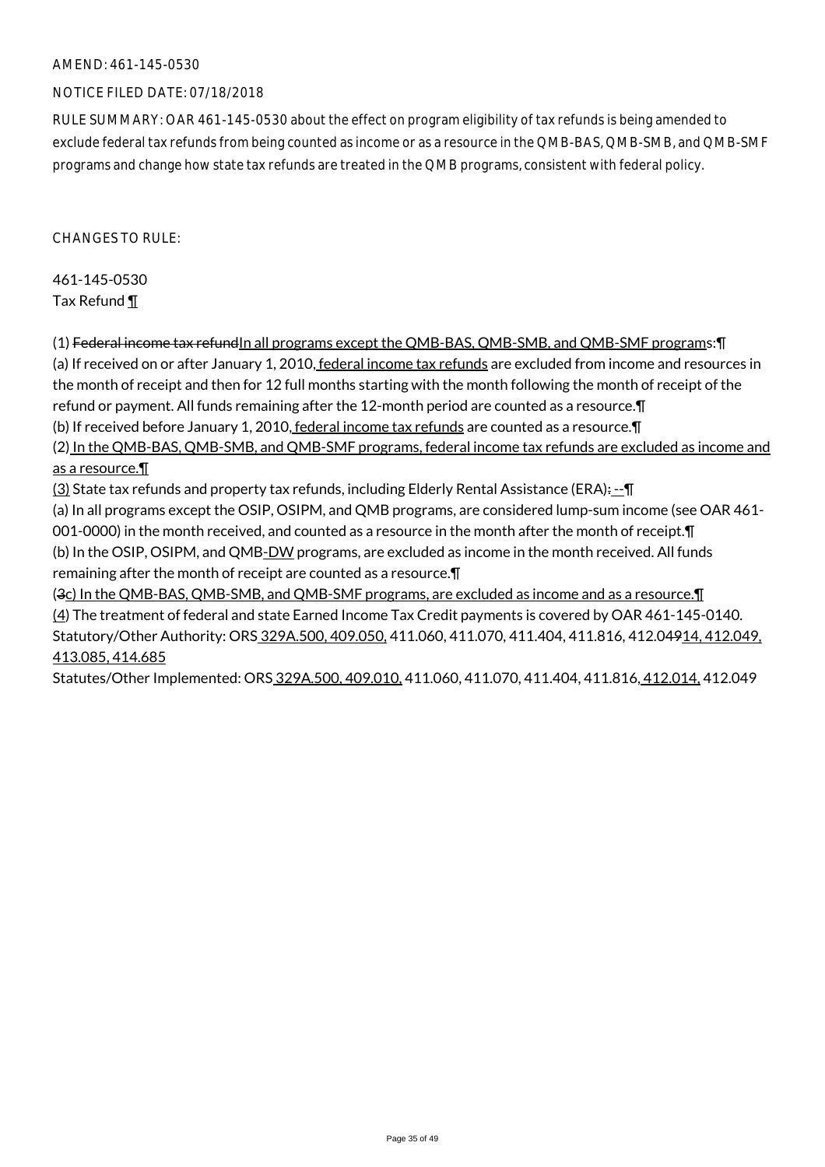#### NOTICE FILED DATE: 07/18/2018

RULE SUMMARY: OAR 461-145-0530 about the effect on program eligibility of tax refunds is being amended to exclude federal tax refunds from being counted as income or as a resource in the QMB-BAS, QMB-SMB, and QMB-SMF programs and change how state tax refunds are treated in the QMB programs, consistent with federal policy.

 $CHANGFS TO RIIF$ 

461-145-0530 Tax Refund ¶

(1) Federal income tax refund In all programs except the QMB-BAS, QMB-SMB, and QMB-SMF programs: [] (a) If received on or after January 1, 2010, federal income tax refunds are excluded from income and resources in the month of receipt and then for 12 full months starting with the month following the month of receipt of the refund or payment. All funds remaining after the 12-month period are counted as a resource.¶ (b) If received before January 1, 2010, federal income tax refunds are counted as a resource. T (2) In the QMB-BAS, QMB-SMB, and QMB-SMF programs, federal income tax refunds are excluded as income and as a resource.¶

 $(3)$  State tax refunds and property tax refunds, including Elderly Rental Assistance (ERA): $-$ 

(a) In all programs except the OSIP, OSIPM, and QMB programs, are considered lump-sum income (see OAR 461- 001-0000) in the month received, and counted as a resource in the month after the month of receipt. I

(b) In the OSIP, OSIPM, and QMB-DW programs, are excluded as income in the month received. All funds remaining after the month of receipt are counted as a resource.¶

(3c) In the QMB-BAS, QMB-SMB, and QMB-SMF programs, are excluded as income and as a resource.¶ (4) The treatment of federal and state Earned Income Tax Credit payments is covered by OAR 461-145-0140. Statutory/Other Authority: ORS 329A.500, 409.050, 411.060, 411.070, 411.404, 411.816, 412.04914, 412.049, 413.085, 414.685

Statutes/Other Implemented: ORS 329A.500, 409.010, 411.060, 411.070, 411.404, 411.816, 412.014, 412.049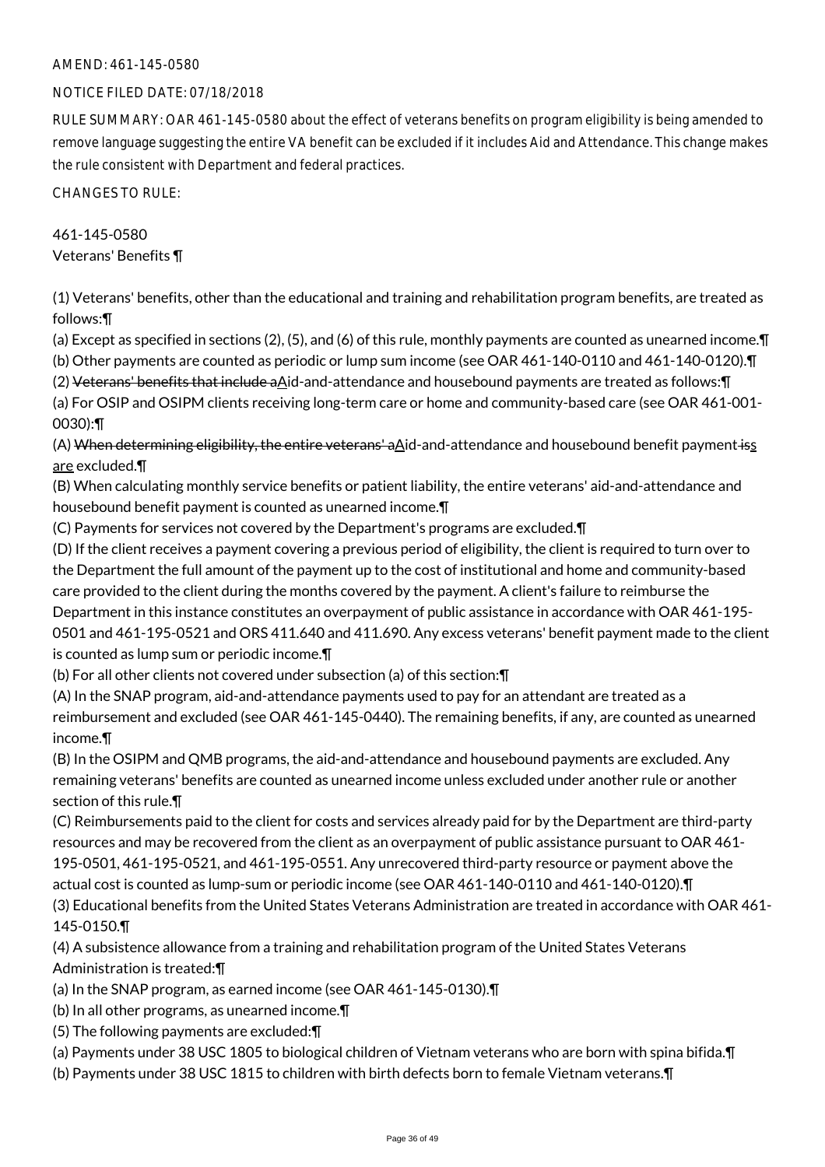#### NOTICE FILED DATE: 07/18/2018

RULE SUMMARY: OAR 461-145-0580 about the effect of veterans benefits on program eligibility is being amended to remove language suggesting the entire VA benefit can be excluded if it includes Aid and Attendance. This change makes the rule consistent with Department and federal practices.

CHANGES TO RULE:

## 461-145-0580

Veterans' Benefits ¶

(1) Veterans' benefits, other than the educational and training and rehabilitation program benefits, are treated as follows:¶

(a) Except as specified in sections (2), (5), and (6) of this rule, monthly payments are counted as unearned income.¶

(b) Other payments are counted as periodic or lump sum income (see OAR 461-140-0110 and 461-140-0120).¶ (2) Veterans' benefits that include aAid-and-attendance and housebound payments are treated as follows:¶

(a) For OSIP and OSIPM clients receiving long-term care or home and community-based care (see OAR 461-001- 0030):¶

(A) When determining eligibility, the entire veterans' a $\Delta$ id-and-attendance and housebound benefit payment iss are excluded.¶

(B) When calculating monthly service benefits or patient liability, the entire veterans' aid-and-attendance and housebound benefit payment is counted as unearned income.¶

(C) Payments for services not covered by the Department's programs are excluded.¶

(D) If the client receives a payment covering a previous period of eligibility, the client is required to turn over to the Department the full amount of the payment up to the cost of institutional and home and community-based care provided to the client during the months covered by the payment. A client's failure to reimburse the Department in this instance constitutes an overpayment of public assistance in accordance with OAR 461-195- 0501 and 461-195-0521 and ORS 411.640 and 411.690. Any excess veterans' benefit payment made to the client is counted as lump sum or periodic income.¶

(b) For all other clients not covered under subsection (a) of this section:¶

(A) In the SNAP program, aid-and-attendance payments used to pay for an attendant are treated as a reimbursement and excluded (see OAR 461-145-0440). The remaining benefits, if any, are counted as unearned income.¶

(B) In the OSIPM and QMB programs, the aid-and-attendance and housebound payments are excluded. Any remaining veterans' benefits are counted as unearned income unless excluded under another rule or another section of this rule.¶

(C) Reimbursements paid to the client for costs and services already paid for by the Department are third-party resources and may be recovered from the client as an overpayment of public assistance pursuant to OAR 461- 195-0501, 461-195-0521, and 461-195-0551. Any unrecovered third-party resource or payment above the actual cost is counted as lump-sum or periodic income (see OAR 461-140-0110 and 461-140-0120).¶

(3) Educational benefits from the United States Veterans Administration are treated in accordance with OAR 461- 145-0150.¶

(4) A subsistence allowance from a training and rehabilitation program of the United States Veterans Administration is treated:¶

- (a) In the SNAP program, as earned income (see OAR 461-145-0130).¶
- (b) In all other programs, as unearned income.¶
- (5) The following payments are excluded:¶
- (a) Payments under 38 USC 1805 to biological children of Vietnam veterans who are born with spina bifida.¶
- (b) Payments under 38 USC 1815 to children with birth defects born to female Vietnam veterans.¶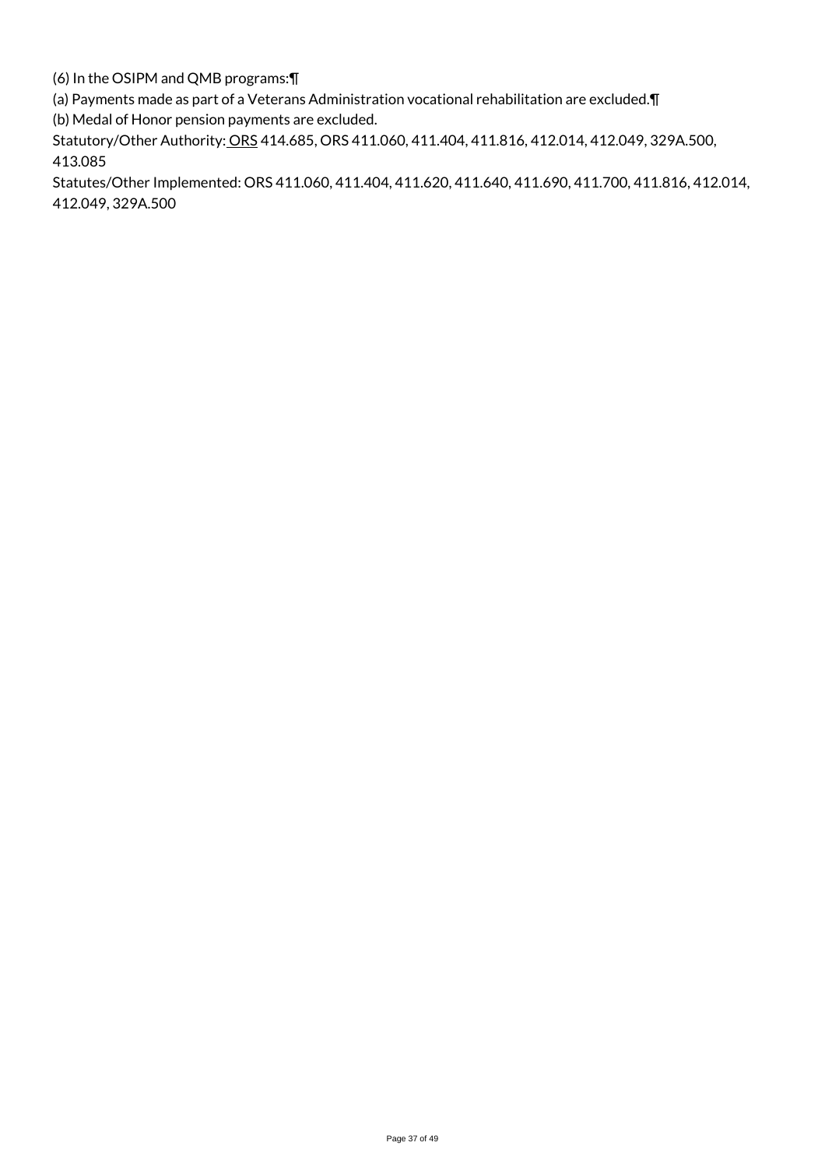(6) In the OSIPM and QMB programs:¶

(a) Payments made as part of a Veterans Administration vocational rehabilitation are excluded.¶

(b) Medal of Honor pension payments are excluded.

Statutory/Other Authority: ORS 414.685, ORS 411.060, 411.404, 411.816, 412.014, 412.049, 329A.500, 413.085

Statutes/Other Implemented: ORS 411.060, 411.404, 411.620, 411.640, 411.690, 411.700, 411.816, 412.014, 412.049, 329A.500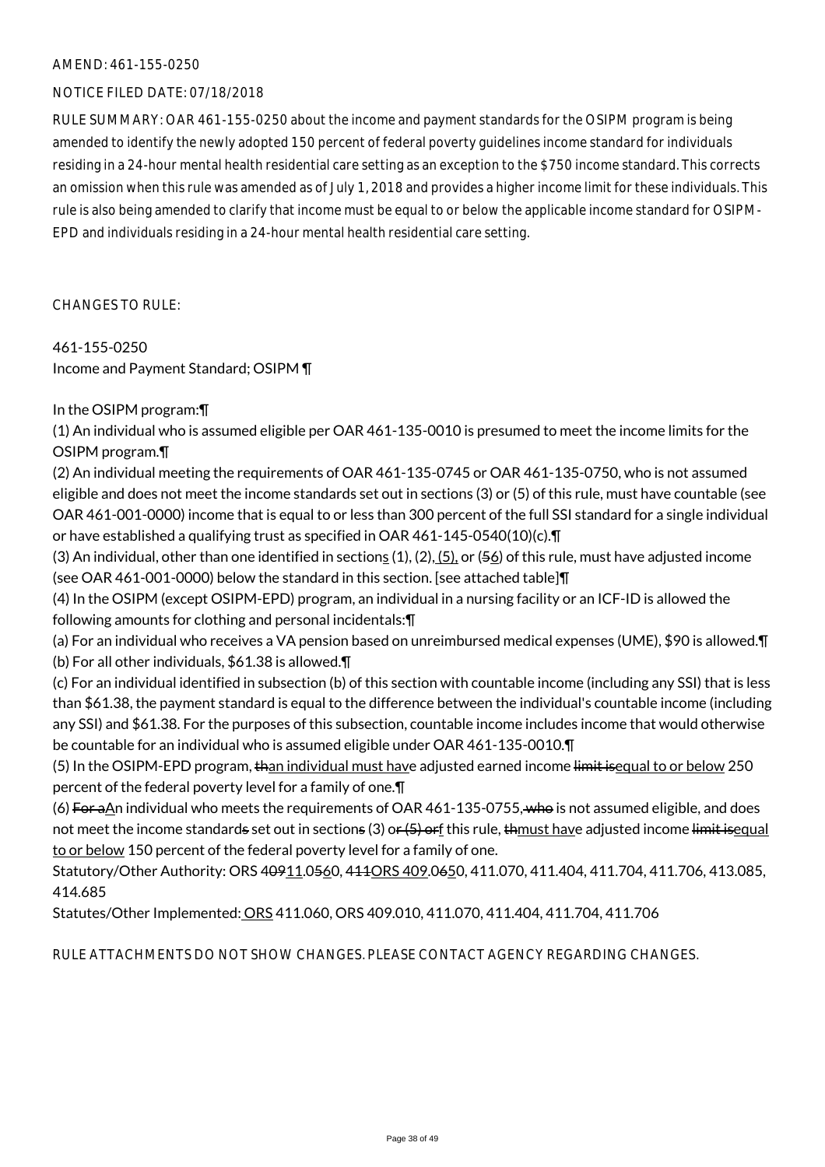#### NOTICE FILED DATE: 07/18/2018

RULE SUMMARY: OAR 461-155-0250 about the income and payment standards for the OSIPM program is being amended to identify the newly adopted 150 percent of federal poverty guidelines income standard for individuals residing in a 24-hour mental health residential care setting as an exception to the \$750 income standard. This corrects an omission when this rule was amended as of July 1, 2018 and provides a higher income limit for these individuals. This rule is also being amended to clarify that income must be equal to or below the applicable income standard for OSIPM-EPD and individuals residing in a 24-hour mental health residential care setting.

CHANGES TO RULE:

461-155-0250 Income and Payment Standard; OSIPM ¶

## In the OSIPM program:¶

(1) An individual who is assumed eligible per OAR 461-135-0010 is presumed to meet the income limits for the OSIPM program.¶

(2) An individual meeting the requirements of OAR 461-135-0745 or OAR 461-135-0750, who is not assumed eligible and does not meet the income standards set out in sections (3) or (5) of this rule, must have countable (see OAR 461-001-0000) income that is equal to or less than 300 percent of the full SSI standard for a single individual or have established a qualifying trust as specified in OAR 461-145-0540(10)(c).¶

(3) An individual, other than one identified in sections  $(1)$ ,  $(2)$ ,  $(5)$ , or  $(56)$  of this rule, must have adjusted income (see OAR 461-001-0000) below the standard in this section. [see attached table]¶

(4) In the OSIPM (except OSIPM-EPD) program, an individual in a nursing facility or an ICF-ID is allowed the following amounts for clothing and personal incidentals:¶

(a) For an individual who receives a VA pension based on unreimbursed medical expenses (UME), \$90 is allowed.¶ (b) For all other individuals, \$61.38 is allowed.¶

(c) For an individual identified in subsection (b) of this section with countable income (including any SSI) that is less than \$61.38, the payment standard is equal to the difference between the individual's countable income (including any SSI) and \$61.38. For the purposes of this subsection, countable income includes income that would otherwise be countable for an individual who is assumed eligible under OAR 461-135-0010.¶

(5) In the OSIPM-EPD program, than individual must have adjusted earned income limit isequal to or below 250 percent of the federal poverty level for a family of one.¶

(6) For a $\Delta n$  individual who meets the requirements of OAR 461-135-0755, who is not assumed eligible, and does not meet the income standards set out in sections (3) or (5) or f this rule, thmust have adjusted income limit isequal to or below 150 percent of the federal poverty level for a family of one.

Statutory/Other Authority: ORS 40911.0560, 411ORS 409.0650, 411.070, 411.404, 411.704, 411.706, 413.085, 414.685

Statutes/Other Implemented: ORS 411.060, ORS 409.010, 411.070, 411.404, 411.704, 411.706

RULE ATTACHMENTS DO NOT SHOW CHANGES. PLEASE CONTACT AGENCY REGARDING CHANGES.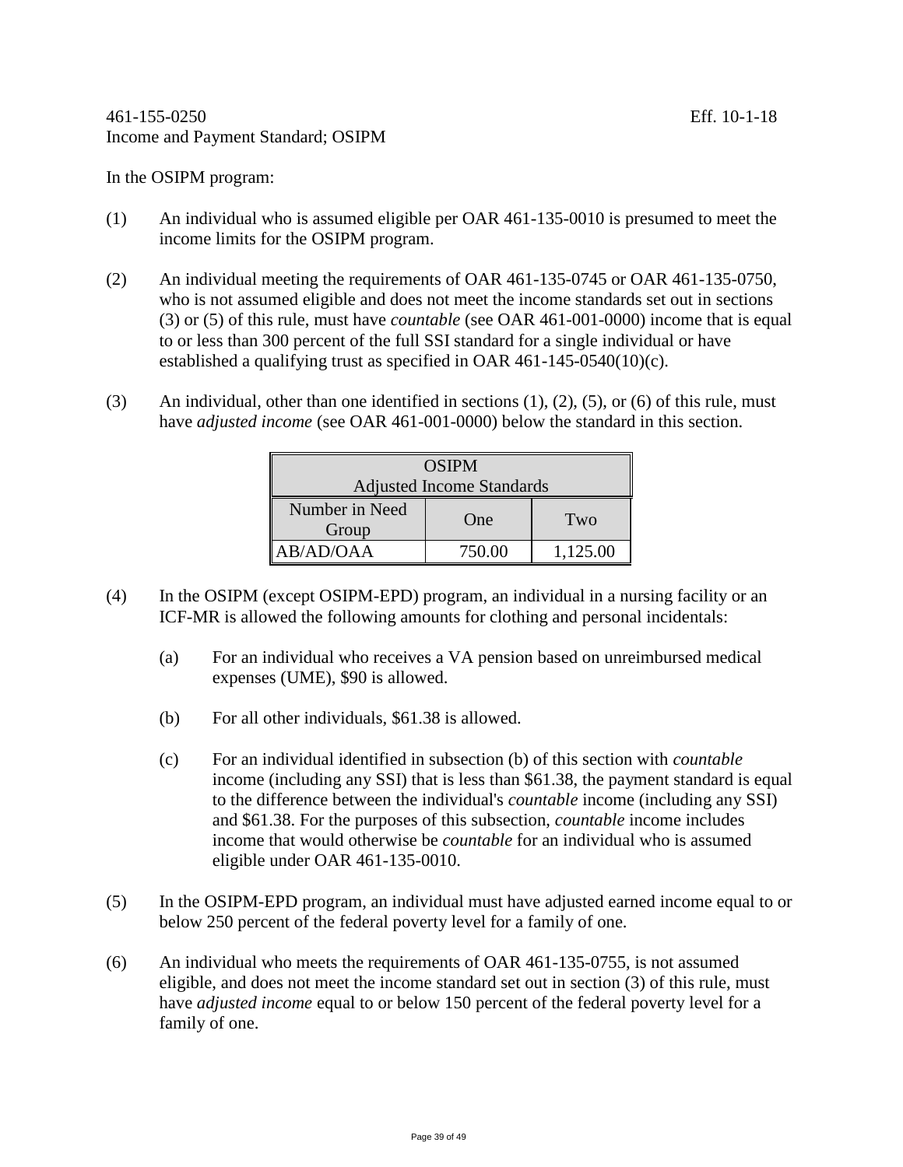In the OSIPM program:

- (1) An individual who is assumed eligible per OAR 461-135-0010 is presumed to meet the income limits for the OSIPM program.
- (2) An individual meeting the requirements of OAR 461-135-0745 or OAR 461-135-0750, who is not assumed eligible and does not meet the income standards set out in sections (3) or (5) of this rule, must have *countable* (see OAR 461-001-0000) income that is equal to or less than 300 percent of the full SSI standard for a single individual or have established a qualifying trust as specified in OAR 461-145-0540(10)(c).
- (3) An individual, other than one identified in sections  $(1)$ ,  $(2)$ ,  $(5)$ , or  $(6)$  of this rule, must have *adjusted income* (see OAR 461-001-0000) below the standard in this section.

| <b>OSIPM</b>                     |        |          |
|----------------------------------|--------|----------|
| <b>Adjusted Income Standards</b> |        |          |
| Number in Need<br>Group          | One    | Two      |
| AB/AD/OAA                        | 750.00 | 1,125.00 |

- (4) In the OSIPM (except OSIPM-EPD) program, an individual in a nursing facility or an ICF-MR is allowed the following amounts for clothing and personal incidentals:
	- (a) For an individual who receives a VA pension based on unreimbursed medical expenses (UME), \$90 is allowed.
	- (b) For all other individuals, \$61.38 is allowed.
	- (c) For an individual identified in subsection (b) of this section with *countable* income (including any SSI) that is less than \$61.38, the payment standard is equal to the difference between the individual's *countable* income (including any SSI) and \$61.38. For the purposes of this subsection, *countable* income includes income that would otherwise be *countable* for an individual who is assumed eligible under OAR 461-135-0010.
- (5) In the OSIPM-EPD program, an individual must have adjusted earned income equal to or below 250 percent of the federal poverty level for a family of one.
- (6) An individual who meets the requirements of OAR 461-135-0755, is not assumed eligible, and does not meet the income standard set out in section (3) of this rule, must have *adjusted income* equal to or below 150 percent of the federal poverty level for a family of one.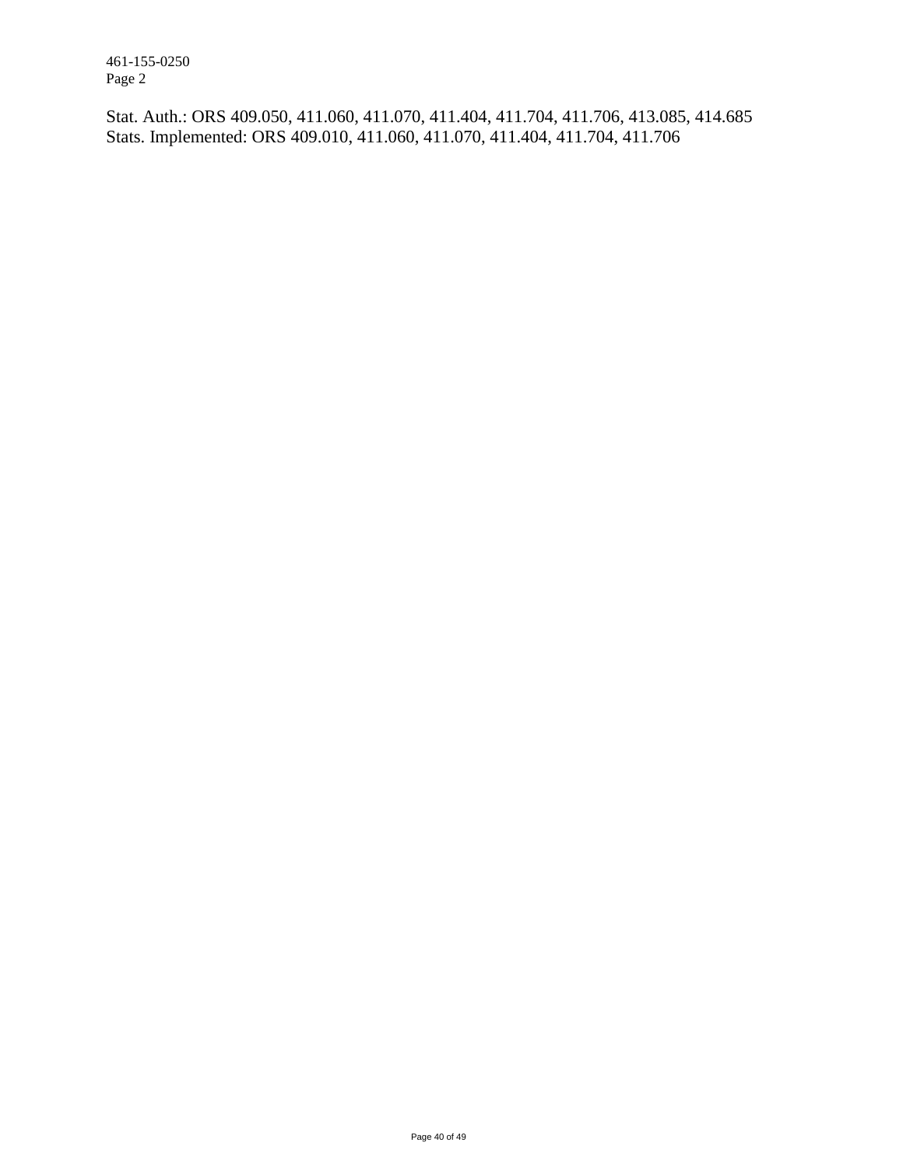461-155-0250 Page 2

Stat. Auth.: ORS 409.050, 411.060, 411.070, 411.404, 411.704, 411.706, 413.085, 414.685 Stats. Implemented: ORS 409.010, 411.060, 411.070, 411.404, 411.704, 411.706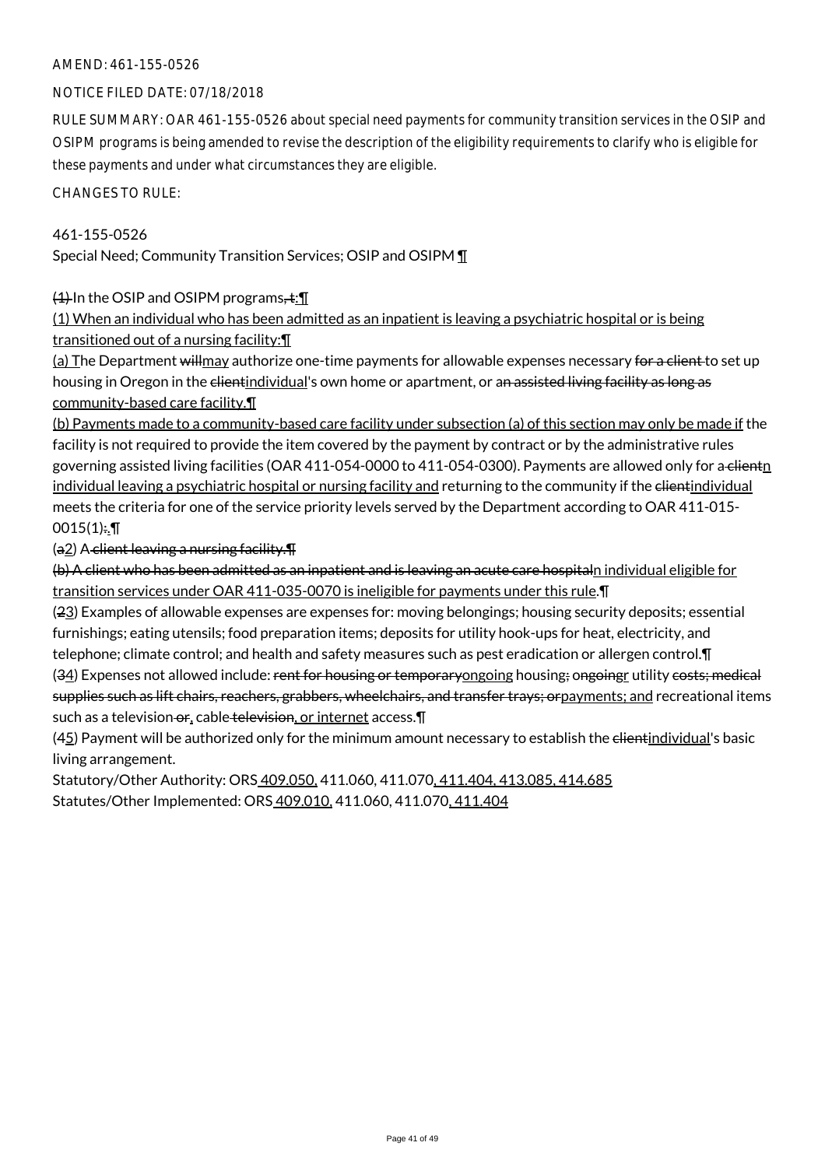#### NOTICE FILED DATE: 07/18/2018

RULE SUMMARY: OAR 461-155-0526 about special need payments for community transition services in the OSIP and OSIPM programs is being amended to revise the description of the eligibility requirements to clarify who is eligible for these payments and under what circumstances they are eligible.

CHANGES TO RULE:

#### 461-155-0526

Special Need; Community Transition Services; OSIP and OSIPM ¶

 $(1)$  In the OSIP and OSIPM programs,  $\pm$ : [[

(1) When an individual who has been admitted as an inpatient is leaving a psychiatric hospital or is being transitioned out of a nursing facility:¶

(a) The Department will may authorize one-time payments for allowable expenses necessary for a client to set up housing in Oregon in the elientindividual's own home or apartment, or an assisted living facility as long as community-based care facility.¶

(b) Payments made to a community-based care facility under subsection (a) of this section may only be made if the facility is not required to provide the item covered by the payment by contract or by the administrative rules governing assisted living facilities (OAR 411-054-0000 to 411-054-0300). Payments are allowed only for a clientn individual leaving a psychiatric hospital or nursing facility and returning to the community if the clientindividual meets the criteria for one of the service priority levels served by the Department according to OAR 411-015-  $0015(1)$ :.T

 $(a_2)$  A client leaving a nursing facility. $\P$ 

(b) A client who has been admitted as an inpatient and is leaving an acute care hospitaln individual eligible for transition services under OAR 411-035-0070 is ineligible for payments under this rule.¶

(23) Examples of allowable expenses are expenses for: moving belongings; housing security deposits; essential furnishings; eating utensils; food preparation items; deposits for utility hook-ups for heat, electricity, and telephone; climate control; and health and safety measures such as pest eradication or allergen control. [1] (34) Expenses not allowed include: rent for housing or temporaryongoing housing; ongoing utility costs; medical supplies such as lift chairs, reachers, grabbers, wheelchairs, and transfer trays; orpayments; and recreational items

such as a television or, cable television, or internet access.¶

(45) Payment will be authorized only for the minimum amount necessary to establish the elientindividual's basic living arrangement.

Statutory/Other Authority: ORS 409.050, 411.060, 411.070, 411.404, 413.085, 414.685 Statutes/Other Implemented: ORS 409.010, 411.060, 411.070, 411.404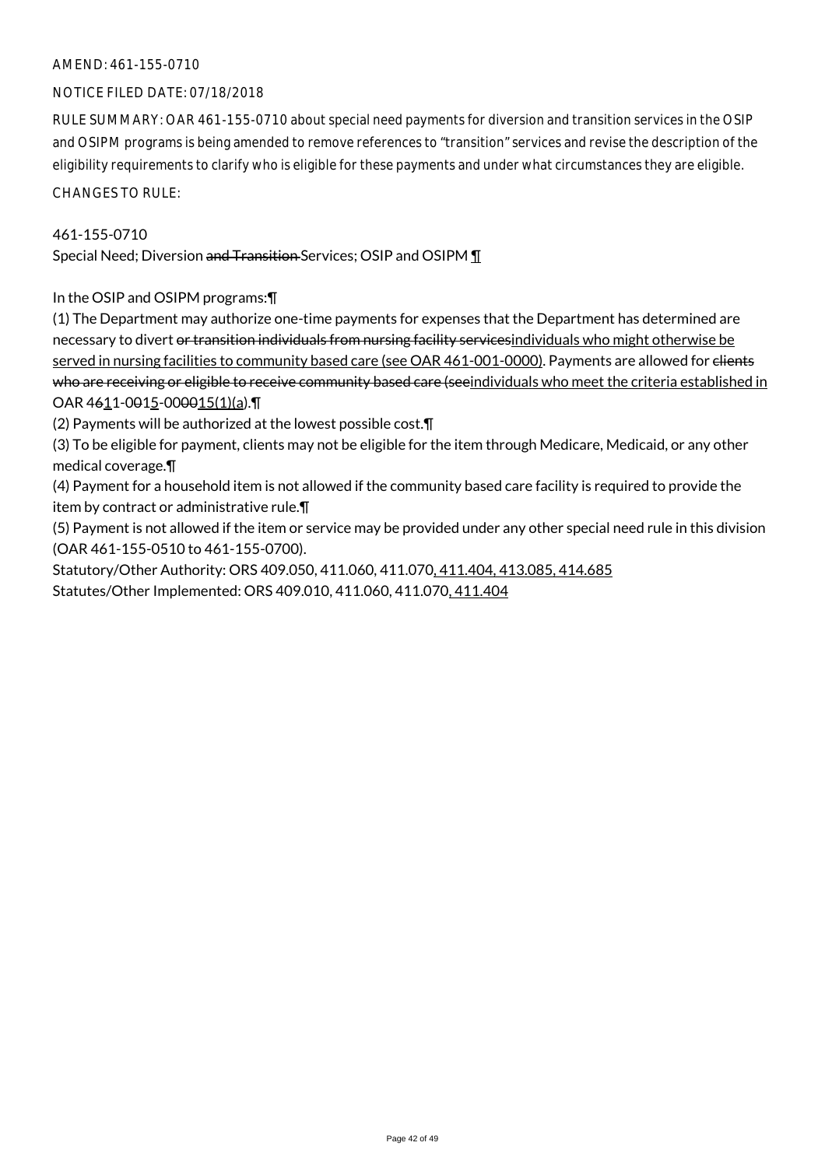#### NOTICE FILED DATE: 07/18/2018

RULE SUMMARY: OAR 461-155-0710 about special need payments for diversion and transition services in the OSIP and OSIPM programs is being amended to remove references to "transition" services and revise the description of the eligibility requirements to clarify who is eligible for these payments and under what circumstances they are eligible.

CHANGES TO RULE:

#### 461-155-0710

Special Need; Diversion and Transition Services; OSIP and OSIPM ¶

In the OSIP and OSIPM programs:¶

(1) The Department may authorize one-time payments for expenses that the Department has determined are necessary to divert or transition individuals from nursing facility servicesindividuals who might otherwise be served in nursing facilities to community based care (see OAR 461-001-0000). Payments are allowed for elients who are receiving or eligible to receive community based care (seeindividuals who meet the criteria established in OAR 4611-0015-000015(1)(a). T

(2) Payments will be authorized at the lowest possible cost.¶

(3) To be eligible for payment, clients may not be eligible for the item through Medicare, Medicaid, or any other medical coverage.¶

(4) Payment for a household item is not allowed if the community based care facility is required to provide the item by contract or administrative rule.¶

(5) Payment is not allowed if the item or service may be provided under any other special need rule in this division (OAR 461-155-0510 to 461-155-0700).

Statutory/Other Authority: ORS 409.050, 411.060, 411.070, 411.404, 413.085, 414.685 Statutes/Other Implemented: ORS 409.010, 411.060, 411.070, 411.404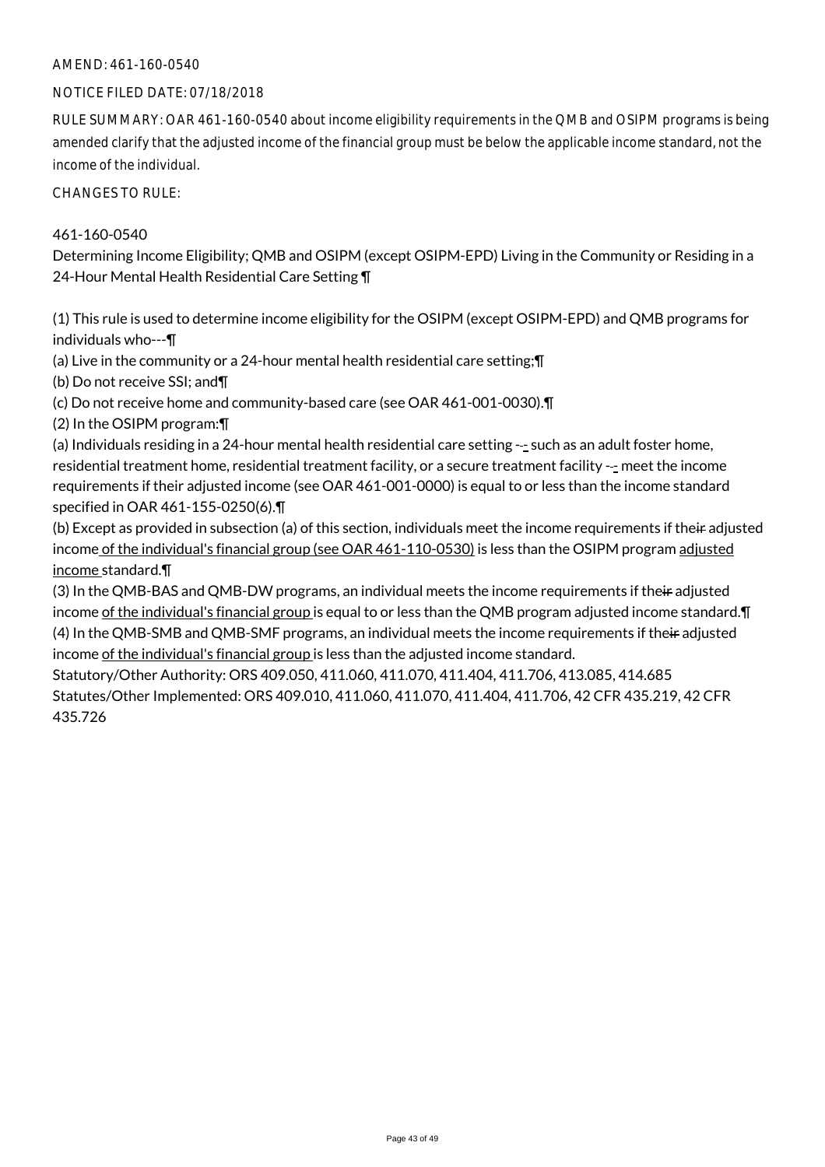### AMEND: 461-160-0540

#### NOTICE FILED DATE: 07/18/2018

RULE SUMMARY: OAR 461-160-0540 about income eligibility requirements in the QMB and OSIPM programs is being amended clarify that the adjusted income of the financial group must be below the applicable income standard, not the income of the individual.

CHANGES TO RULE:

#### 461-160-0540

Determining Income Eligibility; QMB and OSIPM (except OSIPM-EPD) Living in the Community or Residing in a 24-Hour Mental Health Residential Care Setting ¶

(1) This rule is used to determine income eligibility for the OSIPM (except OSIPM-EPD) and QMB programs for individuals who---¶

(a) Live in the community or a 24-hour mental health residential care setting;¶

(b) Do not receive SSI; and¶

(c) Do not receive home and community-based care (see OAR 461-001-0030).¶

(2) In the OSIPM program:¶

(a) Individuals residing in a 24-hour mental health residential care setting --- such as an adult foster home, residential treatment home, residential treatment facility, or a secure treatment facility --- meet the income requirements if their adjusted income (see OAR 461-001-0000) is equal to or less than the income standard specified in OAR 461-155-0250(6).¶

(b) Except as provided in subsection (a) of this section, individuals meet the income requirements if their adjusted income of the individual's financial group (see OAR 461-110-0530) is less than the OSIPM program adjusted income standard.¶

(3) In the QMB-BAS and QMB-DW programs, an individual meets the income requirements if their adjusted income of the individual's financial group is equal to or less than the QMB program adjusted income standard.¶ (4) In the QMB-SMB and QMB-SMF programs, an individual meets the income requirements if their adjusted income of the individual's financial group is less than the adjusted income standard.

Statutory/Other Authority: ORS 409.050, 411.060, 411.070, 411.404, 411.706, 413.085, 414.685 Statutes/Other Implemented: ORS 409.010, 411.060, 411.070, 411.404, 411.706, 42 CFR 435.219, 42 CFR 435.726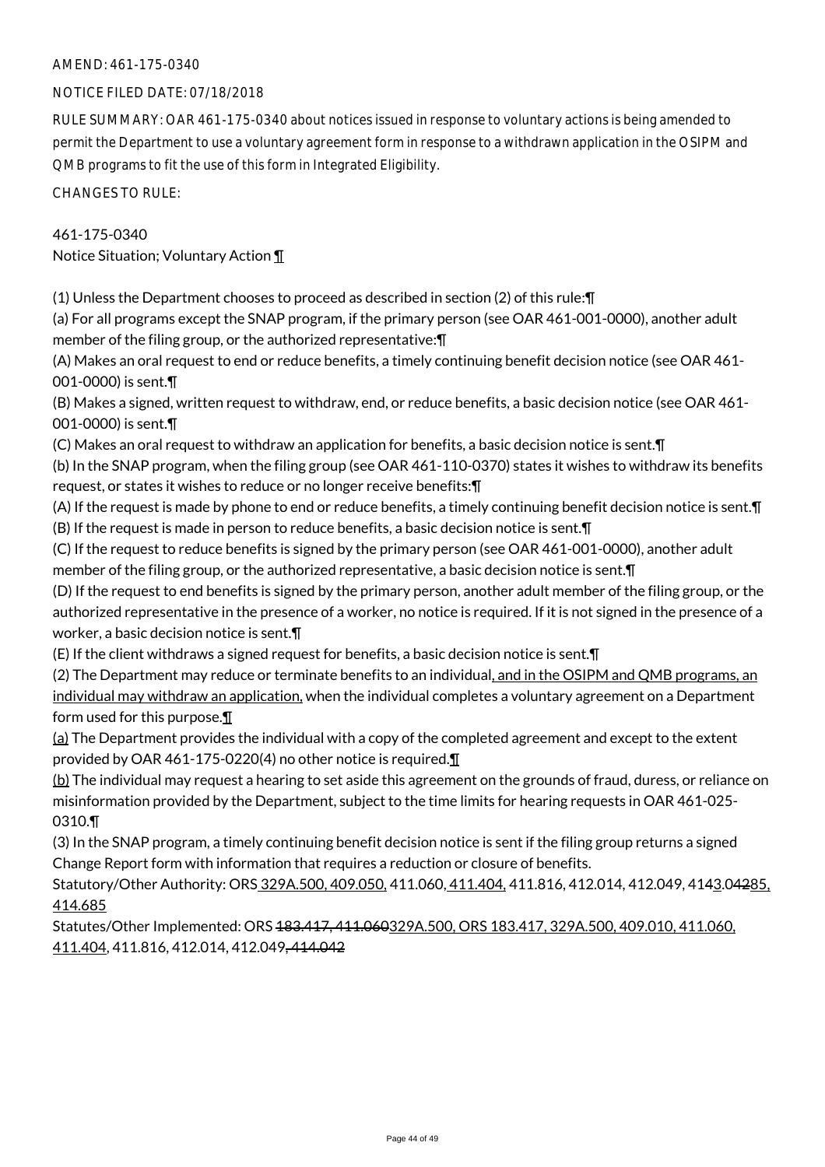#### NOTICE FILED DATE: 07/18/2018

RULE SUMMARY: OAR 461-175-0340 about notices issued in response to voluntary actions is being amended to permit the Department to use a voluntary agreement form in response to a withdrawn application in the OSIPM and QMB programs to fit the use of this form in Integrated Eligibility.

CHANGES TO RULE:

#### 461-175-0340

Notice Situation; Voluntary Action ¶

(1) Unless the Department chooses to proceed as described in section (2) of this rule:¶

(a) For all programs except the SNAP program, if the primary person (see OAR 461-001-0000), another adult member of the filing group, or the authorized representative:¶

(A) Makes an oral request to end or reduce benefits, a timely continuing benefit decision notice (see OAR 461- 001-0000) is sent.¶

(B) Makes a signed, written request to withdraw, end, or reduce benefits, a basic decision notice (see OAR 461- 001-0000) is sent.¶

(C) Makes an oral request to withdraw an application for benefits, a basic decision notice is sent.¶

(b) In the SNAP program, when the filing group (see OAR 461-110-0370) states it wishes to withdraw its benefits request, or states it wishes to reduce or no longer receive benefits:¶

(A) If the request is made by phone to end or reduce benefits, a timely continuing benefit decision notice is sent.¶ (B) If the request is made in person to reduce benefits, a basic decision notice is sent.¶

(C) If the request to reduce benefits is signed by the primary person (see OAR 461-001-0000), another adult member of the filing group, or the authorized representative, a basic decision notice is sent.¶

(D) If the request to end benefits is signed by the primary person, another adult member of the filing group, or the authorized representative in the presence of a worker, no notice is required. If it is not signed in the presence of a worker, a basic decision notice is sent.¶

(E) If the client withdraws a signed request for benefits, a basic decision notice is sent.¶

(2) The Department may reduce or terminate benefits to an individual, and in the OSIPM and QMB programs, an individual may withdraw an application, when the individual completes a voluntary agreement on a Department form used for this purpose.¶

(a) The Department provides the individual with a copy of the completed agreement and except to the extent provided by OAR 461-175-0220(4) no other notice is required.¶

(b) The individual may request a hearing to set aside this agreement on the grounds of fraud, duress, or reliance on misinformation provided by the Department, subject to the time limits for hearing requests in OAR 461-025- 0310.¶

(3) In the SNAP program, a timely continuing benefit decision notice is sent if the filing group returns a signed Change Report form with information that requires a reduction or closure of benefits.

Statutory/Other Authority: ORS 329A.500, 409.050, 411.060, 411.404, 411.816, 412.014, 412.049, 4143.04285. 414.685

Statutes/Other Implemented: ORS 183.417, 411.060329A.500, ORS 183.417, 329A.500, 409.010, 411.060, 411.404, 411.816, 412.014, 412.049, 414.042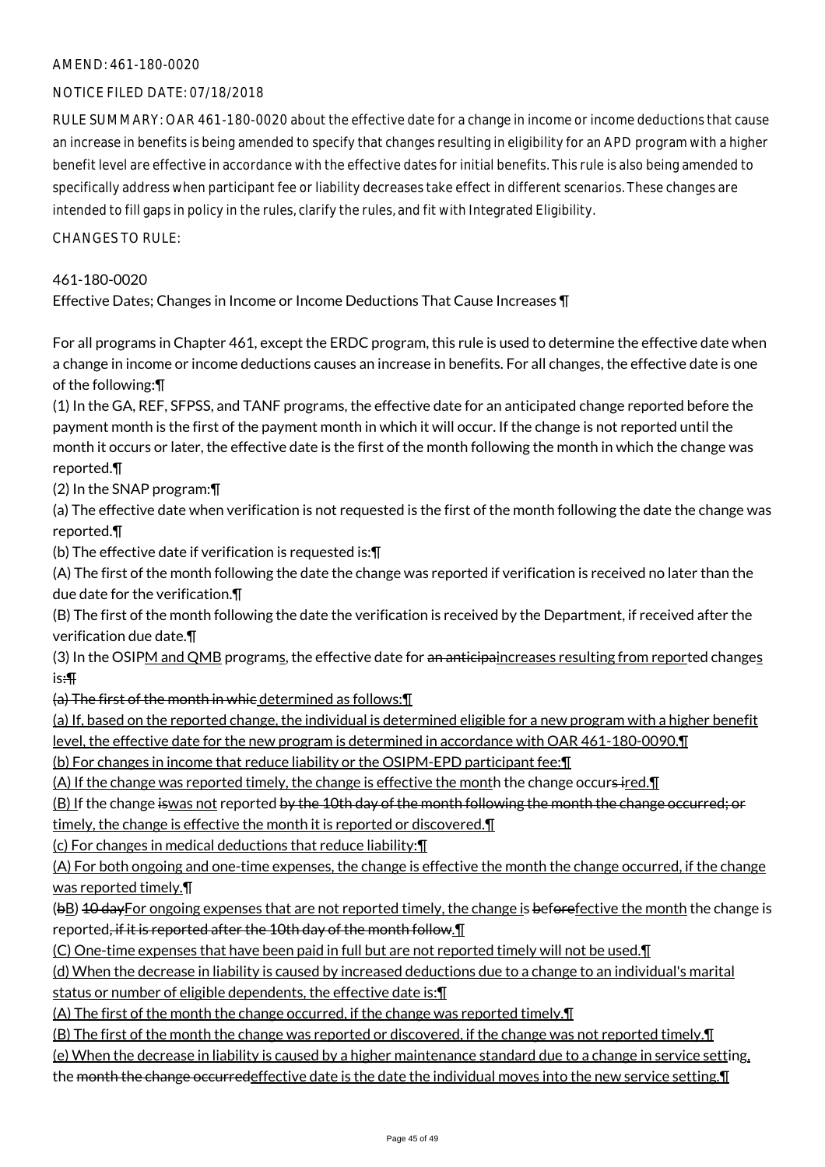#### AMEND: 461-180-0020

#### NOTICE FILED DATE: 07/18/2018

RULE SUMMARY: OAR 461-180-0020 about the effective date for a change in income or income deductions that cause an increase in benefits is being amended to specify that changes resulting in eligibility for an APD program with a higher benefit level are effective in accordance with the effective dates for initial benefits. This rule is also being amended to specifically address when participant fee or liability decreases take effect in different scenarios. These changes are intended to fill gaps in policy in the rules, clarify the rules, and fit with Integrated Eligibility.

 $CHANGFS TO RIIF$ 

#### 461-180-0020

Effective Dates; Changes in Income or Income Deductions That Cause Increases ¶

For all programs in Chapter 461, except the ERDC program, this rule is used to determine the effective date when a change in income or income deductions causes an increase in benefits. For all changes, the effective date is one of the following:¶

(1) In the GA, REF, SFPSS, and TANF programs, the effective date for an anticipated change reported before the payment month is the first of the payment month in which it will occur. If the change is not reported until the month it occurs or later, the effective date is the first of the month following the month in which the change was reported.¶

(2) In the SNAP program:¶

(a) The effective date when verification is not requested is the first of the month following the date the change was reported.¶

(b) The effective date if verification is requested is:¶

(A) The first of the month following the date the change was reported if verification is received no later than the due date for the verification.¶

(B) The first of the month following the date the verification is received by the Department, if received after the verification due date.¶

(3) In the OSIPM and QMB programs, the effective date for an anticipaincreases resulting from reported changes is:¶

(a) The first of the month in whic determined as follows:¶

(a) If, based on the reported change, the individual is determined eligible for a new program with a higher benefit level, the effective date for the new program is determined in accordance with OAR 461-180-0090.¶

(b) For changes in income that reduce liability or the OSIPM-EPD participant fee:¶

(A) If the change was reported timely, the change is effective the month the change occurs-ired. $\P$ 

(B) If the change iswas not reported by the 10th day of the month following the month the change occurred; or timely, the change is effective the month it is reported or discovered. I

(c) For changes in medical deductions that reduce liability:¶

(A) For both ongoing and one-time expenses, the change is effective the month the change occurred, if the change was reported timely.¶

(bB) 10 day For ongoing expenses that are not reported timely, the change is before fective the month the change is reported, if it is reported after the 10th day of the month follow.

(C) One-time expenses that have been paid in full but are not reported timely will not be used.¶

(d) When the decrease in liability is caused by increased deductions due to a change to an individual's marital status or number of eligible dependents, the effective date is: [[

(A) The first of the month the change occurred, if the change was reported timely.¶

(B) The first of the month the change was reported or discovered, if the change was not reported timely.¶

(e) When the decrease in liability is caused by a higher maintenance standard due to a change in service setting,

the month the change occurredeffective date is the date the individual moves into the new service setting. In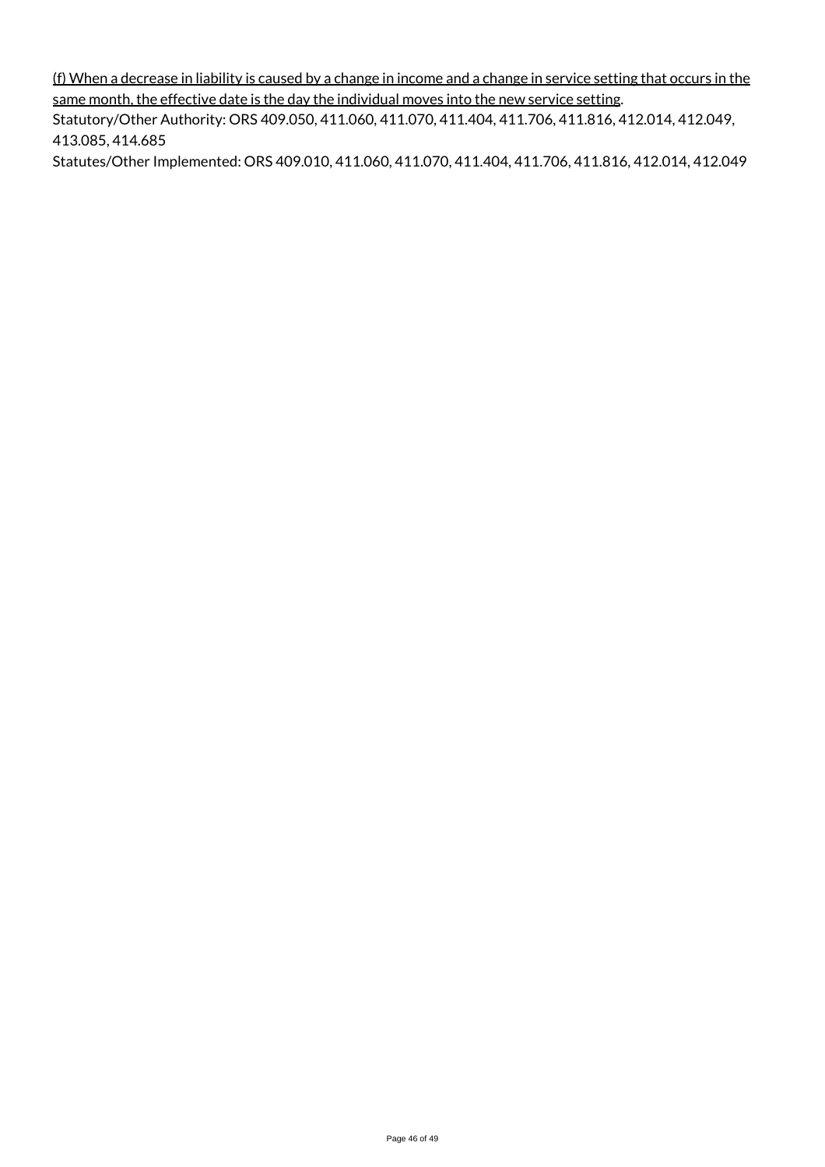(f) When a decrease in liability is caused by a change in income and a change in service setting that occurs in the same month, the effective date is the day the individual moves into the new service setting.

Statutory/Other Authority: ORS 409.050, 411.060, 411.070, 411.404, 411.706, 411.816, 412.014, 412.049, 413.085, 414.685

Statutes/Other Implemented: ORS 409.010, 411.060, 411.070, 411.404, 411.706, 411.816, 412.014, 412.049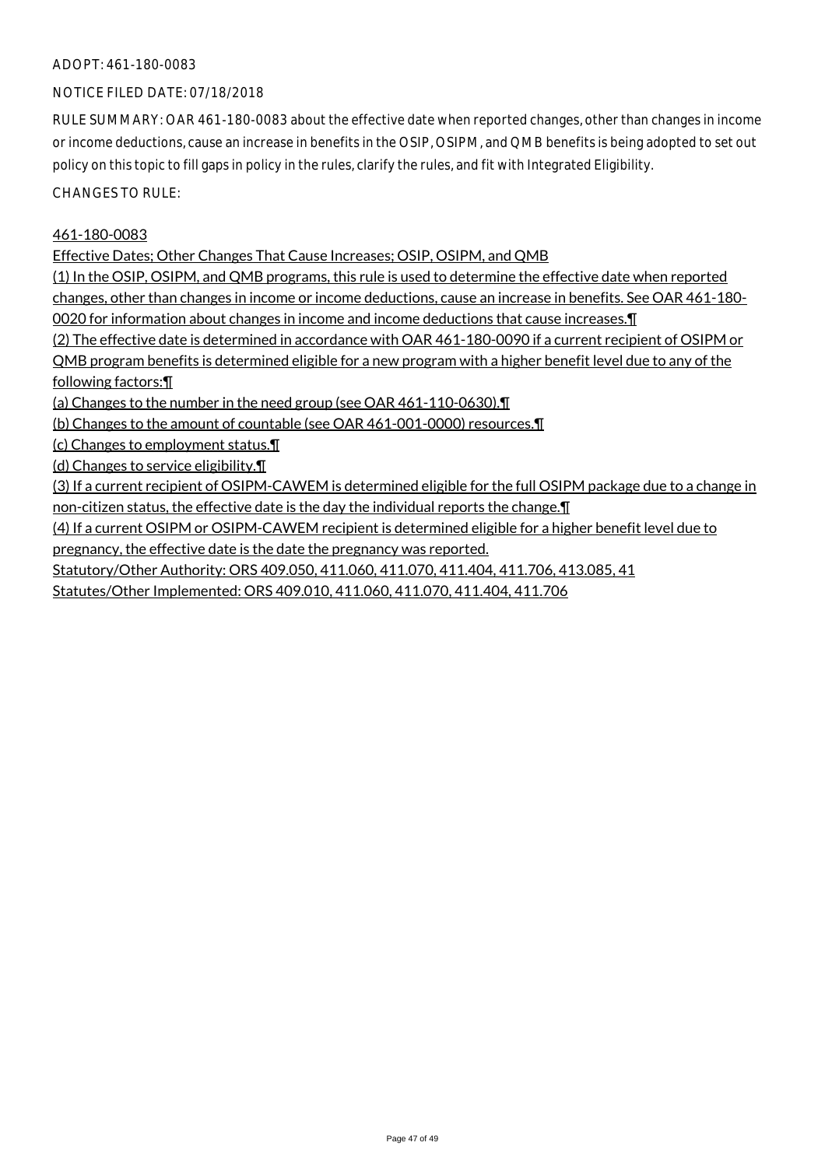#### ADOPT: 461-180-0083

### NOTICE FILED DATE: 07/18/2018

RULE SUMMARY: OAR 461-180-0083 about the effective date when reported changes, other than changes in income or income deductions, cause an increase in benefits in the OSIP, OSIPM, and QMB benefits is being adopted to set out policy on this topic to fill gaps in policy in the rules, clarify the rules, and fit with Integrated Eligibility.

CHANGES TO RULE:

#### 461-180-0083

Effective Dates; Other Changes That Cause Increases; OSIP, OSIPM, and QMB

(1) In the OSIP, OSIPM, and QMB programs, this rule is used to determine the effective date when reported changes, other than changes in income or income deductions, cause an increase in benefits. See OAR 461-180- 0020 for information about changes in income and income deductions that cause increases.¶

(2) The effective date is determined in accordance with OAR 461-180-0090 if a current recipient of OSIPM or

QMB program benefits is determined eligible for a new program with a higher benefit level due to any of the

following factors:¶

(a) Changes to the number in the need group (see OAR 461-110-0630).¶

(b) Changes to the amount of countable (see OAR 461-001-0000) resources.¶

(c) Changes to employment status.¶

(d) Changes to service eligibility.¶

(3) If a current recipient of OSIPM-CAWEM is determined eligible for the full OSIPM package due to a change in non-citizen status, the effective date is the day the individual reports the change.¶

(4) If a current OSIPM or OSIPM-CAWEM recipient is determined eligible for a higher benefit level due to

pregnancy, the effective date is the date the pregnancy was reported.

Statutory/Other Authority: ORS 409.050, 411.060, 411.070, 411.404, 411.706, 413.085, 41

Statutes/Other Implemented: ORS 409.010, 411.060, 411.070, 411.404, 411.706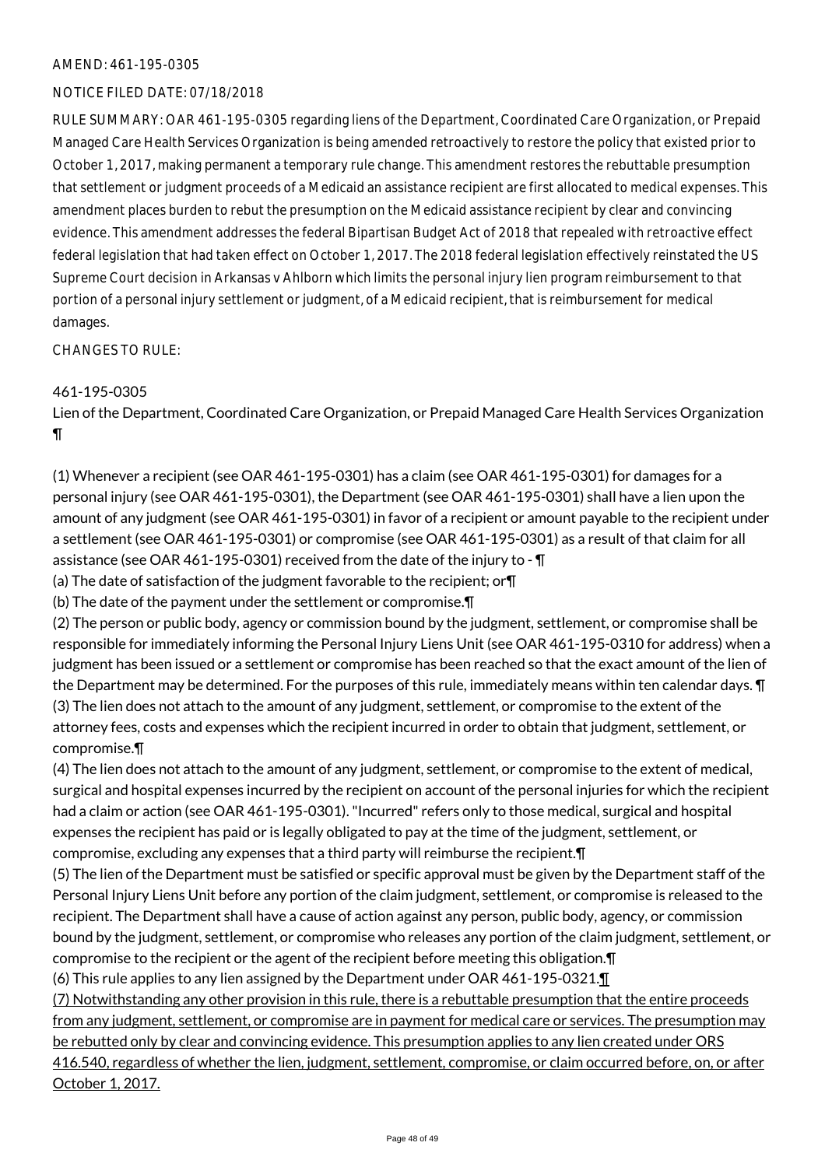#### NOTICE FILED DATE: 07/18/2018

RULE SUMMARY: OAR 461-195-0305 regarding liens of the Department, Coordinated Care Organization, or Prepaid Managed Care Health Services Organization is being amended retroactively to restore the policy that existed prior to October 1, 2017, making permanent a temporary rule change. This amendment restores the rebuttable presumption that settlement or judgment proceeds of a Medicaid an assistance recipient are first allocated to medical expenses. This amendment places burden to rebut the presumption on the Medicaid assistance recipient by clear and convincing evidence. This amendment addresses the federal Bipartisan Budget Act of 2018 that repealed with retroactive effect federal legislation that had taken effect on October 1, 2017. The 2018 federal legislation effectively reinstated the US Supreme Court decision in Arkansas v Ahlborn which limits the personal injury lien program reimbursement to that portion of a personal injury settlement or judgment, of a Medicaid recipient, that is reimbursement for medical damages.

CHANGES TO RULE:

## 461-195-0305

Lien of the Department, Coordinated Care Organization, or Prepaid Managed Care Health Services Organization ¶

(1) Whenever a recipient (see OAR 461-195-0301) has a claim (see OAR 461-195-0301) for damages for a personal injury (see OAR 461-195-0301), the Department (see OAR 461-195-0301) shall have a lien upon the amount of any judgment (see OAR 461-195-0301) in favor of a recipient or amount payable to the recipient under a settlement (see OAR 461-195-0301) or compromise (see OAR 461-195-0301) as a result of that claim for all assistance (see OAR 461-195-0301) received from the date of the injury to - ¶

(a) The date of satisfaction of the judgment favorable to the recipient; or¶

(b) The date of the payment under the settlement or compromise.¶

(2) The person or public body, agency or commission bound by the judgment, settlement, or compromise shall be responsible for immediately informing the Personal Injury Liens Unit (see OAR 461-195-0310 for address) when a judgment has been issued or a settlement or compromise has been reached so that the exact amount of the lien of the Department may be determined. For the purposes of this rule, immediately means within ten calendar days. ¶ (3) The lien does not attach to the amount of any judgment, settlement, or compromise to the extent of the attorney fees, costs and expenses which the recipient incurred in order to obtain that judgment, settlement, or compromise.¶

(4) The lien does not attach to the amount of any judgment, settlement, or compromise to the extent of medical, surgical and hospital expenses incurred by the recipient on account of the personal injuries for which the recipient had a claim or action (see OAR 461-195-0301). "Incurred" refers only to those medical, surgical and hospital expenses the recipient has paid or is legally obligated to pay at the time of the judgment, settlement, or compromise, excluding any expenses that a third party will reimburse the recipient.¶

(5) The lien of the Department must be satisfied or specific approval must be given by the Department staff of the Personal Injury Liens Unit before any portion of the claim judgment, settlement, or compromise is released to the recipient. The Department shall have a cause of action against any person, public body, agency, or commission bound by the judgment, settlement, or compromise who releases any portion of the claim judgment, settlement, or compromise to the recipient or the agent of the recipient before meeting this obligation.¶

(6) This rule applies to any lien assigned by the Department under OAR 461-195-0321.¶

(7) Notwithstanding any other provision in this rule, there is a rebuttable presumption that the entire proceeds from any judgment, settlement, or compromise are in payment for medical care or services. The presumption may be rebutted only by clear and convincing evidence. This presumption applies to any lien created under ORS 416.540, regardless of whether the lien, judgment, settlement, compromise, or claim occurred before, on, or after October 1, 2017.